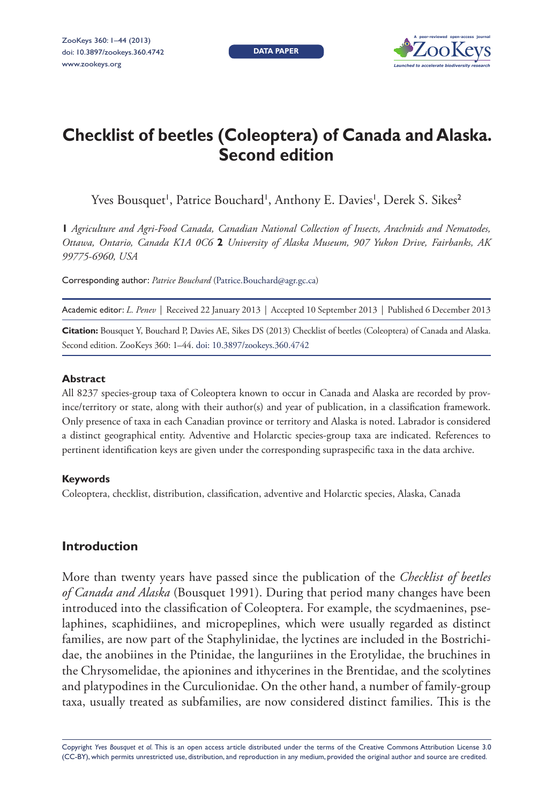**DATA PAPER**



# **Checklist of beetles (Coleoptera) of Canada and Alaska. Second edition**

Yves Bousquet', Patrice Bouchard', Anthony E. Davies', Derek S. Sikes<sup>2</sup>

**1** *Agriculture and Agri-Food Canada, Canadian National Collection of Insects, Arachnids and Nematodes, Ottawa, Ontario, Canada K1A 0C6* **2** *University of Alaska Museum, 907 Yukon Drive, Fairbanks, AK 99775-6960, USA*

Corresponding author: *Patrice Bouchard* ([Patrice.Bouchard@agr.gc.ca](mailto:Patrice.Bouchard@agr.gc.ca))

Academic editor: *L. Penev* | Received 22 January 2013 | Accepted 10 September 2013 | Published 6 December 2013

**Citation:** Bousquet Y, Bouchard P, Davies AE, Sikes DS (2013) Checklist of beetles (Coleoptera) of Canada and Alaska. Second edition. ZooKeys 360: 1–44. [doi: 10.3897/zookeys.360.4742](http://dx.doi.org/10.3897/zookeys.360.4742)

## **Abstract**

All 8237 species-group taxa of Coleoptera known to occur in Canada and Alaska are recorded by province/territory or state, along with their author(s) and year of publication, in a classification framework. Only presence of taxa in each Canadian province or territory and Alaska is noted. Labrador is considered a distinct geographical entity. Adventive and Holarctic species-group taxa are indicated. References to pertinent identification keys are given under the corresponding supraspecific taxa in the data archive.

## **Keywords**

Coleoptera, checklist, distribution, classification, adventive and Holarctic species, Alaska, Canada

## **Introduction**

More than twenty years have passed since the publication of the *Checklist of beetles of Canada and Alaska* (Bousquet 1991). During that period many changes have been introduced into the classification of Coleoptera. For example, the scydmaenines, pselaphines, scaphidiines, and micropeplines, which were usually regarded as distinct families, are now part of the Staphylinidae, the lyctines are included in the Bostrichidae, the anobiines in the Ptinidae, the languriines in the Erotylidae, the bruchines in the Chrysomelidae, the apionines and ithycerines in the Brentidae, and the scolytines and platypodines in the Curculionidae. On the other hand, a number of family-group taxa, usually treated as subfamilies, are now considered distinct families. This is the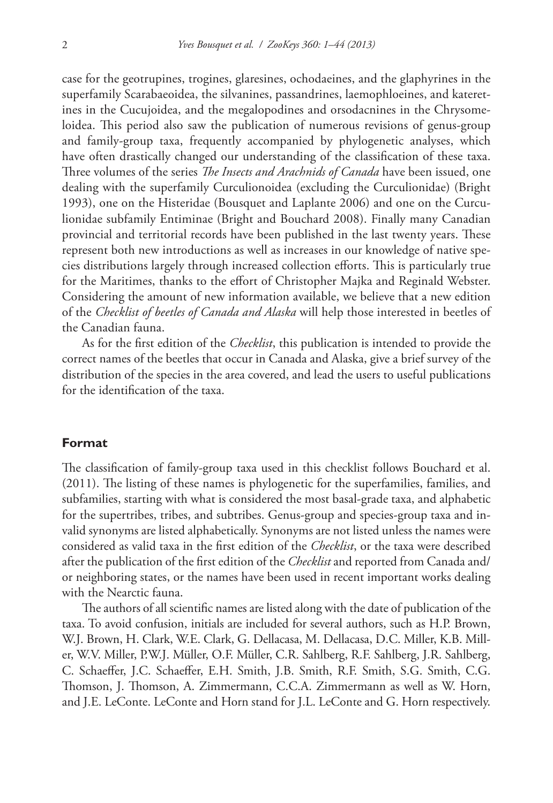case for the geotrupines, trogines, glaresines, ochodaeines, and the glaphyrines in the superfamily Scarabaeoidea, the silvanines, passandrines, laemophloeines, and kateretines in the Cucujoidea, and the megalopodines and orsodacnines in the Chrysomeloidea. This period also saw the publication of numerous revisions of genus-group and family-group taxa, frequently accompanied by phylogenetic analyses, which have often drastically changed our understanding of the classification of these taxa. Three volumes of the series *The Insects and Arachnids of Canada* have been issued, one dealing with the superfamily Curculionoidea (excluding the Curculionidae) (Bright 1993), one on the Histeridae (Bousquet and Laplante 2006) and one on the Curculionidae subfamily Entiminae (Bright and Bouchard 2008). Finally many Canadian provincial and territorial records have been published in the last twenty years. These represent both new introductions as well as increases in our knowledge of native species distributions largely through increased collection efforts. This is particularly true for the Maritimes, thanks to the effort of Christopher Majka and Reginald Webster. Considering the amount of new information available, we believe that a new edition of the *Checklist of beetles of Canada and Alaska* will help those interested in beetles of the Canadian fauna.

As for the first edition of the *Checklist*, this publication is intended to provide the correct names of the beetles that occur in Canada and Alaska, give a brief survey of the distribution of the species in the area covered, and lead the users to useful publications for the identification of the taxa.

#### **Format**

The classification of family-group taxa used in this checklist follows Bouchard et al. (2011). The listing of these names is phylogenetic for the superfamilies, families, and subfamilies, starting with what is considered the most basal-grade taxa, and alphabetic for the supertribes, tribes, and subtribes. Genus-group and species-group taxa and invalid synonyms are listed alphabetically. Synonyms are not listed unless the names were considered as valid taxa in the first edition of the *Checklist*, or the taxa were described after the publication of the first edition of the *Checklist* and reported from Canada and/ or neighboring states, or the names have been used in recent important works dealing with the Nearctic fauna.

The authors of all scientific names are listed along with the date of publication of the taxa. To avoid confusion, initials are included for several authors, such as H.P. Brown, W.J. Brown, H. Clark, W.E. Clark, G. Dellacasa, M. Dellacasa, D.C. Miller, K.B. Miller, W.V. Miller, P.W.J. Müller, O.F. Müller, C.R. Sahlberg, R.F. Sahlberg, J.R. Sahlberg, C. Schaeffer, J.C. Schaeffer, E.H. Smith, J.B. Smith, R.F. Smith, S.G. Smith, C.G. Thomson, J. Thomson, A. Zimmermann, C.C.A. Zimmermann as well as W. Horn, and J.E. LeConte. LeConte and Horn stand for J.L. LeConte and G. Horn respectively.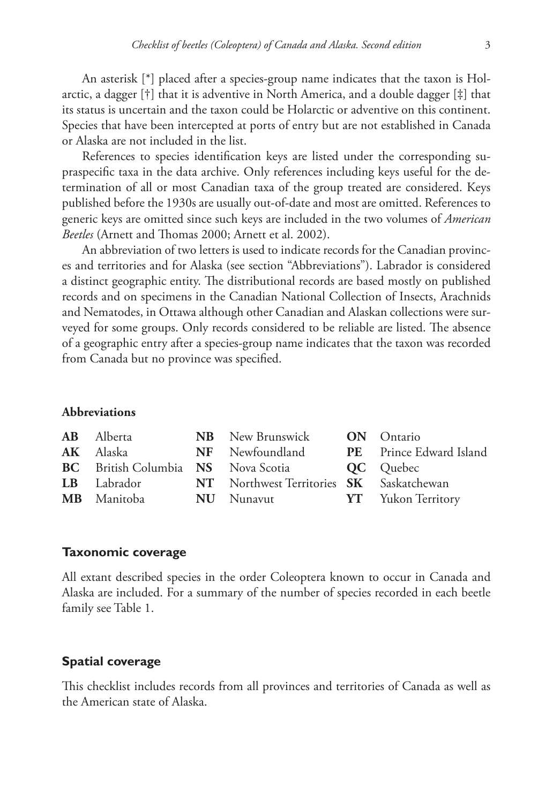An asterisk [\*] placed after a species-group name indicates that the taxon is Holarctic, a dagger [†] that it is adventive in North America, and a double dagger [‡] that its status is uncertain and the taxon could be Holarctic or adventive on this continent. Species that have been intercepted at ports of entry but are not established in Canada or Alaska are not included in the list.

References to species identification keys are listed under the corresponding supraspecific taxa in the data archive. Only references including keys useful for the determination of all or most Canadian taxa of the group treated are considered. Keys published before the 1930s are usually out-of-date and most are omitted. References to generic keys are omitted since such keys are included in the two volumes of *American Beetles* (Arnett and Thomas 2000; Arnett et al. 2002).

An abbreviation of two letters is used to indicate records for the Canadian provinces and territories and for Alaska (see section "Abbreviations"). Labrador is considered a distinct geographic entity. The distributional records are based mostly on published records and on specimens in the Canadian National Collection of Insects, Arachnids and Nematodes, in Ottawa although other Canadian and Alaskan collections were surveyed for some groups. Only records considered to be reliable are listed. The absence of a geographic entry after a species-group name indicates that the taxon was recorded from Canada but no province was specified.

## **Abbreviations**

| <b>AB</b> Alberta  | <b>NB</b> New Brunswick <b>ON</b> Ontario                         |                                |
|--------------------|-------------------------------------------------------------------|--------------------------------|
| $AK$ Alaska        | <b>NF</b> Newfoundland                                            | <b>PE</b> Prince Edward Island |
|                    | <b>BC</b> British Columbia <b>NS</b> Nova Scotia <b>QC</b> Quebec |                                |
| <b>LB</b> Labrador | NT Northwest Territories <b>SK</b> Saskatchewan                   |                                |
| <b>MB</b> Manitoba | <b>NU</b> Nunavut                                                 | <b>YT</b> Yukon Territory      |
|                    |                                                                   |                                |

## **Taxonomic coverage**

All extant described species in the order Coleoptera known to occur in Canada and Alaska are included. For a summary of the number of species recorded in each beetle family see Table 1.

## **Spatial coverage**

This checklist includes records from all provinces and territories of Canada as well as the American state of Alaska.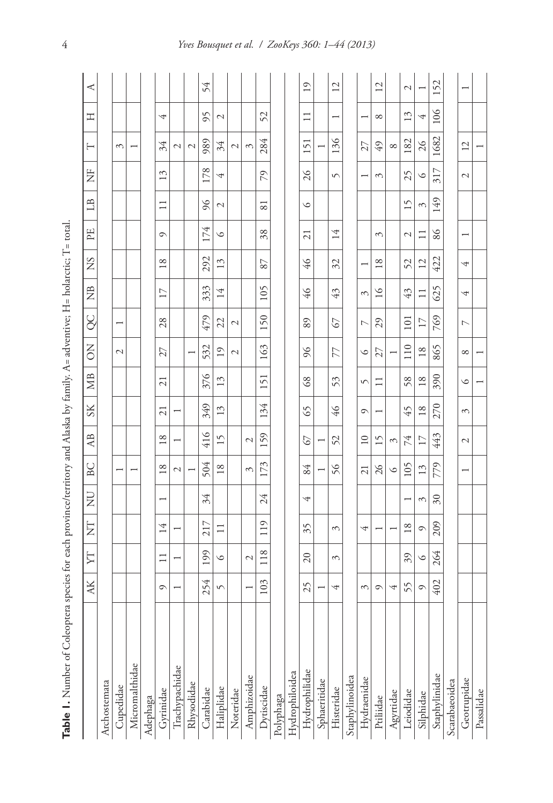| Ş<br>j<br>i                             |
|-----------------------------------------|
|                                         |
| $\mathbf{I}$<br>Į<br>ſ                  |
| j                                       |
| i<br>Ì                                  |
| $\vdots$<br>í<br>ł                      |
| $\ddot{\phantom{a}}$<br>ł               |
| $\mathbf{II}$                           |
| J<br>Ï<br>í                             |
| norm112                                 |
|                                         |
|                                         |
| į                                       |
| $\mathbf{I}$                            |
| ì                                       |
|                                         |
| ţ                                       |
| j<br>ï                                  |
| l                                       |
| i                                       |
| i                                       |
| j<br>₫                                  |
| i                                       |
| i                                       |
| <br>İ                                   |
| ä                                       |
| ģ<br>ł                                  |
| l                                       |
| i<br>Ï<br>j                             |
| j                                       |
| j<br>Ì                                  |
| i                                       |
| ł                                       |
|                                         |
| action                                  |
| j<br>l                                  |
| t,                                      |
| í                                       |
| $\overline{\phantom{a}}$<br>Ń<br>j<br>i |
| j<br>١                                  |
| $\overline{\phantom{a}}$<br>ł           |
| j                                       |
| i<br>j                                  |
| ٤<br>$\overline{\phantom{a}}$           |
| j<br>$\overline{a}$<br>è<br>ï           |
|                                         |
|                                         |
| able<br>l                               |
|                                         |

|                | <b>AK</b>                | ŢŢ                       | Ż                        | $\overline{z}$           | BC                       | $\mathbb{A}\mathbb{B}$   | <b>SK</b>                | МB                       | $\overline{S}$           | SC             | $\tilde{z}$   | $^{2}S$        | EE                       | LB              | $\overline{z}$           | H                        | Ξ                        | ≺                        |
|----------------|--------------------------|--------------------------|--------------------------|--------------------------|--------------------------|--------------------------|--------------------------|--------------------------|--------------------------|----------------|---------------|----------------|--------------------------|-----------------|--------------------------|--------------------------|--------------------------|--------------------------|
| Archostemata   |                          |                          |                          |                          |                          |                          |                          |                          |                          |                |               |                |                          |                 |                          |                          |                          |                          |
| Cupedidae      |                          |                          |                          |                          |                          |                          |                          |                          | $\mathcal{L}$            |                |               |                |                          |                 |                          | $\sim$                   |                          |                          |
| Micromalthidae |                          |                          |                          |                          | $\overline{ }$           |                          |                          |                          |                          |                |               |                |                          |                 |                          | $\overline{\phantom{0}}$ |                          |                          |
| Adephaga       |                          |                          |                          |                          |                          |                          |                          |                          |                          |                |               |                |                          |                 |                          |                          |                          |                          |
| Gyrinidae      | $\circ$                  | $\Box$                   | 14                       | $\overline{\phantom{0}}$ | 18                       | 18                       | $\overline{c}$           | $\overline{c}$           | 27                       | 28             | $\Box$        | 18             | $\circ$                  | $\Box$          | 13                       | 34                       | 4                        |                          |
| Trachypachidae | $\overline{\phantom{0}}$ | $\overline{\phantom{0}}$ | $\overline{ }$           |                          | $\overline{\mathcal{L}}$ | $\overline{\phantom{0}}$ | $\overline{\phantom{0}}$ |                          |                          |                |               |                |                          |                 |                          | $\mathcal{L}$            |                          |                          |
| Rhysodidae     |                          |                          |                          |                          | $\overline{\phantom{a}}$ |                          |                          |                          | $\overline{ }$           |                |               |                |                          |                 |                          | $\mathcal{L}$            |                          |                          |
| Carabidae      | 254                      | 199                      | 217                      | 34                       | 504                      | 416                      | 349                      | 376                      | 532                      | 479            | 333           | 292            | 174                      | 96              | 178                      | 989                      | 95                       | 54                       |
| Haliplidae     | $\sqrt{ }$               | $\circ$                  | $\equiv$                 |                          | $18\,$                   | $\overline{15}$          | 13                       | 13                       | 19                       | 22             | 14            | 13             | $\circ$                  | $\mathcal{L}$   | 4                        | 34                       | $\mathcal{L}$            |                          |
| Noteridae      |                          |                          |                          |                          |                          |                          |                          |                          | $\mathcal{L}$            | $\mathcal{L}$  |               |                |                          |                 |                          | $\sim$                   |                          |                          |
| Amphizoidae    | $\overline{\phantom{0}}$ | $\mathcal{L}$            |                          |                          | $\mathcal{E}$            | $\mathcal{L}$            |                          |                          |                          |                |               |                |                          |                 |                          | $\tilde{5}$              |                          |                          |
| Dytiscidae     | 103                      | 118                      | 119                      | 24                       | 173                      | 159                      | 134                      | 151                      | 163                      | 150            | 105           | 87             | 38                       | $\overline{81}$ | 79                       | 284                      | 52                       |                          |
| Polyphaga      |                          |                          |                          |                          |                          |                          |                          |                          |                          |                |               |                |                          |                 |                          |                          |                          |                          |
| Hydrophiloidea |                          |                          |                          |                          |                          |                          |                          |                          |                          |                |               |                |                          |                 |                          |                          |                          |                          |
| Hydrophilidae  | 25                       | 20                       | 35                       | 4                        | 84                       | 67                       | 65                       | 68                       | $\delta$                 | 89             | $\frac{9}{7}$ | $\frac{9}{7}$  | $\overline{21}$          | $\circ$         | $\overline{26}$          | 151                      | $\Box$                   | $\overline{19}$          |
| Sphaeritidae   |                          |                          |                          |                          | $\overline{ }$           |                          |                          |                          |                          |                |               |                |                          |                 |                          | I                        |                          |                          |
| Histeridae     | 4                        | 3                        | 3                        |                          | 56                       | 52                       | $\frac{9}{7}$            | 53                       | 77                       | 67             | 43            | 32             | 14                       |                 | $\sqrt{ }$               | 136                      | $\overline{\phantom{0}}$ | $\overline{c}$           |
| Staphylinoidea |                          |                          |                          |                          |                          |                          |                          |                          |                          |                |               |                |                          |                 |                          |                          |                          |                          |
| Hydraenidae    | $\mathfrak{S}$           |                          | 4                        |                          | $\overline{21}$          | $\overline{10}$          | $\circ$                  | $\sqrt{2}$               | $\circ$                  | $\overline{ }$ | 3             |                |                          |                 | $\overline{\phantom{0}}$ | 27                       |                          |                          |
| Priliidae      | $\circ$                  |                          | $\overline{\phantom{0}}$ |                          | $\frac{5}{2}$            | 15                       | $\overline{\phantom{0}}$ | $\Box$                   | 27                       | 29             | $\geq$        | $18$           | $\mathfrak{g}$           |                 | 3                        | $6\not\!\!\!\!\!\!7$     | ${}^{\circ}$             | $\overline{12}$          |
| Agyrtidae      | 4                        |                          | $\overline{\phantom{a}}$ |                          | $\circ$                  | 3                        |                          |                          | $\overline{\phantom{0}}$ |                |               |                |                          |                 |                          | $\infty$                 |                          |                          |
| Leiodidae      | 55                       | 39                       | $18\,$                   | $\overline{\phantom{0}}$ | 105                      | 74                       | 45                       | 58                       | 110                      | 101            | 43            | 52             | $\overline{\mathcal{L}}$ | 15              | 25                       | 182                      | 13                       | $\overline{\mathcal{L}}$ |
| Silphidae      | $\circ$                  | $\circ$                  | $\circ$                  | $\mathfrak{S}$           | 13                       | $\overline{17}$          | 18                       | $\overline{18}$          | 18                       | $\Box$         | $\Box$        | $\overline{c}$ | $\Box$                   | $\mathcal{C}$   | $\circ$                  | $\frac{26}{5}$           | 4                        | $\overline{\phantom{0}}$ |
| Staphylinidae  | 402                      | 264                      | 209                      | $\delta$ <sup>0</sup>    | 779                      | 443                      | 270                      | 390                      | 865                      | 769            | 625           | 422            | 86                       | 149             | 317                      | 1682                     | 106                      | 152                      |
| Scarabaeoidea  |                          |                          |                          |                          |                          |                          |                          |                          |                          |                |               |                |                          |                 |                          |                          |                          |                          |
| Geotrupidae    |                          |                          |                          |                          | $\overline{\phantom{0}}$ | $\sim$                   | 3                        | $\circ$                  | $\infty$                 | $\overline{ }$ | 4             | 4              | $\overline{ }$           |                 | $\sim$                   | 12                       |                          | $\overline{\phantom{0}}$ |
| Passalidae     |                          |                          |                          |                          |                          |                          |                          | $\overline{\phantom{0}}$ |                          |                |               |                |                          |                 |                          |                          |                          |                          |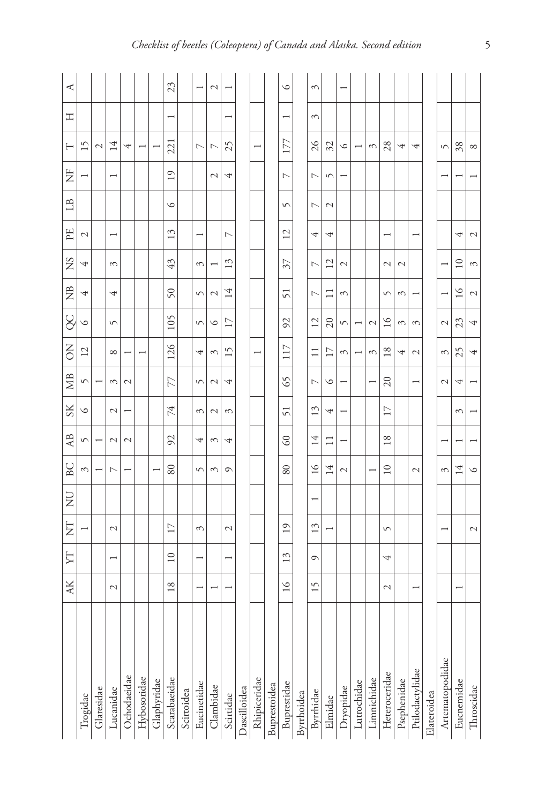| ⋖              |                 |                          |                          |               |             |                          | 23                       |            |                          | $\mathcal{L}$  |                |              |                          |              | $\circ$        |            | 3              |                | $\overline{\phantom{0}}$ |             |                          |                 |               |                          |             |                 |                          |               |
|----------------|-----------------|--------------------------|--------------------------|---------------|-------------|--------------------------|--------------------------|------------|--------------------------|----------------|----------------|--------------|--------------------------|--------------|----------------|------------|----------------|----------------|--------------------------|-------------|--------------------------|-----------------|---------------|--------------------------|-------------|-----------------|--------------------------|---------------|
| 工              |                 |                          |                          |               |             |                          | $\overline{\phantom{0}}$ |            |                          |                | ۳              |              |                          |              | -              |            | $\mathfrak{g}$ |                |                          |             |                          |                 |               |                          |             |                 |                          |               |
| Н              | $\overline{15}$ | $\mathcal{L}$            | 14                       | 4             |             | τ                        | 221                      |            | $\overline{ }$           | $\overline{ }$ | 25             |              | $\overline{\phantom{0}}$ |              | 177            |            | $\delta$       | 32             | $\circ$                  |             | $\mathfrak{g}$           | 28              | 4             | 4                        |             | $\sqrt{ }$      | 38                       | ${}^{\circ}$  |
| Ë              |                 |                          | $\overline{\phantom{0}}$ |               |             |                          | $\overline{1}$           |            |                          | $\sim$         | 4              |              |                          |              | $\overline{C}$ |            | Γ              | $\sqrt{ }$     |                          |             |                          |                 |               |                          |             |                 |                          |               |
| $\Box$         |                 |                          |                          |               |             |                          | $\circ$                  |            |                          |                |                |              |                          |              | $\sqrt{2}$     |            | L              | $\mathcal{L}$  |                          |             |                          |                 |               |                          |             |                 |                          |               |
| EE             | $\mathcal{L}$   |                          |                          |               |             |                          | 13                       |            |                          |                | $\overline{ }$ |              |                          |              | $\overline{2}$ |            | 4              | 4              |                          |             |                          |                 |               |                          |             |                 | 4                        | $\mathcal{L}$ |
| SN             | 4               |                          | $\mathfrak{g}$           |               |             |                          | 43                       |            | 3                        |                | S              |              |                          |              | 37             |            | Γ              | 12             | $\mathcal{L}$            |             |                          | $\mathcal{L}$   | $\mathcal{L}$ |                          |             |                 | $\overline{10}$          | 3             |
| $\mathbb{E}$   | 4               |                          | 4                        |               |             |                          | $50\,$                   |            | $\sqrt{2}$               | $\mathcal{L}$  | 4              |              |                          |              | 51             |            | $\overline{ }$ |                | 3                        |             |                          | $\sqrt{2}$      | 3             |                          |             |                 | $\circ$                  | $\mathcal{L}$ |
| ပိ             | ৩               |                          | $\sqrt{ }$               |               |             |                          | $\overline{0}$           |            | $\sqrt{ }$               | $\circ$        | $\overline{1}$ |              |                          |              | 92             |            | $\overline{c}$ | $\Omega$       | $\sqrt{2}$               |             | $\mathcal{L}$            | $\geq$          | 3             | 3                        |             | $\mathcal{L}$   | 23                       | 4             |
| δ              | $\overline{12}$ |                          | ${}^{\circ}$             |               |             |                          | 126                      |            | 4                        | 3              | S              |              | $\overline{\phantom{0}}$ |              | 117            |            | Ξ              | $\overline{1}$ | 3                        | ۳           | 3                        | $^{\circ}$      | 4             | $\mathcal{L}$            |             | 3               | 25                       | 4             |
| <b>SE</b>      | $\sqrt{2}$      |                          | 3                        | $\mathcal{C}$ |             |                          | 77                       |            | $\sqrt{ }$               | $\mathcal{L}$  | 4              |              |                          |              | 65             |            | ↖              | ৩              |                          |             | $\overline{\phantom{0}}$ | $\Omega$        |               | $\overline{\phantom{0}}$ |             | $\mathcal{L}$   | 4                        |               |
| $S_{\rm K}$    | ৩               |                          | $\mathcal{L}$            | ۳             |             |                          | 74                       |            | 3                        | $\mathcal{L}$  | $\mathcal{E}$  |              |                          |              | $\overline{5}$ |            | S              | 4              |                          |             |                          | $\overline{17}$ |               |                          |             |                 | 3                        |               |
| A <sub>B</sub> | $\sqrt{2}$      | ۳                        | $\mathcal{L}$            | $\mathcal{L}$ |             |                          | $\mathcal{S}$            |            | 4                        | 3              | 4              |              |                          |              | S              |            | 14             | Ξ              |                          |             |                          | $^{\circ}$      |               |                          |             |                 |                          |               |
| BC             | 3               | $\overline{\phantom{0}}$ | L                        | ۳             |             | $\overline{\phantom{0}}$ | 80                       |            | $\sqrt{ }$               | 3              | $\circ$        |              |                          |              | 80             |            | $\geq$         | 14             | $\mathcal{L}$            |             |                          | $\overline{10}$ |               | $\mathcal{L}$            |             | 3               | 14                       | $\circ$       |
| $\overline{z}$ |                 |                          |                          |               |             |                          |                          |            |                          |                |                |              |                          |              |                |            |                |                |                          |             |                          |                 |               |                          |             |                 |                          |               |
| E              |                 |                          | $\mathcal{L}$            |               |             |                          | $\overline{17}$          |            | 3                        |                | $\mathcal{L}$  |              |                          |              | $\overline{1}$ |            | $\omega$       |                |                          |             |                          | $\sqrt{2}$      |               |                          |             |                 |                          | $\mathcal{L}$ |
| YT             |                 |                          | $\overline{\phantom{0}}$ |               |             |                          | $\overline{10}$          |            | $\overline{\phantom{0}}$ |                | ۳              |              |                          |              | $\frac{3}{2}$  |            | $\circ$        |                |                          |             |                          | 4               |               |                          |             |                 |                          |               |
| AK             |                 |                          | $\mathcal{L}$            |               |             |                          | 18                       |            |                          |                | ۳              |              |                          |              | $\geq$         |            | 15             |                |                          |             |                          | $\mathcal{L}$   |               | $\overline{\phantom{0}}$ |             |                 | $\overline{\phantom{0}}$ |               |
|                |                 |                          |                          |               |             |                          |                          |            |                          |                |                |              |                          |              |                |            |                |                |                          |             |                          |                 |               |                          |             |                 |                          |               |
|                | Trogidae        | Glaresidae               | Lucanidae                | Ochodaeidae   | Hybosoridae | Glaphyridae              | Scarabaeidae             | Scirtoidea | Eucinetidae              | Clambidae      | Scirtidae      | Dascilloidea | Rhipiceridae             | Buprestoidea | Buprestidae    | Byrrhoidea | Byrrhidae      | Elmidae        | Dryopidae                | Lutrochidae | Limnichidae              | Heteroceridae   | Psephenidae   | Ptilodactylidae          | Elateroidea | Artematopodidae | Eucnemidae               | Throscidae    |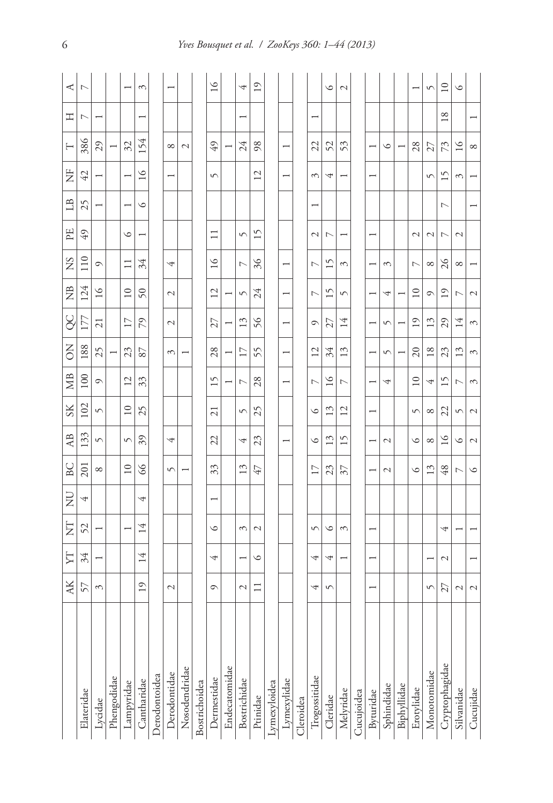|                | АK                       | YT                       | E                     | Ę | BC                       | AB                       | $S_{\rm K}$              | МB              | š                        | g                        | Ê                        | SN                       | 꿈                        | $\mathbb{E}$   | Ë                        | ⊢              | 工              | ⋖                        |
|----------------|--------------------------|--------------------------|-----------------------|---|--------------------------|--------------------------|--------------------------|-----------------|--------------------------|--------------------------|--------------------------|--------------------------|--------------------------|----------------|--------------------------|----------------|----------------|--------------------------|
| Elateridae     | 57                       | 34                       | 52                    | 4 | 201                      | 133                      | 102                      | 100             | 188                      | 177                      | 124                      | $\frac{10}{11}$          | $\overline{6}$           | 25             | 42                       | 386            | $\overline{ }$ | $\overline{ }$           |
| Lycidae        | $\tilde{\phantom{0}}$    |                          |                       |   | ${}^{\circ}$             | $\sqrt{2}$               | $\sqrt{2}$               | $\circ$         | 25                       | $\overline{21}$          | $\geq$                   | $\circ$                  |                          |                |                          | 29             |                |                          |
| Phengodidae    |                          |                          |                       |   |                          |                          |                          |                 |                          |                          |                          |                          |                          |                |                          |                |                |                          |
| Lampyridae     |                          |                          |                       |   | $\overline{10}$          | $\sqrt{2}$               | $\overline{10}$          | 12              | 23                       | $\overline{17}$          | $\overline{10}$          | $\Box$                   | $\circ$                  |                |                          | 32             |                |                          |
| Cantharidae    | $\overline{19}$          | 14                       | 14                    | 4 | S                        | 39                       | 25                       | 33              | 87                       | 79                       | 50                       | 34                       |                          | ৩              | $\geq$                   | 154            |                | 3                        |
| Derodontoidea  |                          |                          |                       |   |                          |                          |                          |                 |                          |                          |                          |                          |                          |                |                          |                |                |                          |
| Derodontidae   | $\mathcal{L}$            |                          |                       |   | $\sqrt{2}$               | 4                        |                          |                 | $\mathcal{E}$            | $\mathcal{L}$            | $\mathcal{L}$            | 4                        |                          |                | $\overline{\phantom{0}}$ | ${}^{\circ}$   |                | $\overline{\phantom{0}}$ |
| Nosodendridae  |                          |                          |                       |   | $\overline{\phantom{0}}$ |                          |                          |                 |                          |                          |                          |                          |                          |                |                          | $\mathcal{L}$  |                |                          |
| Bostrichoidea  |                          |                          |                       |   |                          |                          |                          |                 |                          |                          |                          |                          |                          |                |                          |                |                |                          |
| Dermestidae    | $\circ$                  | 4                        | $\circ$               |   | 33                       | 22                       | ಸ                        | 15              | 28                       | 27                       | $\overline{c}$           | $\frac{6}{1}$            | $\Box$                   |                | $\sqrt{ }$               | $\overline{6}$ |                | $\geq$                   |
| Endecatomidae  |                          |                          |                       |   |                          |                          |                          |                 |                          |                          |                          |                          |                          |                |                          |                |                |                          |
| Bostrichidae   | $\mathcal{L}$            | $\overline{\phantom{0}}$ | $\tilde{\phantom{0}}$ |   | 13                       | 4                        | $\sqrt{ }$               | $\overline{ }$  | $\overline{17}$          | 13                       | $\sqrt{ }$               | $\overline{C}$           | $\sqrt{ }$               |                |                          | 24             |                | 4                        |
| Ptinidae       |                          | $\circ$                  | $\mathcal{L}$         |   | 47                       | 23                       | 25                       | 28              | 55                       | 56                       | 24                       | 36                       | 15                       |                | $\overline{c}$           | 98             |                | $\overline{1}$           |
| Lymexyloidea   |                          |                          |                       |   |                          |                          |                          |                 |                          |                          |                          |                          |                          |                |                          |                |                |                          |
| Lymexylidae    |                          |                          |                       |   |                          | $\overline{\phantom{0}}$ |                          |                 | -                        | $\overline{\phantom{0}}$ | $\overline{\phantom{0}}$ | $\overline{\phantom{0}}$ |                          |                | $\overline{\phantom{0}}$ | -              |                |                          |
| Cleroidea      |                          |                          |                       |   |                          |                          |                          |                 |                          |                          |                          |                          |                          |                |                          |                |                |                          |
| Trogossitidae  | 4                        | 4                        | $\sqrt{2}$            |   | $\overline{17}$          | $\circ$                  | $\circ$                  | ↖               | $\overline{12}$          | $\circ$                  | $\overline{ }$           | $\overline{ }$           | $\mathcal{C}$            |                | 3                        | 22             |                |                          |
| Cleridae       | 5                        | 4                        | ৩                     |   | 23                       | 13                       | $\overline{13}$          | $\geq$          | 34                       | 27                       | $\overline{15}$          | $\overline{15}$          | $\overline{ }$           |                | 4                        | 52             |                | $\circ$                  |
| Melyridae      |                          |                          | $\tilde{5}$           |   | 37                       | S                        | 12                       | ↖               | 13                       | 14                       | $\sqrt{ }$               | $\tilde{5}$              |                          |                |                          | 53             |                | $\mathcal{L}$            |
| Cucujoidea     |                          |                          |                       |   |                          |                          |                          |                 |                          |                          |                          |                          |                          |                |                          |                |                |                          |
| Byturidae      | $\overline{\phantom{0}}$ | ۳                        |                       |   |                          | ۳                        | $\overline{\phantom{0}}$ |                 | $\overline{\phantom{0}}$ |                          | ۳                        | $\overline{\phantom{0}}$ | $\overline{\phantom{0}}$ |                | ۳                        | ۳              |                |                          |
| Sphindidae     |                          |                          |                       |   | $\mathcal{L}$            | $\mathcal{L}$            |                          | 4               | $\sqrt{2}$               | $\sim$                   | 4                        | 3                        |                          |                |                          | ৩              |                |                          |
| Biphyllidae    |                          |                          |                       |   |                          |                          |                          |                 | $\overline{\phantom{0}}$ |                          |                          |                          |                          |                |                          | F              |                |                          |
| Erotylidae     |                          |                          |                       |   | $\circ$                  | ৩                        | 5                        | $\overline{10}$ | $\Omega$                 | $\overline{1}$           | $\overline{10}$          | $\overline{C}$           | $\mathcal{L}$            |                |                          | 28             |                |                          |
| Monotomidae    | $\sqrt{2}$               |                          |                       |   | 13                       | ${}^{\circ}$             | ${}^{\circ}$             | 4               | 18                       | 13                       | $\circ$                  | ${}^{\circ}$             | $\mathcal{L}$            |                | $\sqrt{ }$               | 27             |                | 5                        |
| Cryptophagidae | 27                       | $\mathcal{L}$            | 4                     |   | 48                       | $\geq$                   | 22                       | 15              | 23                       | 29                       | $\overline{1}$           | $\frac{26}{5}$           | $\overline{C}$           | $\overline{ }$ | 15                       | 73             | $\infty$       | $\overline{10}$          |
| Silvanidae     | $\mathcal{C}$            |                          |                       |   | $\overline{\phantom{0}}$ | ◡                        | r                        | ↖               | 13                       | 14                       | r                        | $^{\circ}$               | $\overline{\mathcal{C}}$ |                | ξ                        | $\geq$         |                | $\circ$                  |
| Cucujidae      | 2                        |                          |                       |   | $\circ$                  | $\mathcal{L}$            | $\mathcal{L}$            | 3               | 3                        | 3                        | $\mathcal{L}$            |                          |                          |                |                          | ${}^{\circ}$   |                |                          |

6 *Yves Bousquet et al. / ZooKeys 360: 1–44 (2013)*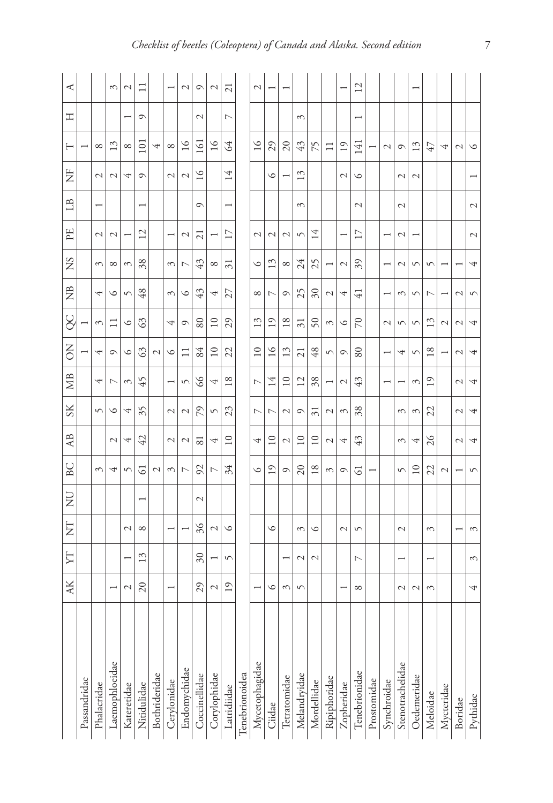|                  | AK                       | ΣT                       | E                        | $_{\rm Z}^{\rm D}$       | BC                       | A <sub>B</sub>  | $S_{\rm K}$    | МB                    | δ               | S               | $\tilde{z}$    | SN              | EE                       | $\mathbb{B}$             | Ë             | ⊢                        | 工             | ⋖              |
|------------------|--------------------------|--------------------------|--------------------------|--------------------------|--------------------------|-----------------|----------------|-----------------------|-----------------|-----------------|----------------|-----------------|--------------------------|--------------------------|---------------|--------------------------|---------------|----------------|
| Passandridae     |                          |                          |                          |                          |                          |                 |                |                       |                 |                 |                |                 |                          |                          |               | $\overline{\phantom{0}}$ |               |                |
| Phalacridae      |                          |                          |                          |                          | $\mathcal{E}$            |                 | $\sqrt{2}$     | 4                     | 4               | $\mathcal{E}$   | 4              | $\mathcal{E}$   | $\mathcal{L}$            | $\overline{\phantom{0}}$ | $\mathcal{L}$ | $\infty$                 |               |                |
| Laemophloeidae   | $\overline{\phantom{0}}$ |                          |                          |                          | 4                        | $\mathcal{L}$   | $\circ$        | $\overline{ }$        | $\circ$         |                 | $\circ$        | ${}^{\circ}$    | $\mathcal{L}$            |                          | $\mathcal{L}$ | $\mathbf{1}$             |               | 3              |
| Kateretidae      | $\mathcal{L}$            | ÷                        | $\mathcal{L}$            |                          | $\sqrt{ }$               | પ               | 4              | 3                     | $\circ$         | ৩               | $\sqrt{ }$     | $\mathcal{E}$   | τ                        |                          | 4             | $\infty$                 | ۳             | $\mathcal{L}$  |
| Nitidulidae      | $\overline{c}$           | ξ                        | ${}^{\circ}$             | $\overline{\phantom{0}}$ | 3                        | 42              | 35             | 45                    | 3               | 3               | 48             | 38              | 12                       | $\overline{\phantom{0}}$ | $\circ$       | $\overline{101}$         | റ             |                |
| Bothrideridae    |                          |                          |                          |                          | $\mathcal{L}$            |                 |                |                       | $\mathcal{L}$   |                 |                |                 |                          |                          |               | 4                        |               |                |
| Cerylonidae      | $\overline{\phantom{0}}$ |                          | $\overline{ }$           |                          | $\mathcal{E}$            | $\mathcal{L}$   | $\mathcal{L}$  | $\overline{ }$        | $\circ$         | 4               | $\mathcal{E}$  | $\mathcal{E}$   | $\overline{\phantom{0}}$ |                          | $\mathcal{L}$ | $\infty$                 |               |                |
| Endomychidae     |                          |                          | $\overline{\phantom{0}}$ |                          | $\overline{ }$           | $\mathcal{L}$   | $\mathcal{C}$  | $\sqrt{ }$            | $\Xi$           | $\circ$         | $\circ$        | L               | $\mathcal{L}$            |                          | $\mathcal{L}$ | $\geq$                   |               | $\mathcal{L}$  |
| Coccinellidae    | 29                       | $\delta$ 0               | 36                       | 2                        | 92                       | ವ               | 79             | S                     | 84              | 80              | 43             | 43              | $\overline{c}$           | $\circ$                  | $\geq$        | $\overline{161}$         | $\mathcal{L}$ | $\circ$        |
| Corylophidae     | $\mathcal{L}$            | $\overline{\phantom{0}}$ | $\mathcal{L}$            |                          | $\overline{ }$           | 4               | $\sqrt{2}$     | 4                     | $\overline{10}$ | $\overline{10}$ | 4              | ${}^{\circ}$    |                          |                          |               | $\geq$                   |               | $\mathcal{L}$  |
| Latridiidae      | $\overline{19}$          | $\sqrt{2}$               | ৩                        |                          | 34                       | $\supseteq$     | 23             | $^{\circ}$            | 22              | 29              | 27             | $\overline{31}$ | $\overline{17}$          | $\overline{\phantom{0}}$ | 4             | 34                       | ↖             | $\overline{z}$ |
| Tenebrionoidea   |                          |                          |                          |                          |                          |                 |                |                       |                 |                 |                |                 |                          |                          |               |                          |               |                |
| Mycetophagidae   | $\overline{\phantom{0}}$ |                          |                          |                          | $\circ$                  | 4               | $\overline{ }$ | $\overline{ }$        | $\overline{10}$ | 13              | ${}^{\circ}$   | $\circ$         | $\mathcal{L}$            |                          |               | $\geq$                   |               | 2              |
| Ciidae           | ৩                        |                          | $\circ$                  |                          | $\overline{1}$           | $\overline{10}$ | $\overline{ }$ | 14                    | $\geq$          | $\overline{1}$  | $\overline{ }$ | 13              | $\mathcal{L}$            |                          | $\circ$       | 29                       |               |                |
| Tetratomidae     | $\mathcal{E}$            | ۳                        |                          |                          | $\circ$                  | $\mathcal{L}$   | $\mathcal{L}$  | $\overline{10}$       | 13              | 18              | Q              | $\infty$        | $\mathcal{L}$            |                          |               | $\overline{c}$           |               |                |
| Melandryidae     | 5                        | $\mathcal{L}$            | 3                        |                          | 20                       | $\supseteq$     | ᡋ              | 12                    | $\overline{c}$  | $\overline{5}$  | 25             | 24              | $\sqrt{2}$               | 3                        | 13            | 43                       | ξ             |                |
| Mordellidae      |                          | $\mathcal{L}$            | $\circ$                  |                          | 18                       | $\overline{10}$ | $\overline{3}$ | 38                    | 48              | 50              | $\delta$ 0     | 25              | 14                       |                          |               | 75                       |               |                |
| Ripiphoridae     |                          |                          |                          |                          | 3                        | $\mathcal{L}$   | $\mathcal{L}$  | Ī                     | $\sqrt{2}$      | ξ               | $\mathcal{L}$  |                 |                          |                          |               | $\Xi$                    |               |                |
| Zopheridae       |                          |                          | $\mathcal{L}$            |                          | $\circ$                  | 4               | 3              | $\mathcal{L}$         | $\circ$         | ৩               | 4              | $\mathcal{L}$   |                          |                          | $\mathcal{L}$ | $\overline{1}$           |               |                |
| Tenebrionidae    | ${}^{\circ}$             | $\overline{ }$           | $\sqrt{2}$               |                          | G                        | 43              | 38             | 43                    | 80              | $\approx$       | $\overline{+}$ | 39              | $\overline{17}$          | $\mathcal{L}$            | $\circ$       | 141                      |               | 12             |
| Prostomidae      |                          |                          |                          |                          | $\overline{ }$           |                 |                |                       |                 |                 |                |                 |                          |                          |               |                          |               |                |
| Synchroidae      |                          |                          |                          |                          |                          |                 |                | ÷                     |                 | $\mathcal{L}$   |                | ۳               | ۳                        |                          |               | $\mathcal{L}$            |               |                |
| Stenotrachelidae | $\mathcal{L}$            | $\overline{\phantom{0}}$ | $\mathcal{L}$            |                          | $\sqrt{ }$               | 3               | 3              | -                     | 4               | 5               | 3              | $\mathcal{L}$   | $\mathcal{L}$            | $\mathcal{L}$            | $\mathcal{L}$ | 0                        |               |                |
| Oedemeridae      | $\mathcal{L}$            |                          |                          |                          | $\overline{10}$          | 4               | $\mathfrak{g}$ | $\tilde{\varepsilon}$ | $\sqrt{2}$      | $\sqrt{2}$      | $\sqrt{2}$     | $\sqrt{2}$      |                          |                          | $\mathcal{L}$ | 13                       |               |                |
| Meloidae         | ξ                        | $\overline{\phantom{0}}$ | $\tilde{5}$              |                          | 22                       | $\frac{5}{2}$   | 22             | $\overline{1}$        | 18              | $\mathfrak{D}$  | L              | $\sqrt{2}$      |                          |                          |               | 47                       |               |                |
| Mycteridae       |                          |                          |                          |                          | $\mathcal{L}$            |                 |                |                       |                 | $\mathcal{L}$   |                |                 |                          |                          |               | 4                        |               |                |
| Boridae          |                          |                          | $\overline{\phantom{0}}$ |                          | $\overline{\phantom{0}}$ | $\mathcal{L}$   | $\mathcal{L}$  | $\mathcal{L}$         | $\mathcal{L}$   | $\mathcal{L}$   | $\mathcal{L}$  |                 |                          |                          |               | $\mathcal{L}$            |               |                |
| Pythidae         | 4                        | 3                        | 3                        |                          | $\sqrt{2}$               | 4               | 4              | 4                     | 4               | 4               | $\sqrt{2}$     | 4               | $\mathcal{L}$            | $\mathcal{L}$            |               | $\circ$                  |               |                |
|                  |                          |                          |                          |                          |                          |                 |                |                       |                 |                 |                |                 |                          |                          |               |                          |               |                |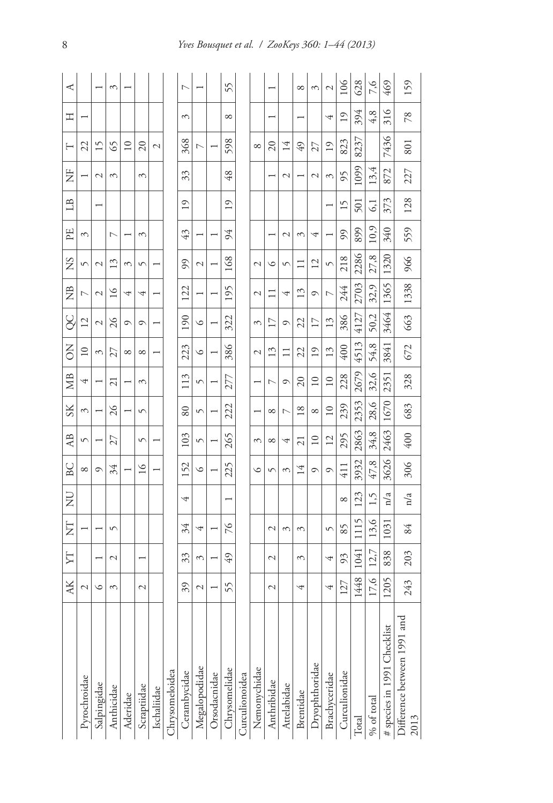|                                     | AK            | ZГ            | E              | š            | BC              | A <sub>B</sub>  | $S_{\rm K}$     | ЖB              | ă               | SC              | $\tilde{z}$    | SN            | PE             | $\Box$                   | Ë             | H                        | 工                          | ⋖                        |
|-------------------------------------|---------------|---------------|----------------|--------------|-----------------|-----------------|-----------------|-----------------|-----------------|-----------------|----------------|---------------|----------------|--------------------------|---------------|--------------------------|----------------------------|--------------------------|
| Pyrochroidae                        | $\mathcal{L}$ |               |                |              | ${}^{\circ}$    | $\sqrt{2}$      | 3               | 4               | $\overline{10}$ | $\overline{12}$ | $\overline{ }$ | $\sqrt{2}$    | 3              |                          |               | 22                       |                            |                          |
| Salpingidae                         | ৩             |               |                |              | ⊙               |                 |                 |                 | 3               | $\mathcal{L}$   | $\mathcal{L}$  | $\mathcal{L}$ |                | $\overline{\phantom{0}}$ | $\mathcal{L}$ | Ľ                        |                            | $\overline{\phantom{0}}$ |
| Anthicidae                          | 3             | $\mathcal{L}$ | S              |              | 34              | 27              | $\frac{5}{2}$   | ä               | 27              | $\frac{5}{2}$   | $\geq$         | 13            | $\overline{ }$ |                          | 3             | 65                       |                            | 3                        |
| Aderidae                            |               |               |                |              |                 |                 |                 |                 | $\infty$        | റ               | 4              | 3             |                |                          |               | $\supseteq$              |                            |                          |
| Scraptiidae                         | 2             | ÷             |                |              | $\overline{16}$ | 5               | $\sqrt{ }$      | ξ               | ${}^{\circ}$    | $\circ$         | 4              | $\sqrt{2}$    | ξ              |                          | ξ             | $\overline{c}$           |                            |                          |
| Ischaliidae                         |               |               |                |              |                 |                 |                 |                 |                 |                 | ۳              | ۳             |                |                          |               | 2                        |                            |                          |
| Chrysomeloidea                      |               |               |                |              |                 |                 |                 |                 |                 |                 |                |               |                |                          |               |                          |                            |                          |
| Cerambycidae                        | 39            | 33            | 34             | 4            | 52              | 103             | $80\,$          | E               | 223             | $\infty$        | 122            | 99            | 43             | $\overline{19}$          | 33            | 368                      | 3                          | Γ                        |
| Megalopodidae                       | 2             | S             | 4              |              | $\circ$         | $\sqrt{2}$      | 5               | S               | $\circ$         | $\circ$         |                | 2             |                |                          |               | $\overline{\phantom{0}}$ |                            |                          |
| Orsodacnidae                        |               |               |                |              |                 |                 |                 |                 |                 |                 |                |               |                |                          |               |                          |                            |                          |
| Chrysomelidae                       | 55            | 49            | $\frac{5}{2}$  |              | 225             | 265             | 222             | 277             | 386             | 322             | 195            | $^{89}$       | 94             | 19                       | 48            | 598                      | $\infty$                   | 55                       |
| <b>Curculionoidea</b>               |               |               |                |              |                 |                 |                 |                 |                 |                 |                |               |                |                          |               |                          |                            |                          |
| Nemonychidae                        |               |               |                |              | ७               | 3               |                 |                 | 2               | 3               | $\mathcal{L}$  | 2             |                |                          |               | ${}^{\circ}$             |                            |                          |
| Anthribidae                         | $\mathcal{L}$ | $\mathcal{L}$ | $\sim$         |              | 5               | $\infty$        | ${}^{\circ}$    | r               | 13              | $\overline{17}$ |                | ৩             |                |                          |               | $\approx$                |                            |                          |
| Attelabidae                         |               |               | $\infty$       |              | 3               | 4               | $\overline{ }$  | ᡋ               | $\Box$          | $\circ$         | 4              | 5             | $\mathcal{L}$  |                          | $\mathcal{C}$ | 14                       |                            |                          |
| Brentidae                           | 4             | 3             | $\mathfrak{g}$ |              | 4               | ಸ               | $\frac{8}{2}$   | $\overline{c}$  | 22              | 22              | 13             | Ξ             | ξ              |                          |               | 49                       |                            | ${}^{\circ}$             |
| Dryophthoridae                      |               |               |                |              | ᡋ               | $\overline{10}$ | ${}^{\circ}$    | $\overline{10}$ | $\overline{1}$  | $\overline{17}$ | $\circ$        | 12            | 4              |                          | $\mathcal{C}$ | 27                       |                            | 3                        |
| Brachyceridae                       | 4             | 4             | 5              |              | ᡋ               | 12              | $\overline{10}$ | $\overline{10}$ | 13              | 13              | Γ              | 5             |                |                          | 3             | $^{19}$                  | 4                          | $\mathcal{L}$            |
| Curculionidae                       | 127           | 93            | 85             | ${}^{\circ}$ | 411             | 295             | 239             | 228             | 400             | 386             | 244            | 218           | 99             | 15                       | 95            | 823                      | 19                         | 106                      |
| Total                               | 1448          | 1041          | v<br>Ξ         | 123          | 3932            | 2863            | 2353            | 2679            | E<br>451        | 4127            | 2703           | 2286          | 899            | 501                      | 1099          | 8237                     | 394                        | 628                      |
| $\%$ of total                       | 17,6          | 12,7          | 13,6           | 1,5          | 47,8            | 34,8            | 28,6            | 32,6            | 54,8            | 50,2            | 32,9           | 27,8          | 10.9           | 51                       | 13,4          |                          | 4, 8                       | 7,6                      |
| # species in 1991 Checklist         | 1205          | 838           | 103            | n/a          | 3626            | 2463            | 1670            | 2351            | 3841            | 3464            | 1365           | 1320          | 340            | 373                      | 872           | 7436                     | $\circ$<br>$\overline{31}$ | 469                      |
| Difference between 1991 and<br>2013 | 243           | 203           | 84             | n/a          | 306             | 400             | 683             | 328             | 672             | 663             | 1338           | 966           | 559            | 128                      | 227           | 80 <sub>1</sub>          | 78                         | 159                      |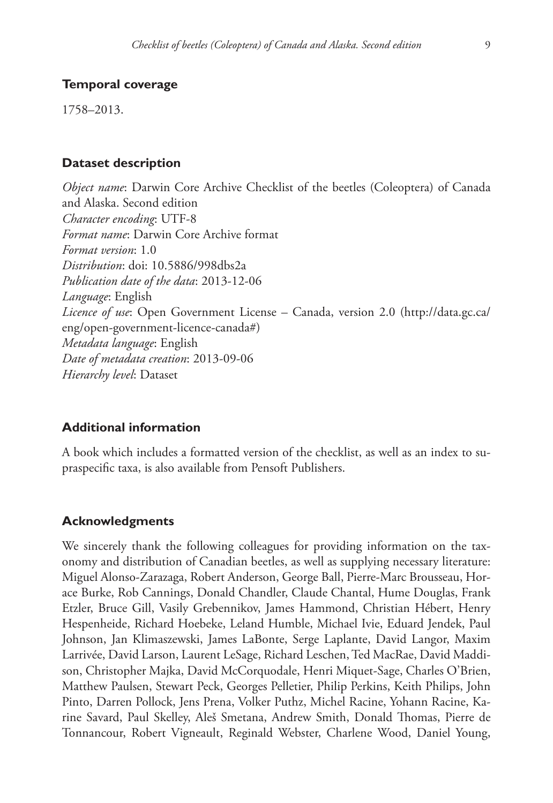## **Temporal coverage**

1758–2013.

## **Dataset description**

*Object name*: Darwin Core Archive Checklist of the beetles (Coleoptera) of Canada and Alaska. Second edition *Character encoding*: UTF-8 *Format name*: Darwin Core Archive format *Format version*: 1.0 *Distribution*: [doi: 10.5886/998dbs2a](http://dx.doi.org/10.5886/998dbs2a) *Publication date of the data*: 2013-12-06 *Language*: English *Licence of use*: Open Government License – Canada, version 2.0 [\(http://data.gc.ca/](http://data.gc.ca/eng/open-government-licence-canada) [eng/open-government-licence-canada#\)](http://data.gc.ca/eng/open-government-licence-canada) *Metadata language*: English *Date of metadata creation*: 2013-09-06 *Hierarchy level*: Dataset

## **Additional information**

A book which includes a formatted version of the checklist, as well as an index to supraspecific taxa, is also available from Pensoft Publishers.

## **Acknowledgments**

We sincerely thank the following colleagues for providing information on the taxonomy and distribution of Canadian beetles, as well as supplying necessary literature: Miguel Alonso-Zarazaga, Robert Anderson, George Ball, Pierre-Marc Brousseau, Horace Burke, Rob Cannings, Donald Chandler, Claude Chantal, Hume Douglas, Frank Etzler, Bruce Gill, Vasily Grebennikov, James Hammond, Christian Hébert, Henry Hespenheide, Richard Hoebeke, Leland Humble, Michael Ivie, Eduard Jendek, Paul Johnson, Jan Klimaszewski, James LaBonte, Serge Laplante, David Langor, Maxim Larrivée, David Larson, Laurent LeSage, Richard Leschen, Ted MacRae, David Maddison, Christopher Majka, David McCorquodale, Henri Miquet-Sage, Charles O'Brien, Matthew Paulsen, Stewart Peck, Georges Pelletier, Philip Perkins, Keith Philips, John Pinto, Darren Pollock, Jens Prena, Volker Puthz, Michel Racine, Yohann Racine, Karine Savard, Paul Skelley, Aleš Smetana, Andrew Smith, Donald Thomas, Pierre de Tonnancour, Robert Vigneault, Reginald Webster, Charlene Wood, Daniel Young,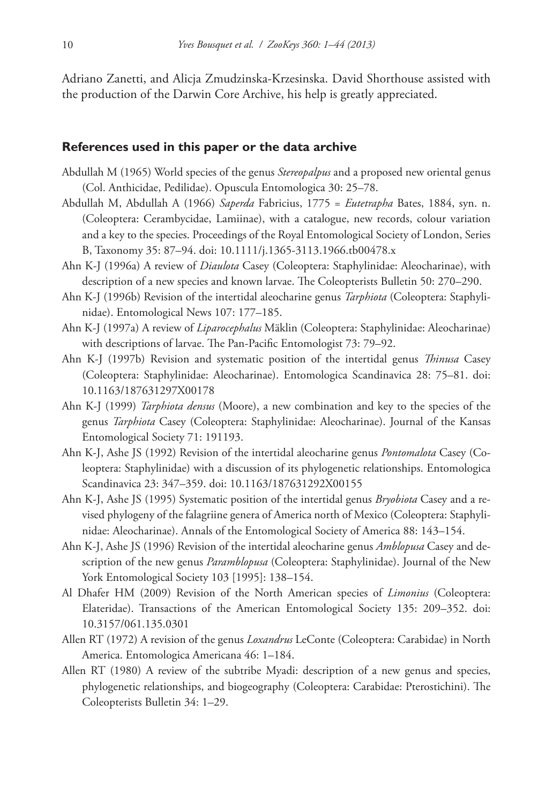Adriano Zanetti, and Alicja Zmudzinska-Krzesinska. David Shorthouse assisted with the production of the Darwin Core Archive, his help is greatly appreciated.

#### **References used in this paper or the data archive**

- Abdullah M (1965) World species of the genus *Stereopalpus* and a proposed new oriental genus (Col. Anthicidae, Pedilidae). Opuscula Entomologica 30: 25–78.
- Abdullah M, Abdullah A (1966) *Saperda* Fabricius, 1775 = *Eutetrapha* Bates, 1884, syn. n. (Coleoptera: Cerambycidae, Lamiinae), with a catalogue, new records, colour variation and a key to the species. Proceedings of the Royal Entomological Society of London, Series B, Taxonomy 35: 87–94. [doi: 10.1111/j.1365-3113.1966.tb00478.x](http://dx.doi.org/10.1111/j.1365-3113.1966.tb00478.x)
- Ahn K-J (1996a) A review of *Diaulota* Casey (Coleoptera: Staphylinidae: Aleocharinae), with description of a new species and known larvae. The Coleopterists Bulletin 50: 270–290.
- Ahn K-J (1996b) Revision of the intertidal aleocharine genus *Tarphiota* (Coleoptera: Staphylinidae). Entomological News 107: 177–185.
- Ahn K-J (1997a) A review of *Liparocephalus* Mäklin (Coleoptera: Staphylinidae: Aleocharinae) with descriptions of larvae. The Pan-Pacific Entomologist 73: 79–92.
- Ahn K-J (1997b) Revision and systematic position of the intertidal genus *Thinusa* Casey (Coleoptera: Staphylinidae: Aleocharinae). Entomologica Scandinavica 28: 75–81. [doi:](http://dx.doi.org/10.1163/187631297X00178) [10.1163/187631297X00178](http://dx.doi.org/10.1163/187631297X00178)
- Ahn K-J (1999) *Tarphiota densus* (Moore), a new combination and key to the species of the genus *Tarphiota* Casey (Coleoptera: Staphylinidae: Aleocharinae). Journal of the Kansas Entomological Society 71: 191193.
- Ahn K-J, Ashe JS (1992) Revision of the intertidal aleocharine genus *Pontomalota* Casey (Coleoptera: Staphylinidae) with a discussion of its phylogenetic relationships. Entomologica Scandinavica 23: 347–359. [doi: 10.1163/187631292X00155](http://dx.doi.org/10.1163/187631292X00155)
- Ahn K-J, Ashe JS (1995) Systematic position of the intertidal genus *Bryobiota* Casey and a revised phylogeny of the falagriine genera of America north of Mexico (Coleoptera: Staphylinidae: Aleocharinae). Annals of the Entomological Society of America 88: 143–154.
- Ahn K-J, Ashe JS (1996) Revision of the intertidal aleocharine genus *Amblopusa* Casey and description of the new genus *Paramblopusa* (Coleoptera: Staphylinidae). Journal of the New York Entomological Society 103 [1995]: 138–154.
- Al Dhafer HM (2009) Revision of the North American species of *Limonius* (Coleoptera: Elateridae). Transactions of the American Entomological Society 135: 209–352. [doi:](http://dx.doi.org/10.3157/061.135.0301) [10.3157/061.135.0301](http://dx.doi.org/10.3157/061.135.0301)
- Allen RT (1972) A revision of the genus *Loxandrus* LeConte (Coleoptera: Carabidae) in North America. Entomologica Americana 46: 1–184.
- Allen RT (1980) A review of the subtribe Myadi: description of a new genus and species, phylogenetic relationships, and biogeography (Coleoptera: Carabidae: Pterostichini). The Coleopterists Bulletin 34: 1–29.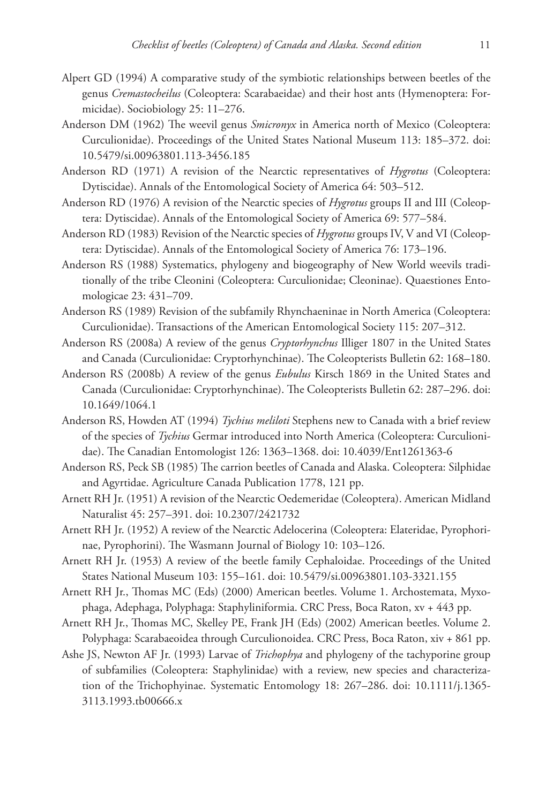- Alpert GD (1994) A comparative study of the symbiotic relationships between beetles of the genus *Cremastocheilus* (Coleoptera: Scarabaeidae) and their host ants (Hymenoptera: Formicidae). Sociobiology 25: 11–276.
- Anderson DM (1962) The weevil genus *Smicronyx* in America north of Mexico (Coleoptera: Curculionidae). Proceedings of the United States National Museum 113: 185–372. [doi:](http://dx.doi.org/10.5479/si.00963801.113-3456.185) [10.5479/si.00963801.113-3456.185](http://dx.doi.org/10.5479/si.00963801.113-3456.185)
- Anderson RD (1971) A revision of the Nearctic representatives of *Hygrotus* (Coleoptera: Dytiscidae). Annals of the Entomological Society of America 64: 503–512.
- Anderson RD (1976) A revision of the Nearctic species of *Hygrotus* groups II and III (Coleoptera: Dytiscidae). Annals of the Entomological Society of America 69: 577–584.
- Anderson RD (1983) Revision of the Nearctic species of *Hygrotus* groups IV, V and VI (Coleoptera: Dytiscidae). Annals of the Entomological Society of America 76: 173–196.
- Anderson RS (1988) Systematics, phylogeny and biogeography of New World weevils traditionally of the tribe Cleonini (Coleoptera: Curculionidae; Cleoninae). Quaestiones Entomologicae 23: 431–709.
- Anderson RS (1989) Revision of the subfamily Rhynchaeninae in North America (Coleoptera: Curculionidae). Transactions of the American Entomological Society 115: 207–312.
- Anderson RS (2008a) A review of the genus *Cryptorhynchus* Illiger 1807 in the United States and Canada (Curculionidae: Cryptorhynchinae). The Coleopterists Bulletin 62: 168–180.
- Anderson RS (2008b) A review of the genus *Eubulus* Kirsch 1869 in the United States and Canada (Curculionidae: Cryptorhynchinae). The Coleopterists Bulletin 62: 287–296. [doi:](http://dx.doi.org/10.1649/1064.1) [10.1649/1064.1](http://dx.doi.org/10.1649/1064.1)
- Anderson RS, Howden AT (1994) *Tychius meliloti* Stephens new to Canada with a brief review of the species of *Tychius* Germar introduced into North America (Coleoptera: Curculionidae). The Canadian Entomologist 126: 1363–1368. [doi: 10.4039/Ent1261363-6](http://dx.doi.org/10.4039/Ent1261363-6)
- Anderson RS, Peck SB (1985) The carrion beetles of Canada and Alaska. Coleoptera: Silphidae and Agyrtidae. Agriculture Canada Publication 1778, 121 pp.
- Arnett RH Jr. (1951) A revision of the Nearctic Oedemeridae (Coleoptera). American Midland Naturalist 45: 257–391. [doi: 10.2307/2421732](http://dx.doi.org/10.2307/2421732)
- Arnett RH Jr. (1952) A review of the Nearctic Adelocerina (Coleoptera: Elateridae, Pyrophorinae, Pyrophorini). The Wasmann Journal of Biology 10: 103–126.
- Arnett RH Jr. (1953) A review of the beetle family Cephaloidae. Proceedings of the United States National Museum 103: 155–161. [doi: 10.5479/si.00963801.103-3321.155](http://dx.doi.org/10.5479/si.00963801.103-3321.155)
- Arnett RH Jr., Thomas MC (Eds) (2000) American beetles. Volume 1. Archostemata, Myxophaga, Adephaga, Polyphaga: Staphyliniformia. CRC Press, Boca Raton, xv + 443 pp.
- Arnett RH Jr., Thomas MC, Skelley PE, Frank JH (Eds) (2002) American beetles. Volume 2. Polyphaga: Scarabaeoidea through Curculionoidea. CRC Press, Boca Raton, xiv + 861 pp.
- Ashe JS, Newton AF Jr. (1993) Larvae of *Trichophya* and phylogeny of the tachyporine group of subfamilies (Coleoptera: Staphylinidae) with a review, new species and characterization of the Trichophyinae. Systematic Entomology 18: 267–286. [doi: 10.1111/j.1365-](http://dx.doi.org/10.1111/j.1365-3113.1993.tb00666.x) [3113.1993.tb00666.x](http://dx.doi.org/10.1111/j.1365-3113.1993.tb00666.x)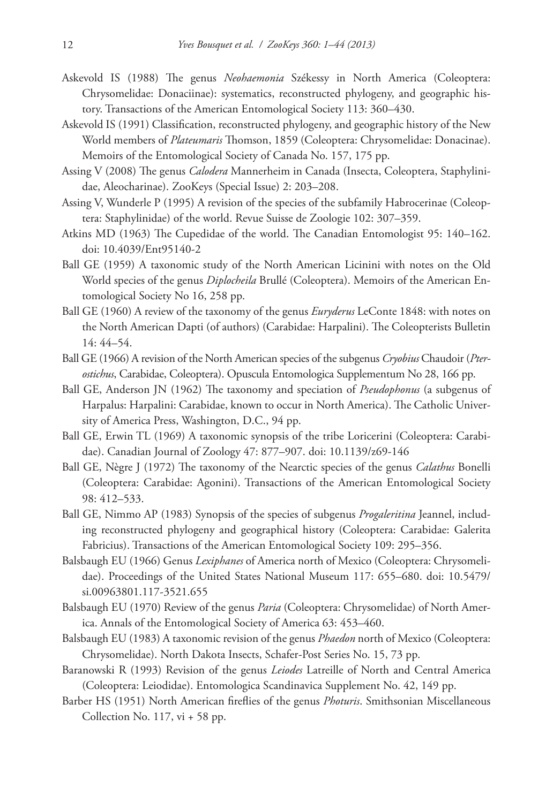- Askevold IS (1988) The genus *Neohaemonia* Székessy in North America (Coleoptera: Chrysomelidae: Donaciinae): systematics, reconstructed phylogeny, and geographic history. Transactions of the American Entomological Society 113: 360–430.
- Askevold IS (1991) Classification, reconstructed phylogeny, and geographic history of the New World members of *Plateumaris* Thomson, 1859 (Coleoptera: Chrysomelidae: Donacinae). Memoirs of the Entomological Society of Canada No. 157, 175 pp.
- Assing V (2008) The genus *Calodera* Mannerheim in Canada (Insecta, Coleoptera, Staphylinidae, Aleocharinae). ZooKeys (Special Issue) 2: 203–208.
- Assing V, Wunderle P (1995) A revision of the species of the subfamily Habrocerinae (Coleoptera: Staphylinidae) of the world. Revue Suisse de Zoologie 102: 307–359.
- Atkins MD (1963) The Cupedidae of the world. The Canadian Entomologist 95: 140–162. [doi: 10.4039/Ent95140-2](http://dx.doi.org/10.4039/Ent95140-2)
- Ball GE (1959) A taxonomic study of the North American Licinini with notes on the Old World species of the genus *Diplocheila* Brullé (Coleoptera). Memoirs of the American Entomological Society No 16, 258 pp.
- Ball GE (1960) A review of the taxonomy of the genus *Euryderus* LeConte 1848: with notes on the North American Dapti (of authors) (Carabidae: Harpalini). The Coleopterists Bulletin 14: 44–54.
- Ball GE (1966) A revision of the North American species of the subgenus *Cryobius* Chaudoir (*Pterostichus*, Carabidae, Coleoptera). Opuscula Entomologica Supplementum No 28, 166 pp.
- Ball GE, Anderson JN (1962) The taxonomy and speciation of *Pseudophonus* (a subgenus of Harpalus: Harpalini: Carabidae, known to occur in North America). The Catholic University of America Press, Washington, D.C., 94 pp.
- Ball GE, Erwin TL (1969) A taxonomic synopsis of the tribe Loricerini (Coleoptera: Carabidae). Canadian Journal of Zoology 47: 877–907. [doi: 10.1139/z69-146](http://dx.doi.org/10.1139/z69-146)
- Ball GE, Nègre J (1972) The taxonomy of the Nearctic species of the genus *Calathus* Bonelli (Coleoptera: Carabidae: Agonini). Transactions of the American Entomological Society 98: 412–533.
- Ball GE, Nimmo AP (1983) Synopsis of the species of subgenus *Progaleritina* Jeannel, including reconstructed phylogeny and geographical history (Coleoptera: Carabidae: Galerita Fabricius). Transactions of the American Entomological Society 109: 295–356.
- Balsbaugh EU (1966) Genus *Lexiphanes* of America north of Mexico (Coleoptera: Chrysomelidae). Proceedings of the United States National Museum 117: 655–680. [doi: 10.5479/](http://dx.doi.org/10.5479/si.00963801.117-3521.655) [si.00963801.117-3521.655](http://dx.doi.org/10.5479/si.00963801.117-3521.655)
- Balsbaugh EU (1970) Review of the genus *Paria* (Coleoptera: Chrysomelidae) of North America. Annals of the Entomological Society of America 63: 453–460.
- Balsbaugh EU (1983) A taxonomic revision of the genus *Phaedon* north of Mexico (Coleoptera: Chrysomelidae). North Dakota Insects, Schafer-Post Series No. 15, 73 pp.
- Baranowski R (1993) Revision of the genus *Leiodes* Latreille of North and Central America (Coleoptera: Leiodidae). Entomologica Scandinavica Supplement No. 42, 149 pp.
- Barber HS (1951) North American fireflies of the genus *Photuris*. Smithsonian Miscellaneous Collection No. 117, vi + 58 pp.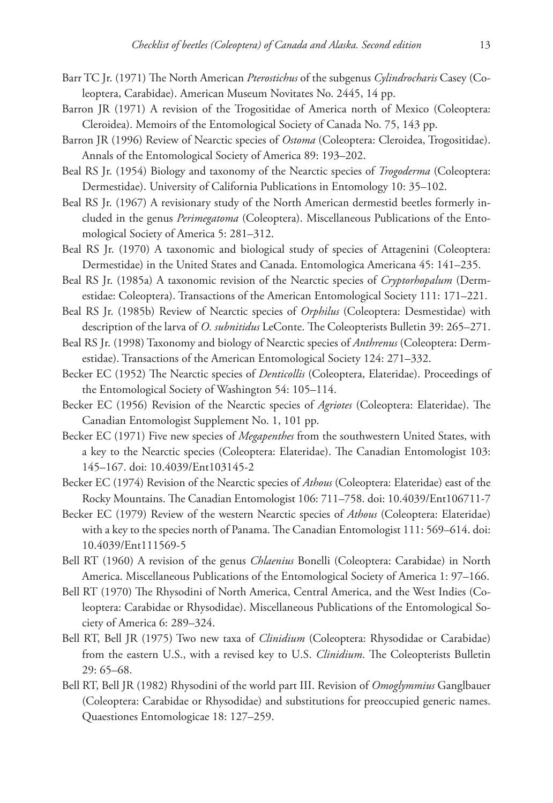- Barr TC Jr. (1971) The North American *Pterostichus* of the subgenus *Cylindrocharis* Casey (Coleoptera, Carabidae). American Museum Novitates No. 2445, 14 pp.
- Barron JR (1971) A revision of the Trogositidae of America north of Mexico (Coleoptera: Cleroidea). Memoirs of the Entomological Society of Canada No. 75, 143 pp.
- Barron JR (1996) Review of Nearctic species of *Ostoma* (Coleoptera: Cleroidea, Trogositidae). Annals of the Entomological Society of America 89: 193–202.
- Beal RS Jr. (1954) Biology and taxonomy of the Nearctic species of *Trogoderma* (Coleoptera: Dermestidae). University of California Publications in Entomology 10: 35–102.
- Beal RS Jr. (1967) A revisionary study of the North American dermestid beetles formerly included in the genus *Perimegatoma* (Coleoptera). Miscellaneous Publications of the Entomological Society of America 5: 281–312.
- Beal RS Jr. (1970) A taxonomic and biological study of species of Attagenini (Coleoptera: Dermestidae) in the United States and Canada. Entomologica Americana 45: 141–235.
- Beal RS Jr. (1985a) A taxonomic revision of the Nearctic species of *Cryptorhopalum* (Dermestidae: Coleoptera). Transactions of the American Entomological Society 111: 171–221.
- Beal RS Jr. (1985b) Review of Nearctic species of *Orphilus* (Coleoptera: Desmestidae) with description of the larva of *O. subnitidus* LeConte. The Coleopterists Bulletin 39: 265–271.
- Beal RS Jr. (1998) Taxonomy and biology of Nearctic species of *Anthrenus* (Coleoptera: Dermestidae). Transactions of the American Entomological Society 124: 271–332.
- Becker EC (1952) The Nearctic species of *Denticollis* (Coleoptera, Elateridae). Proceedings of the Entomological Society of Washington 54: 105–114.
- Becker EC (1956) Revision of the Nearctic species of *Agriotes* (Coleoptera: Elateridae). The Canadian Entomologist Supplement No. 1, 101 pp.
- Becker EC (1971) Five new species of *Megapenthes* from the southwestern United States, with a key to the Nearctic species (Coleoptera: Elateridae). The Canadian Entomologist 103: 145–167. [doi: 10.4039/Ent103145-2](http://dx.doi.org/10.4039/Ent103145-2)
- Becker EC (1974) Revision of the Nearctic species of *Athous* (Coleoptera: Elateridae) east of the Rocky Mountains. The Canadian Entomologist 106: 711–758. [doi: 10.4039/Ent106711-7](http://dx.doi.org/10.4039/Ent106711-7)
- Becker EC (1979) Review of the western Nearctic species of *Athous* (Coleoptera: Elateridae) with a key to the species north of Panama. The Canadian Entomologist 111: 569–614. [doi:](http://dx.doi.org/10.4039/Ent111569-5) [10.4039/Ent111569-5](http://dx.doi.org/10.4039/Ent111569-5)
- Bell RT (1960) A revision of the genus *Chlaenius* Bonelli (Coleoptera: Carabidae) in North America. Miscellaneous Publications of the Entomological Society of America 1: 97–166.
- Bell RT (1970) The Rhysodini of North America, Central America, and the West Indies (Coleoptera: Carabidae or Rhysodidae). Miscellaneous Publications of the Entomological Society of America 6: 289–324.
- Bell RT, Bell JR (1975) Two new taxa of *Clinidium* (Coleoptera: Rhysodidae or Carabidae) from the eastern U.S., with a revised key to U.S. *Clinidium*. The Coleopterists Bulletin 29: 65–68.
- Bell RT, Bell JR (1982) Rhysodini of the world part III. Revision of *Omoglymmius* Ganglbauer (Coleoptera: Carabidae or Rhysodidae) and substitutions for preoccupied generic names. Quaestiones Entomologicae 18: 127–259.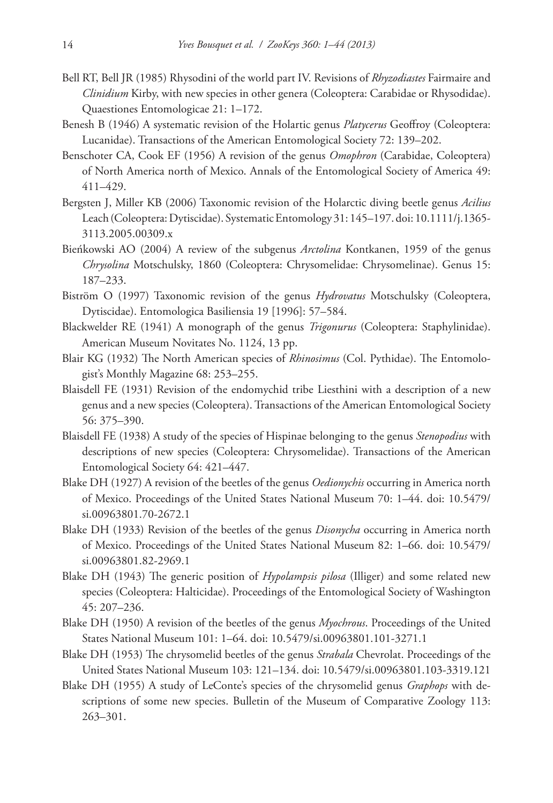- Bell RT, Bell JR (1985) Rhysodini of the world part IV. Revisions of *Rhyzodiastes* Fairmaire and *Clinidium* Kirby, with new species in other genera (Coleoptera: Carabidae or Rhysodidae). Quaestiones Entomologicae 21: 1–172.
- Benesh B (1946) A systematic revision of the Holartic genus *Platycerus* Geoffroy (Coleoptera: Lucanidae). Transactions of the American Entomological Society 72: 139–202.
- Benschoter CA, Cook EF (1956) A revision of the genus *Omophron* (Carabidae, Coleoptera) of North America north of Mexico. Annals of the Entomological Society of America 49: 411–429.
- Bergsten J, Miller KB (2006) Taxonomic revision of the Holarctic diving beetle genus *Acilius* Leach (Coleoptera: Dytiscidae). Systematic Entomology 31: 145–197. [doi: 10.1111/j.1365-](http://dx.doi.org/10.1111/j.1365-3113.2005.00309.x) [3113.2005.00309.x](http://dx.doi.org/10.1111/j.1365-3113.2005.00309.x)
- Bieńkowski AO (2004) A review of the subgenus *Arctolina* Kontkanen, 1959 of the genus *Chrysolina* Motschulsky, 1860 (Coleoptera: Chrysomelidae: Chrysomelinae). Genus 15: 187–233.
- Biström O (1997) Taxonomic revision of the genus *Hydrovatus* Motschulsky (Coleoptera, Dytiscidae). Entomologica Basiliensia 19 [1996]: 57–584.
- Blackwelder RE (1941) A monograph of the genus *Trigonurus* (Coleoptera: Staphylinidae). American Museum Novitates No. 1124, 13 pp.
- Blair KG (1932) The North American species of *Rhinosimus* (Col. Pythidae). The Entomologist's Monthly Magazine 68: 253–255.
- Blaisdell FE (1931) Revision of the endomychid tribe Liesthini with a description of a new genus and a new species (Coleoptera). Transactions of the American Entomological Society 56: 375–390.
- Blaisdell FE (1938) A study of the species of Hispinae belonging to the genus *Stenopodius* with descriptions of new species (Coleoptera: Chrysomelidae). Transactions of the American Entomological Society 64: 421–447.
- Blake DH (1927) A revision of the beetles of the genus *Oedionychis* occurring in America north of Mexico. Proceedings of the United States National Museum 70: 1–44. [doi: 10.5479/](http://dx.doi.org/10.5479/si.00963801.70-2672.1) [si.00963801.70-2672.1](http://dx.doi.org/10.5479/si.00963801.70-2672.1)
- Blake DH (1933) Revision of the beetles of the genus *Disonycha* occurring in America north of Mexico. Proceedings of the United States National Museum 82: 1–66. [doi: 10.5479/](http://dx.doi.org/10.5479/si.00963801.82-2969-1) [si.00963801.82-2969.1](http://dx.doi.org/10.5479/si.00963801.82-2969-1)
- Blake DH (1943) The generic position of *Hypolampsis pilosa* (Illiger) and some related new species (Coleoptera: Halticidae). Proceedings of the Entomological Society of Washington 45: 207–236.
- Blake DH (1950) A revision of the beetles of the genus *Myochrous*. Proceedings of the United States National Museum 101: 1–64. [doi: 10.5479/si.00963801.101-3271.1](http://dx.doi.org/10.5479/si.00963801.101-3271.1)
- Blake DH (1953) The chrysomelid beetles of the genus *Strabala* Chevrolat. Proceedings of the United States National Museum 103: 121–134. [doi: 10.5479/si.00963801.103-3319.121](http://dx.doi.org/10.5479/si.00963801.103-3319.121)
- Blake DH (1955) A study of LeConte's species of the chrysomelid genus *Graphops* with descriptions of some new species. Bulletin of the Museum of Comparative Zoology 113: 263–301.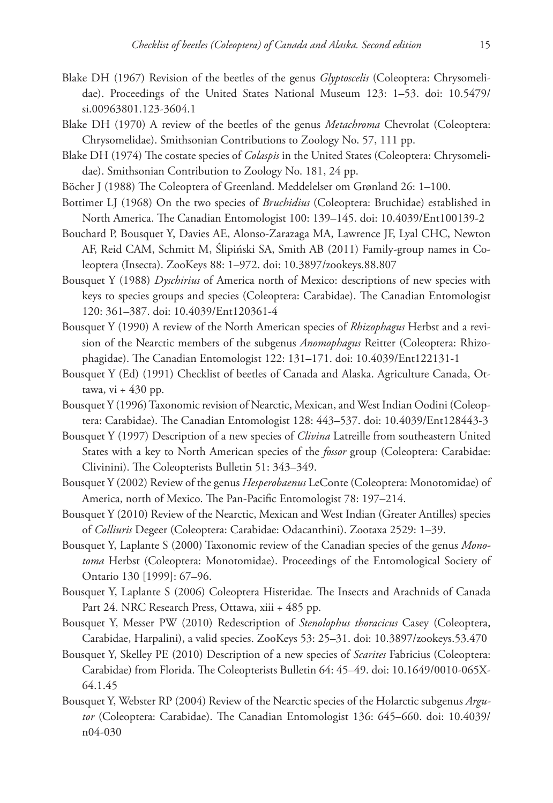- Blake DH (1967) Revision of the beetles of the genus *Glyptoscelis* (Coleoptera: Chrysomelidae). Proceedings of the United States National Museum 123: 1–53. [doi: 10.5479/](http://dx.doi.org/10.5479/si.00963801.123-3604.1) [si.00963801.123-3604.1](http://dx.doi.org/10.5479/si.00963801.123-3604.1)
- Blake DH (1970) A review of the beetles of the genus *Metachroma* Chevrolat (Coleoptera: Chrysomelidae). Smithsonian Contributions to Zoology No. 57, 111 pp.
- Blake DH (1974) The costate species of *Colaspis* in the United States (Coleoptera: Chrysomelidae). Smithsonian Contribution to Zoology No. 181, 24 pp.
- Böcher J (1988) The Coleoptera of Greenland. Meddelelser om Grønland 26: 1–100.
- Bottimer LJ (1968) On the two species of *Bruchidius* (Coleoptera: Bruchidae) established in North America. The Canadian Entomologist 100: 139–145. [doi: 10.4039/Ent100139-2](http://dx.doi.org/10.4039/Ent100139-2)
- Bouchard P, Bousquet Y, Davies AE, Alonso-Zarazaga MA, Lawrence JF, Lyal CHC, Newton AF, Reid CAM, Schmitt M, Ślipiński SA, Smith AB (2011) Family-group names in Coleoptera (Insecta). ZooKeys 88: 1–972. [doi: 10.3897/zookeys.88.807](http://dx.doi.org/10.3897/zookeys.88.807)
- Bousquet Y (1988) *Dyschirius* of America north of Mexico: descriptions of new species with keys to species groups and species (Coleoptera: Carabidae). The Canadian Entomologist 120: 361–387. [doi: 10.4039/Ent120361-4](http://dx.doi.org/10.4039/Ent120361-4)
- Bousquet Y (1990) A review of the North American species of *Rhizophagus* Herbst and a revision of the Nearctic members of the subgenus *Anomophagus* Reitter (Coleoptera: Rhizophagidae). The Canadian Entomologist 122: 131–171. [doi: 10.4039/Ent122131-1](http://dx.doi.org/10.4039/Ent122131-1)
- Bousquet Y (Ed) (1991) Checklist of beetles of Canada and Alaska. Agriculture Canada, Ottawa, vi  $+430$  pp.
- Bousquet Y (1996) Taxonomic revision of Nearctic, Mexican, and West Indian Oodini (Coleoptera: Carabidae). The Canadian Entomologist 128: 443–537. [doi: 10.4039/Ent128443-3](http://dx.doi.org/10.4039/Ent128443-3)
- Bousquet Y (1997) Description of a new species of *Clivina* Latreille from southeastern United States with a key to North American species of the *fossor* group (Coleoptera: Carabidae: Clivinini). The Coleopterists Bulletin 51: 343–349.
- Bousquet Y (2002) Review of the genus *Hesperobaenus* LeConte (Coleoptera: Monotomidae) of America, north of Mexico. The Pan-Pacific Entomologist 78: 197–214.
- Bousquet Y (2010) Review of the Nearctic, Mexican and West Indian (Greater Antilles) species of *Colliuris* Degeer (Coleoptera: Carabidae: Odacanthini). Zootaxa 2529: 1–39.
- Bousquet Y, Laplante S (2000) Taxonomic review of the Canadian species of the genus *Monotoma* Herbst (Coleoptera: Monotomidae). Proceedings of the Entomological Society of Ontario 130 [1999]: 67–96.
- Bousquet Y, Laplante S (2006) Coleoptera Histeridae*.* The Insects and Arachnids of Canada Part 24. NRC Research Press, Ottawa, xiii + 485 pp.
- Bousquet Y, Messer PW (2010) Redescription of *Stenolophus thoracicus* Casey (Coleoptera, Carabidae, Harpalini), a valid species. ZooKeys 53: 25–31. [doi: 10.3897/zookeys.53.470](http://dx.doi.org/10.3897/zookeys.53.470)
- Bousquet Y, Skelley PE (2010) Description of a new species of *Scarites* Fabricius (Coleoptera: Carabidae) from Florida. The Coleopterists Bulletin 64: 45–49. [doi: 10.1649/0010-065X-](http://dx.doi.org/10.1649/0010-065X-64.1.45)[64.1.45](http://dx.doi.org/10.1649/0010-065X-64.1.45)
- Bousquet Y, Webster RP (2004) Review of the Nearctic species of the Holarctic subgenus *Argutor* (Coleoptera: Carabidae). The Canadian Entomologist 136: 645–660. [doi: 10.4039/](http://dx.doi.org/10.4039/n04-030) [n04-030](http://dx.doi.org/10.4039/n04-030)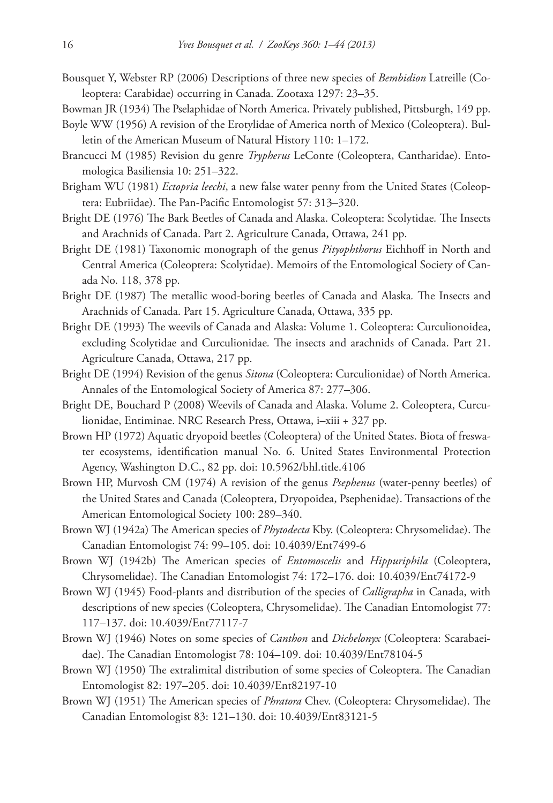- Bousquet Y, Webster RP (2006) Descriptions of three new species of *Bembidion* Latreille (Coleoptera: Carabidae) occurring in Canada. Zootaxa 1297: 23–35.
- Bowman JR (1934) The Pselaphidae of North America. Privately published, Pittsburgh, 149 pp.
- Boyle WW (1956) A revision of the Erotylidae of America north of Mexico (Coleoptera). Bulletin of the American Museum of Natural History 110: 1–172.
- Brancucci M (1985) Revision du genre *Trypherus* LeConte (Coleoptera, Cantharidae). Entomologica Basiliensia 10: 251–322.
- Brigham WU (1981) *Ectopria leechi*, a new false water penny from the United States (Coleoptera: Eubriidae). The Pan-Pacific Entomologist 57: 313–320.
- Bright DE (1976) The Bark Beetles of Canada and Alaska. Coleoptera: Scolytidae*.* The Insects and Arachnids of Canada. Part 2. Agriculture Canada, Ottawa, 241 pp.
- Bright DE (1981) Taxonomic monograph of the genus *Pityophthorus* Eichhoff in North and Central America (Coleoptera: Scolytidae). Memoirs of the Entomological Society of Canada No. 118, 378 pp.
- Bright DE (1987) The metallic wood-boring beetles of Canada and Alaska*.* The Insects and Arachnids of Canada. Part 15. Agriculture Canada, Ottawa, 335 pp.
- Bright DE (1993) The weevils of Canada and Alaska: Volume 1. Coleoptera: Curculionoidea, excluding Scolytidae and Curculionidae*.* The insects and arachnids of Canada. Part 21. Agriculture Canada, Ottawa, 217 pp.
- Bright DE (1994) Revision of the genus *Sitona* (Coleoptera: Curculionidae) of North America. Annales of the Entomological Society of America 87: 277–306.
- Bright DE, Bouchard P (2008) Weevils of Canada and Alaska. Volume 2. Coleoptera, Curculionidae, Entiminae. NRC Research Press, Ottawa, i–xiii + 327 pp.
- Brown HP (1972) Aquatic dryopoid beetles (Coleoptera) of the United States. Biota of freswater ecosystems, identification manual No. 6. United States Environmental Protection Agency, Washington D.C., 82 pp. [doi: 10.5962/bhl.title.4106](http://dx.doi.org/10.5962/bhl.title.4106)
- Brown HP, Murvosh CM (1974) A revision of the genus *Psephenus* (water-penny beetles) of the United States and Canada (Coleoptera, Dryopoidea, Psephenidae). Transactions of the American Entomological Society 100: 289–340.
- Brown WJ (1942a) The American species of *Phytodecta* Kby. (Coleoptera: Chrysomelidae). The Canadian Entomologist 74: 99–105. [doi: 10.4039/Ent7499-6](http://dx.doi.org/10.4039/Ent7499-6)
- Brown WJ (1942b) The American species of *Entomoscelis* and *Hippuriphila* (Coleoptera, Chrysomelidae). The Canadian Entomologist 74: 172–176. [doi: 10.4039/Ent74172-9](http://dx.doi.org/10.4039/Ent74172-9)
- Brown WJ (1945) Food-plants and distribution of the species of *Calligrapha* in Canada, with descriptions of new species (Coleoptera, Chrysomelidae). The Canadian Entomologist 77: 117–137. [doi: 10.4039/Ent77117-7](http://dx.doi.org/10.4039/Ent77117-7)
- Brown WJ (1946) Notes on some species of *Canthon* and *Dichelonyx* (Coleoptera: Scarabaeidae). The Canadian Entomologist 78: 104–109. [doi: 10.4039/Ent78104-5](http://dx.doi.org/10.4039/Ent78104-5)
- Brown WJ (1950) The extralimital distribution of some species of Coleoptera. The Canadian Entomologist 82: 197–205. [doi: 10.4039/Ent82197-10](http://dx.doi.org/10.4039/Ent82197-10)
- Brown WJ (1951) The American species of *Phratora* Chev. (Coleoptera: Chrysomelidae). The Canadian Entomologist 83: 121–130. [doi: 10.4039/Ent83121-5](http://dx.doi.org/10.4039/Ent83121-5)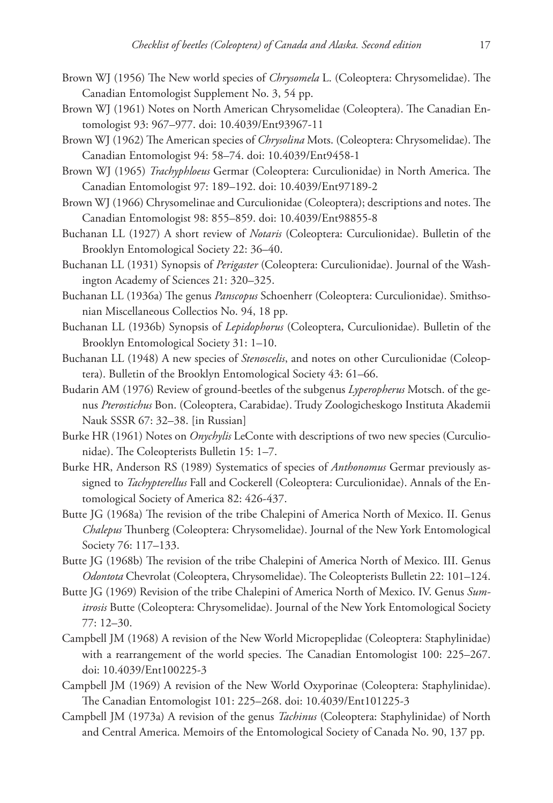- Brown WJ (1956) The New world species of *Chrysomela* L. (Coleoptera: Chrysomelidae). The Canadian Entomologist Supplement No. 3, 54 pp.
- Brown WJ (1961) Notes on North American Chrysomelidae (Coleoptera). The Canadian Entomologist 93: 967–977. [doi: 10.4039/Ent93967-11](http://dx.doi.org/10.4039/Ent93967-11)
- Brown WJ (1962) The American species of *Chrysolina* Mots. (Coleoptera: Chrysomelidae). The Canadian Entomologist 94: 58–74. [doi: 10.4039/Ent9458-1](http://dx.doi.org/10.4039/Ent9458-1)
- Brown WJ (1965) *Trachyphloeus* Germar (Coleoptera: Curculionidae) in North America. The Canadian Entomologist 97: 189–192. [doi: 10.4039/Ent97189-2](http://dx.doi.org/10.4039/Ent97189-2)
- Brown WJ (1966) Chrysomelinae and Curculionidae (Coleoptera); descriptions and notes. The Canadian Entomologist 98: 855–859. [doi: 10.4039/Ent98855-8](http://dx.doi.org/10.4039/Ent98855-8)
- Buchanan LL (1927) A short review of *Notaris* (Coleoptera: Curculionidae). Bulletin of the Brooklyn Entomological Society 22: 36–40.
- Buchanan LL (1931) Synopsis of *Perigaster* (Coleoptera: Curculionidae). Journal of the Washington Academy of Sciences 21: 320–325.
- Buchanan LL (1936a) The genus *Panscopus* Schoenherr (Coleoptera: Curculionidae). Smithsonian Miscellaneous Collectios No. 94, 18 pp.
- Buchanan LL (1936b) Synopsis of *Lepidophorus* (Coleoptera, Curculionidae). Bulletin of the Brooklyn Entomological Society 31: 1–10.
- Buchanan LL (1948) A new species of *Stenoscelis*, and notes on other Curculionidae (Coleoptera). Bulletin of the Brooklyn Entomological Society 43: 61–66.
- Budarin AM (1976) Review of ground-beetles of the subgenus *Lyperopherus* Motsch. of the genus *Pterostichus* Bon. (Coleoptera, Carabidae). Trudy Zoologicheskogo Instituta Akademii Nauk SSSR 67: 32–38. [in Russian]
- Burke HR (1961) Notes on *Onychylis* LeConte with descriptions of two new species (Curculionidae). The Coleopterists Bulletin 15: 1–7.
- Burke HR, Anderson RS (1989) Systematics of species of *Anthonomus* Germar previously assigned to *Tachypterellus* Fall and Cockerell (Coleoptera: Curculionidae). Annals of the Entomological Society of America 82: 426-437.
- Butte JG (1968a) The revision of the tribe Chalepini of America North of Mexico. II. Genus *Chalepus* Thunberg (Coleoptera: Chrysomelidae). Journal of the New York Entomological Society 76: 117–133.
- Butte JG (1968b) The revision of the tribe Chalepini of America North of Mexico. III. Genus *Odontota* Chevrolat (Coleoptera, Chrysomelidae). The Coleopterists Bulletin 22: 101–124.
- Butte JG (1969) Revision of the tribe Chalepini of America North of Mexico. IV. Genus *Sumitrosis* Butte (Coleoptera: Chrysomelidae). Journal of the New York Entomological Society 77: 12–30.
- Campbell JM (1968) A revision of the New World Micropeplidae (Coleoptera: Staphylinidae) with a rearrangement of the world species. The Canadian Entomologist 100: 225–267. [doi: 10.4039/Ent100225-3](http://dx.doi.org/10.4039/Ent100225-3)
- Campbell JM (1969) A revision of the New World Oxyporinae (Coleoptera: Staphylinidae). The Canadian Entomologist 101: 225–268. [doi: 10.4039/Ent101225-3](http://dx.doi.org/10.4039/Ent101225-3)
- Campbell JM (1973a) A revision of the genus *Tachinus* (Coleoptera: Staphylinidae) of North and Central America. Memoirs of the Entomological Society of Canada No. 90, 137 pp.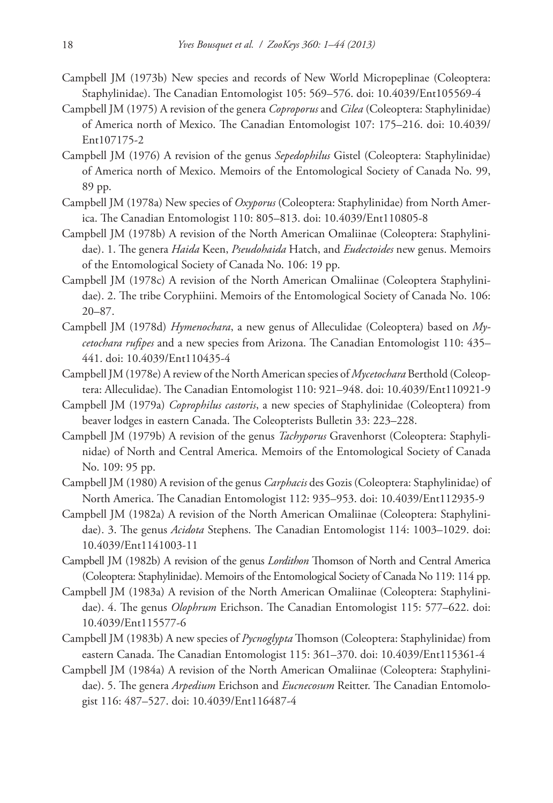- Campbell JM (1973b) New species and records of New World Micropeplinae (Coleoptera: Staphylinidae). The Canadian Entomologist 105: 569–576. [doi: 10.4039/Ent105569-4](http://dx.doi.org/10.4039/Ent105569-4)
- Campbell JM (1975) A revision of the genera *Coproporus* and *Cilea* (Coleoptera: Staphylinidae) of America north of Mexico. The Canadian Entomologist 107: 175–216. [doi: 10.4039/](http://dx.doi.org/10.4039/Ent107175-2) [Ent107175-2](http://dx.doi.org/10.4039/Ent107175-2)
- Campbell JM (1976) A revision of the genus *Sepedophilus* Gistel (Coleoptera: Staphylinidae) of America north of Mexico. Memoirs of the Entomological Society of Canada No. 99, 89 pp.
- Campbell JM (1978a) New species of *Oxyporus* (Coleoptera: Staphylinidae) from North America. The Canadian Entomologist 110: 805–813. [doi: 10.4039/Ent110805-8](http://dx.doi.org/10.4039/Ent110805-8)
- Campbell JM (1978b) A revision of the North American Omaliinae (Coleoptera: Staphylinidae). 1. The genera *Haida* Keen, *Pseudohaida* Hatch, and *Eudectoides* new genus. Memoirs of the Entomological Society of Canada No. 106: 19 pp.
- Campbell JM (1978c) A revision of the North American Omaliinae (Coleoptera Staphylinidae). 2. The tribe Coryphiini. Memoirs of the Entomological Society of Canada No. 106: 20–87.
- Campbell JM (1978d) *Hymenochara*, a new genus of Alleculidae (Coleoptera) based on *Mycetochara rufipes* and a new species from Arizona. The Canadian Entomologist 110: 435– 441. [doi: 10.4039/Ent110435-4](http://dx.doi.org/10.4039/Ent110435-4)
- Campbell JM (1978e) A review of the North American species of *Mycetochara* Berthold (Coleoptera: Alleculidae). The Canadian Entomologist 110: 921–948. [doi: 10.4039/Ent110921-9](http://dx.doi.org/10.4039/Ent110921-9)
- Campbell JM (1979a) *Coprophilus castoris*, a new species of Staphylinidae (Coleoptera) from beaver lodges in eastern Canada. The Coleopterists Bulletin 33: 223–228.
- Campbell JM (1979b) A revision of the genus *Tachyporus* Gravenhorst (Coleoptera: Staphylinidae) of North and Central America. Memoirs of the Entomological Society of Canada No. 109: 95 pp.
- Campbell JM (1980) A revision of the genus *Carphacis* des Gozis (Coleoptera: Staphylinidae) of North America. The Canadian Entomologist 112: 935–953. [doi: 10.4039/Ent112935-9](http://dx.doi.org/10.4039/Ent112935-9)
- Campbell JM (1982a) A revision of the North American Omaliinae (Coleoptera: Staphylinidae). 3. The genus *Acidota* Stephens. The Canadian Entomologist 114: 1003–1029. [doi:](http://dx.doi.org/10.4039/Ent1141003-11) [10.4039/Ent1141003-11](http://dx.doi.org/10.4039/Ent1141003-11)
- Campbell JM (1982b) A revision of the genus *Lordithon* Thomson of North and Central America (Coleoptera: Staphylinidae). Memoirs of the Entomological Society of Canada No 119: 114 pp.
- Campbell JM (1983a) A revision of the North American Omaliinae (Coleoptera: Staphylinidae). 4. The genus *Olophrum* Erichson. The Canadian Entomologist 115: 577–622. [doi:](http://dx.doi.org/10.4039/Ent115577-6) [10.4039/Ent115577-6](http://dx.doi.org/10.4039/Ent115577-6)
- Campbell JM (1983b) A new species of *Pycnoglypta* Thomson (Coleoptera: Staphylinidae) from eastern Canada. The Canadian Entomologist 115: 361–370. [doi: 10.4039/Ent115361-4](http://dx.doi.org/10.4039/Ent115361-4)
- Campbell JM (1984a) A revision of the North American Omaliinae (Coleoptera: Staphylinidae). 5. The genera *Arpedium* Erichson and *Eucnecosum* Reitter. The Canadian Entomologist 116: 487–527. [doi: 10.4039/Ent116487-4](http://dx.doi.org/10.4039/Ent116487-4)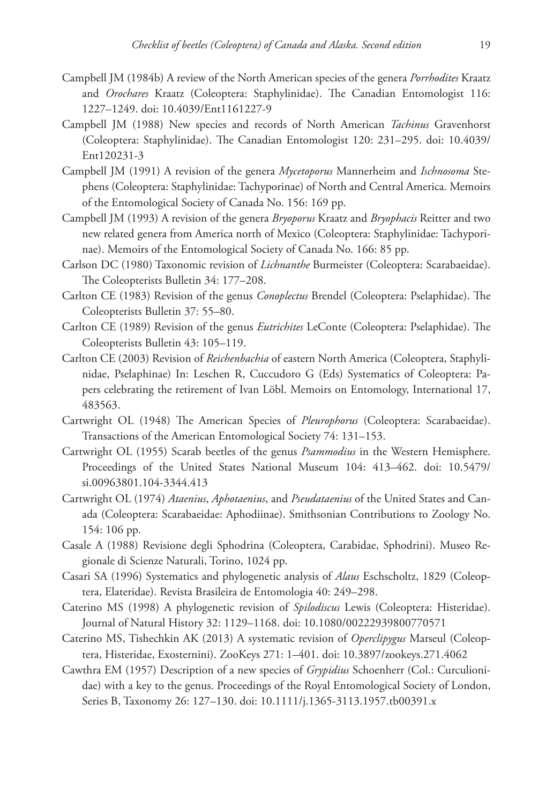- Campbell JM (1984b) A review of the North American species of the genera *Porrhodites* Kraatz and *Orochares* Kraatz (Coleoptera: Staphylinidae). The Canadian Entomologist 116: 1227–1249. [doi: 10.4039/Ent1161227-9](http://dx.doi.org/10.4039/Ent1161227-9)
- Campbell JM (1988) New species and records of North American *Tachinus* Gravenhorst (Coleoptera: Staphylinidae). The Canadian Entomologist 120: 231–295. [doi: 10.4039/](http://dx.doi.org/10.4039/Ent120231-3) [Ent120231-3](http://dx.doi.org/10.4039/Ent120231-3)
- Campbell JM (1991) A revision of the genera *Mycetoporus* Mannerheim and *Ischnosoma* Stephens (Coleoptera: Staphylinidae: Tachyporinae) of North and Central America. Memoirs of the Entomological Society of Canada No. 156: 169 pp.
- Campbell JM (1993) A revision of the genera *Bryoporus* Kraatz and *Bryophacis* Reitter and two new related genera from America north of Mexico (Coleoptera: Staphylinidae: Tachyporinae). Memoirs of the Entomological Society of Canada No. 166: 85 pp.
- Carlson DC (1980) Taxonomic revision of *Lichnanthe* Burmeister (Coleoptera: Scarabaeidae). The Coleopterists Bulletin 34: 177–208.
- Carlton CE (1983) Revision of the genus *Conoplectus* Brendel (Coleoptera: Pselaphidae). The Coleopterists Bulletin 37: 55–80.
- Carlton CE (1989) Revision of the genus *Eutrichites* LeConte (Coleoptera: Pselaphidae). The Coleopterists Bulletin 43: 105–119.
- Carlton CE (2003) Revision of *Reichenbachia* of eastern North America (Coleoptera, Staphylinidae, Pselaphinae) In: Leschen R, Cuccudoro G (Eds) Systematics of Coleoptera: Papers celebrating the retirement of Ivan Löbl. Memoirs on Entomology, International 17, 483563.
- Cartwright OL (1948) The American Species of *Pleurophorus* (Coleoptera: Scarabaeidae). Transactions of the American Entomological Society 74: 131–153.
- Cartwright OL (1955) Scarab beetles of the genus *Psammodius* in the Western Hemisphere. Proceedings of the United States National Museum 104: 413–462. [doi: 10.5479/](http://dx.doi.org/10.5479/si.00963801.104-3344.413) [si.00963801.104-3344.413](http://dx.doi.org/10.5479/si.00963801.104-3344.413)
- Cartwright OL (1974) *Ataenius*, *Aphotaenius*, and *Pseudataenius* of the United States and Canada (Coleoptera: Scarabaeidae: Aphodiinae). Smithsonian Contributions to Zoology No. 154: 106 pp.
- Casale A (1988) Revisione degli Sphodrina (Coleoptera, Carabidae, Sphodrini). Museo Regionale di Scienze Naturali, Torino, 1024 pp.
- Casari SA (1996) Systematics and phylogenetic analysis of *Alaus* Eschscholtz, 1829 (Coleoptera, Elateridae). Revista Brasileira de Entomologia 40: 249–298.
- Caterino MS (1998) A phylogenetic revision of *Spilodiscus* Lewis (Coleoptera: Histeridae). Journal of Natural History 32: 1129–1168. [doi: 10.1080/00222939800770571](http://dx.doi.org/10.1080/00222939800770571)
- Caterino MS, Tishechkin AK (2013) A systematic revision of *Operclipygus* Marseul (Coleoptera, Histeridae, Exosternini). ZooKeys 271: 1–401. [doi: 10.3897/zookeys.271.4062](http://dx.doi.org/10.3897/zookeys.271.4062)
- Cawthra EM (1957) Description of a new species of *Grypidius* Schoenherr (Col.: Curculionidae) with a key to the genus. Proceedings of the Royal Entomological Society of London, Series B, Taxonomy 26: 127–130. [doi: 10.1111/j.1365-3113.1957.tb00391.x](http://dx.doi.org/10.1111/j.1365-3113.1957.tb00391.x)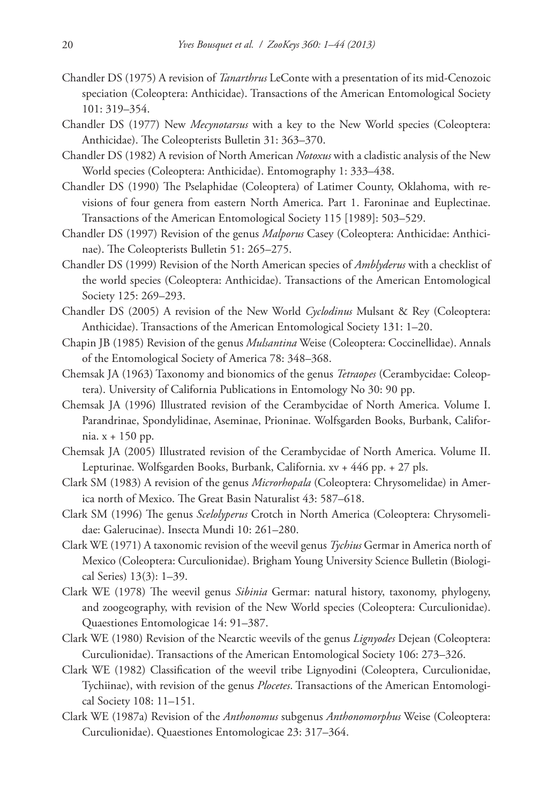- Chandler DS (1975) A revision of *Tanarthrus* LeConte with a presentation of its mid-Cenozoic speciation (Coleoptera: Anthicidae). Transactions of the American Entomological Society 101: 319–354.
- Chandler DS (1977) New *Mecynotarsus* with a key to the New World species (Coleoptera: Anthicidae). The Coleopterists Bulletin 31: 363–370.
- Chandler DS (1982) A revision of North American *Notoxus* with a cladistic analysis of the New World species (Coleoptera: Anthicidae). Entomography 1: 333–438.
- Chandler DS (1990) The Pselaphidae (Coleoptera) of Latimer County, Oklahoma, with revisions of four genera from eastern North America. Part 1. Faroninae and Euplectinae. Transactions of the American Entomological Society 115 [1989]: 503–529.
- Chandler DS (1997) Revision of the genus *Malporus* Casey (Coleoptera: Anthicidae: Anthicinae). The Coleopterists Bulletin 51: 265–275.
- Chandler DS (1999) Revision of the North American species of *Amblyderus* with a checklist of the world species (Coleoptera: Anthicidae). Transactions of the American Entomological Society 125: 269–293.
- Chandler DS (2005) A revision of the New World *Cyclodinus* Mulsant & Rey (Coleoptera: Anthicidae). Transactions of the American Entomological Society 131: 1–20.
- Chapin JB (1985) Revision of the genus *Mulsantina* Weise (Coleoptera: Coccinellidae). Annals of the Entomological Society of America 78: 348–368.
- Chemsak JA (1963) Taxonomy and bionomics of the genus *Tetraopes* (Cerambycidae: Coleoptera). University of California Publications in Entomology No 30: 90 pp.
- Chemsak JA (1996) Illustrated revision of the Cerambycidae of North America. Volume I. Parandrinae, Spondylidinae, Aseminae, Prioninae. Wolfsgarden Books, Burbank, California. x + 150 pp.
- Chemsak JA (2005) Illustrated revision of the Cerambycidae of North America. Volume II. Lepturinae. Wolfsgarden Books, Burbank, California. xv + 446 pp. + 27 pls.
- Clark SM (1983) A revision of the genus *Microrhopala* (Coleoptera: Chrysomelidae) in America north of Mexico. The Great Basin Naturalist 43: 587–618.
- Clark SM (1996) The genus *Scelolyperus* Crotch in North America (Coleoptera: Chrysomelidae: Galerucinae). Insecta Mundi 10: 261–280.
- Clark WE (1971) A taxonomic revision of the weevil genus *Tychius* Germar in America north of Mexico (Coleoptera: Curculionidae). Brigham Young University Science Bulletin (Biological Series) 13(3): 1–39.
- Clark WE (1978) The weevil genus *Sibinia* Germar: natural history, taxonomy, phylogeny, and zoogeography, with revision of the New World species (Coleoptera: Curculionidae). Quaestiones Entomologicae 14: 91–387.
- Clark WE (1980) Revision of the Nearctic weevils of the genus *Lignyodes* Dejean (Coleoptera: Curculionidae). Transactions of the American Entomological Society 106: 273–326.
- Clark WE (1982) Classification of the weevil tribe Lignyodini (Coleoptera, Curculionidae, Tychiinae), with revision of the genus *Plocetes*. Transactions of the American Entomological Society 108: 11–151.
- Clark WE (1987a) Revision of the *Anthonomus* subgenus *Anthonomorphus* Weise (Coleoptera: Curculionidae). Quaestiones Entomologicae 23: 317–364.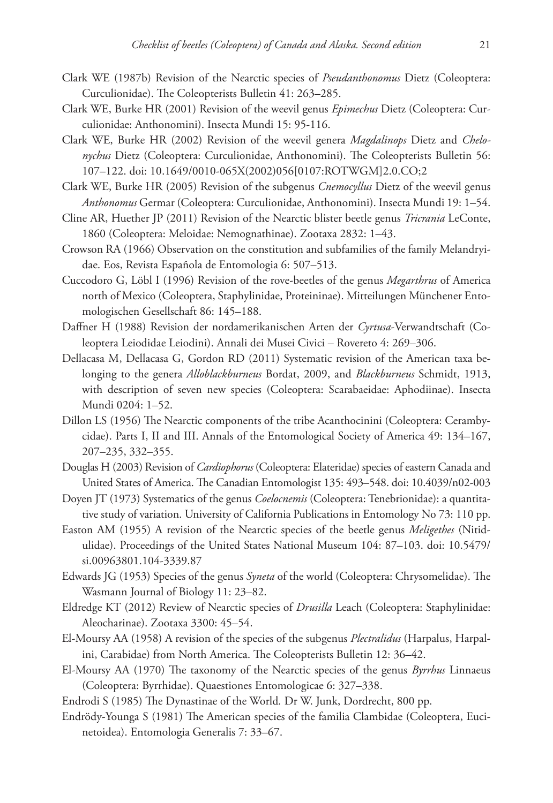- Clark WE (1987b) Revision of the Nearctic species of *Pseudanthonomus* Dietz (Coleoptera: Curculionidae). The Coleopterists Bulletin 41: 263–285.
- Clark WE, Burke HR (2001) Revision of the weevil genus *Epimechus* Dietz (Coleoptera: Curculionidae: Anthonomini). Insecta Mundi 15: 95-116.
- Clark WE, Burke HR (2002) Revision of the weevil genera *Magdalinops* Dietz and *Chelonychus* Dietz (Coleoptera: Curculionidae, Anthonomini). The Coleopterists Bulletin 56: 107–122. [doi: 10.1649/0010-065X\(2002\)056\[0107:ROTWGM\]2.0.CO;2](http://dx.doi.org/10.1649/0010-065X(2002)056[0107:ROTWGM]2.0.CO;2)
- Clark WE, Burke HR (2005) Revision of the subgenus *Cnemocyllus* Dietz of the weevil genus *Anthonomus* Germar (Coleoptera: Curculionidae, Anthonomini). Insecta Mundi 19: 1–54.
- Cline AR, Huether JP (2011) Revision of the Nearctic blister beetle genus *Tricrania* LeConte, 1860 (Coleoptera: Meloidae: Nemognathinae). Zootaxa 2832: 1–43.
- Crowson RA (1966) Observation on the constitution and subfamilies of the family Melandryidae. Eos, Revista Española de Entomologia 6: 507–513.
- Cuccodoro G, Löbl I (1996) Revision of the rove-beetles of the genus *Megarthrus* of America north of Mexico (Coleoptera, Staphylinidae, Proteininae). Mitteilungen Münchener Entomologischen Gesellschaft 86: 145–188.
- Daffner H (1988) Revision der nordamerikanischen Arten der *Cyrtusa*-Verwandtschaft (Coleoptera Leiodidae Leiodini). Annali dei Musei Civici – Rovereto 4: 269–306.
- Dellacasa M, Dellacasa G, Gordon RD (2011) Systematic revision of the American taxa belonging to the genera *Alloblackburneus* Bordat, 2009, and *Blackburneus* Schmidt, 1913, with description of seven new species (Coleoptera: Scarabaeidae: Aphodiinae). Insecta Mundi 0204: 1–52.
- Dillon LS (1956) The Nearctic components of the tribe Acanthocinini (Coleoptera: Cerambycidae). Parts I, II and III. Annals of the Entomological Society of America 49: 134–167, 207–235, 332–355.
- Douglas H (2003) Revision of *Cardiophorus* (Coleoptera: Elateridae) species of eastern Canada and United States of America. The Canadian Entomologist 135: 493–548. [doi: 10.4039/n02-003](http://dx.doi.org/10.4039/n02-003)
- Doyen JT (1973) Systematics of the genus *Coelocnemis* (Coleoptera: Tenebrionidae): a quantitative study of variation. University of California Publications in Entomology No 73: 110 pp.
- Easton AM (1955) A revision of the Nearctic species of the beetle genus *Meligethes* (Nitidulidae). Proceedings of the United States National Museum 104: 87–103. [doi: 10.5479/](http://dx.doi.org/10.5479/si.00963801.104-3339.87) [si.00963801.104-3339.87](http://dx.doi.org/10.5479/si.00963801.104-3339.87)
- Edwards JG (1953) Species of the genus *Syneta* of the world (Coleoptera: Chrysomelidae). The Wasmann Journal of Biology 11: 23–82.
- Eldredge KT (2012) Review of Nearctic species of *Drusilla* Leach (Coleoptera: Staphylinidae: Aleocharinae). Zootaxa 3300: 45–54.
- El-Moursy AA (1958) A revision of the species of the subgenus *Plectralidus* (Harpalus, Harpalini, Carabidae) from North America. The Coleopterists Bulletin 12: 36–42.
- El-Moursy AA (1970) The taxonomy of the Nearctic species of the genus *Byrrhus* Linnaeus (Coleoptera: Byrrhidae). Quaestiones Entomologicae 6: 327–338.
- Endrodi S (1985) The Dynastinae of the World*.* Dr W. Junk, Dordrecht, 800 pp.
- Endrödy-Younga S (1981) The American species of the familia Clambidae (Coleoptera, Eucinetoidea). Entomologia Generalis 7: 33–67.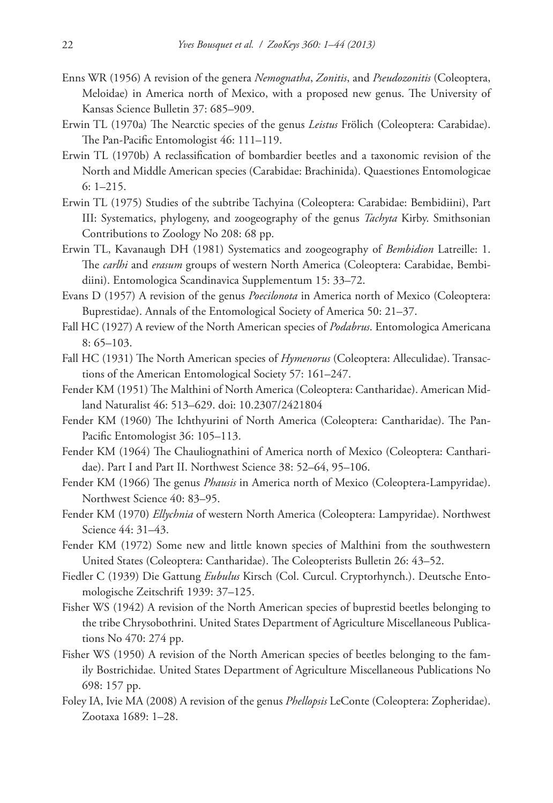- Enns WR (1956) A revision of the genera *Nemognatha*, *Zonitis*, and *Pseudozonitis* (Coleoptera, Meloidae) in America north of Mexico, with a proposed new genus. The University of Kansas Science Bulletin 37: 685–909.
- Erwin TL (1970a) The Nearctic species of the genus *Leistus* Frölich (Coleoptera: Carabidae). The Pan-Pacific Entomologist 46: 111–119.
- Erwin TL (1970b) A reclassification of bombardier beetles and a taxonomic revision of the North and Middle American species (Carabidae: Brachinida). Quaestiones Entomologicae 6: 1–215.
- Erwin TL (1975) Studies of the subtribe Tachyina (Coleoptera: Carabidae: Bembidiini), Part III: Systematics, phylogeny, and zoogeography of the genus *Tachyta* Kirby. Smithsonian Contributions to Zoology No 208: 68 pp.
- Erwin TL, Kavanaugh DH (1981) Systematics and zoogeography of *Bembidion* Latreille: 1. The *carlhi* and *erasum* groups of western North America (Coleoptera: Carabidae, Bembidiini). Entomologica Scandinavica Supplementum 15: 33–72.
- Evans D (1957) A revision of the genus *Poecilonota* in America north of Mexico (Coleoptera: Buprestidae). Annals of the Entomological Society of America 50: 21–37.
- Fall HC (1927) A review of the North American species of *Podabrus*. Entomologica Americana 8: 65–103.
- Fall HC (1931) The North American species of *Hymenorus* (Coleoptera: Alleculidae). Transactions of the American Entomological Society 57: 161–247.
- Fender KM (1951) The Malthini of North America (Coleoptera: Cantharidae). American Midland Naturalist 46: 513–629. [doi: 10.2307/2421804](http://dx.doi.org/10.2307/2421804)
- Fender KM (1960) The Ichthyurini of North America (Coleoptera: Cantharidae). The Pan-Pacific Entomologist 36: 105–113.
- Fender KM (1964) The Chauliognathini of America north of Mexico (Coleoptera: Cantharidae). Part I and Part II. Northwest Science 38: 52–64, 95–106.
- Fender KM (1966) The genus *Phausis* in America north of Mexico (Coleoptera-Lampyridae). Northwest Science 40: 83–95.
- Fender KM (1970) *Ellychnia* of western North America (Coleoptera: Lampyridae). Northwest Science 44: 31–43.
- Fender KM (1972) Some new and little known species of Malthini from the southwestern United States (Coleoptera: Cantharidae). The Coleopterists Bulletin 26: 43–52.
- Fiedler C (1939) Die Gattung *Eubulus* Kirsch (Col. Curcul. Cryptorhynch.). Deutsche Entomologische Zeitschrift 1939: 37–125.
- Fisher WS (1942) A revision of the North American species of buprestid beetles belonging to the tribe Chrysobothrini. United States Department of Agriculture Miscellaneous Publications No 470: 274 pp.
- Fisher WS (1950) A revision of the North American species of beetles belonging to the family Bostrichidae. United States Department of Agriculture Miscellaneous Publications No 698: 157 pp.
- Foley IA, Ivie MA (2008) A revision of the genus *Phellopsis* LeConte (Coleoptera: Zopheridae). Zootaxa 1689: 1–28.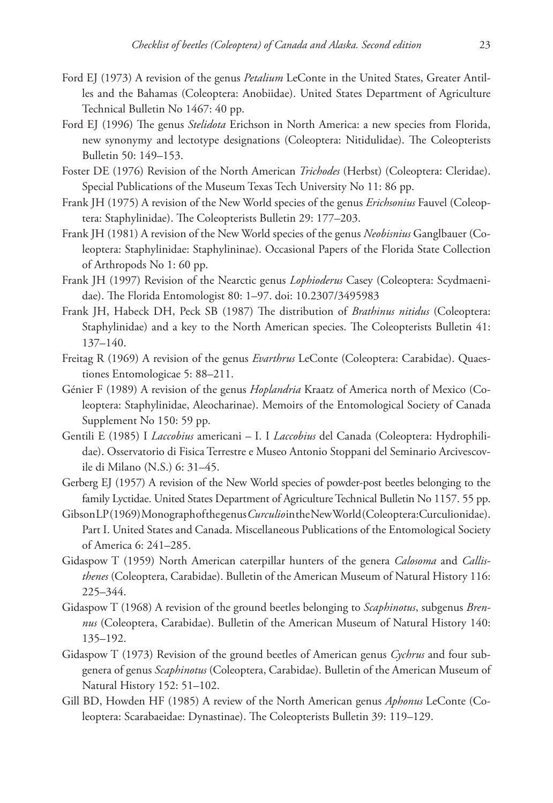- Ford EJ (1973) A revision of the genus *Petalium* LeConte in the United States, Greater Antilles and the Bahamas (Coleoptera: Anobiidae). United States Department of Agriculture Technical Bulletin No 1467: 40 pp.
- Ford EJ (1996) The genus *Stelidota* Erichson in North America: a new species from Florida, new synonymy and lectotype designations (Coleoptera: Nitidulidae). The Coleopterists Bulletin 50: 149–153.
- Foster DE (1976) Revision of the North American *Trichodes* (Herbst) (Coleoptera: Cleridae). Special Publications of the Museum Texas Tech University No 11: 86 pp.
- Frank JH (1975) A revision of the New World species of the genus *Erichsonius* Fauvel (Coleoptera: Staphylinidae). The Coleopterists Bulletin 29: 177–203.
- Frank JH (1981) A revision of the New World species of the genus *Neobisnius* Ganglbauer (Coleoptera: Staphylinidae: Staphylininae). Occasional Papers of the Florida State Collection of Arthropods No 1: 60 pp.
- Frank JH (1997) Revision of the Nearctic genus *Lophioderus* Casey (Coleoptera: Scydmaenidae). The Florida Entomologist 80: 1–97. [doi: 10.2307/3495983](http://dx.doi.org/10.2307/3495983)
- Frank JH, Habeck DH, Peck SB (1987) The distribution of *Brathinus nitidus* (Coleoptera: Staphylinidae) and a key to the North American species. The Coleopterists Bulletin 41: 137–140.
- Freitag R (1969) A revision of the genus *Evarthrus* LeConte (Coleoptera: Carabidae). Quaestiones Entomologicae 5: 88–211.
- Génier F (1989) A revision of the genus *Hoplandria* Kraatz of America north of Mexico (Coleoptera: Staphylinidae, Aleocharinae). Memoirs of the Entomological Society of Canada Supplement No 150: 59 pp.
- Gentili E (1985) I *Laccobius* americani I. I *Laccobius* del Canada (Coleoptera: Hydrophilidae). Osservatorio di Fisica Terrestre e Museo Antonio Stoppani del Seminario Arcivescovile di Milano (N.S.) 6: 31–45.
- Gerberg EJ (1957) A revision of the New World species of powder-post beetles belonging to the family Lyctidae. United States Department of Agriculture Technical Bulletin No 1157. 55 pp.
- Gibson LP (1969) Monograph of the genus *Curculio* in the New World (Coleoptera:Curculionidae). Part I. United States and Canada. Miscellaneous Publications of the Entomological Society of America 6: 241–285.
- Gidaspow T (1959) North American caterpillar hunters of the genera *Calosoma* and *Callisthenes* (Coleoptera, Carabidae). Bulletin of the American Museum of Natural History 116: 225–344.
- Gidaspow T (1968) A revision of the ground beetles belonging to *Scaphinotus*, subgenus *Brennus* (Coleoptera, Carabidae). Bulletin of the American Museum of Natural History 140: 135–192.
- Gidaspow T (1973) Revision of the ground beetles of American genus *Cychrus* and four subgenera of genus *Scaphinotus* (Coleoptera, Carabidae). Bulletin of the American Museum of Natural History 152: 51–102.
- Gill BD, Howden HF (1985) A review of the North American genus *Aphonus* LeConte (Coleoptera: Scarabaeidae: Dynastinae). The Coleopterists Bulletin 39: 119–129.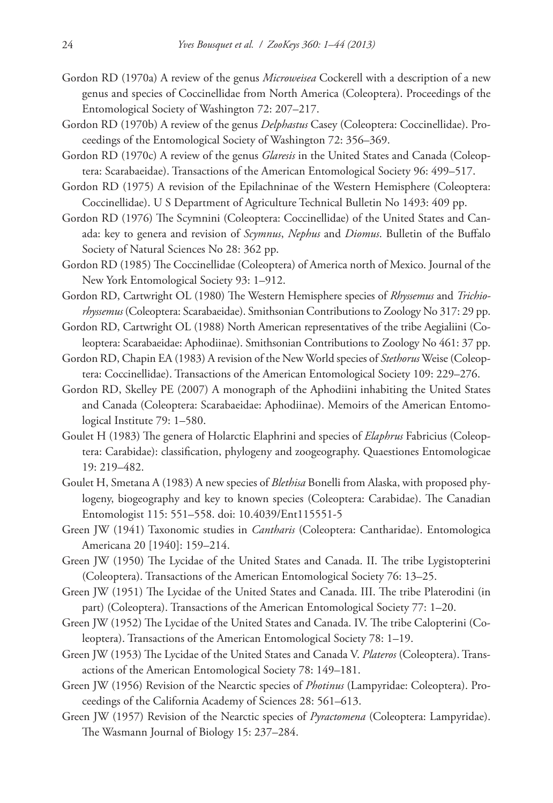- Gordon RD (1970a) A review of the genus *Microweisea* Cockerell with a description of a new genus and species of Coccinellidae from North America (Coleoptera). Proceedings of the Entomological Society of Washington 72: 207–217.
- Gordon RD (1970b) A review of the genus *Delphastus* Casey (Coleoptera: Coccinellidae). Proceedings of the Entomological Society of Washington 72: 356–369.
- Gordon RD (1970c) A review of the genus *Glaresis* in the United States and Canada (Coleoptera: Scarabaeidae). Transactions of the American Entomological Society 96: 499–517.
- Gordon RD (1975) A revision of the Epilachninae of the Western Hemisphere (Coleoptera: Coccinellidae). U S Department of Agriculture Technical Bulletin No 1493: 409 pp.
- Gordon RD (1976) The Scymnini (Coleoptera: Coccinellidae) of the United States and Canada: key to genera and revision of *Scymnus*, *Nephus* and *Diomus*. Bulletin of the Buffalo Society of Natural Sciences No 28: 362 pp.
- Gordon RD (1985) The Coccinellidae (Coleoptera) of America north of Mexico. Journal of the New York Entomological Society 93: 1–912.
- Gordon RD, Cartwright OL (1980) The Western Hemisphere species of *Rhyssemus* and *Trichiorhyssemus* (Coleoptera: Scarabaeidae). Smithsonian Contributions to Zoology No 317: 29 pp.
- Gordon RD, Cartwright OL (1988) North American representatives of the tribe Aegialiini (Coleoptera: Scarabaeidae: Aphodiinae). Smithsonian Contributions to Zoology No 461: 37 pp.
- Gordon RD, Chapin EA (1983) A revision of the New World species of *Stethorus* Weise (Coleoptera: Coccinellidae). Transactions of the American Entomological Society 109: 229–276.
- Gordon RD, Skelley PE (2007) A monograph of the Aphodiini inhabiting the United States and Canada (Coleoptera: Scarabaeidae: Aphodiinae). Memoirs of the American Entomological Institute 79: 1–580.
- Goulet H (1983) The genera of Holarctic Elaphrini and species of *Elaphrus* Fabricius (Coleoptera: Carabidae): classification, phylogeny and zoogeography. Quaestiones Entomologicae 19: 219–482.
- Goulet H, Smetana A (1983) A new species of *Blethisa* Bonelli from Alaska, with proposed phylogeny, biogeography and key to known species (Coleoptera: Carabidae). The Canadian Entomologist 115: 551–558. [doi: 10.4039/Ent115551-5](http://dx.doi.org/10.4039/Ent115551-5)
- Green JW (1941) Taxonomic studies in *Cantharis* (Coleoptera: Cantharidae). Entomologica Americana 20 [1940]: 159–214.
- Green JW (1950) The Lycidae of the United States and Canada. II. The tribe Lygistopterini (Coleoptera). Transactions of the American Entomological Society 76: 13–25.
- Green JW (1951) The Lycidae of the United States and Canada. III. The tribe Platerodini (in part) (Coleoptera). Transactions of the American Entomological Society 77: 1–20.
- Green JW (1952) The Lycidae of the United States and Canada. IV. The tribe Calopterini (Coleoptera). Transactions of the American Entomological Society 78: 1–19.
- Green JW (1953) The Lycidae of the United States and Canada V. *Plateros* (Coleoptera). Transactions of the American Entomological Society 78: 149–181.
- Green JW (1956) Revision of the Nearctic species of *Photinus* (Lampyridae: Coleoptera). Proceedings of the California Academy of Sciences 28: 561–613.
- Green JW (1957) Revision of the Nearctic species of *Pyractomena* (Coleoptera: Lampyridae). The Wasmann Journal of Biology 15: 237–284.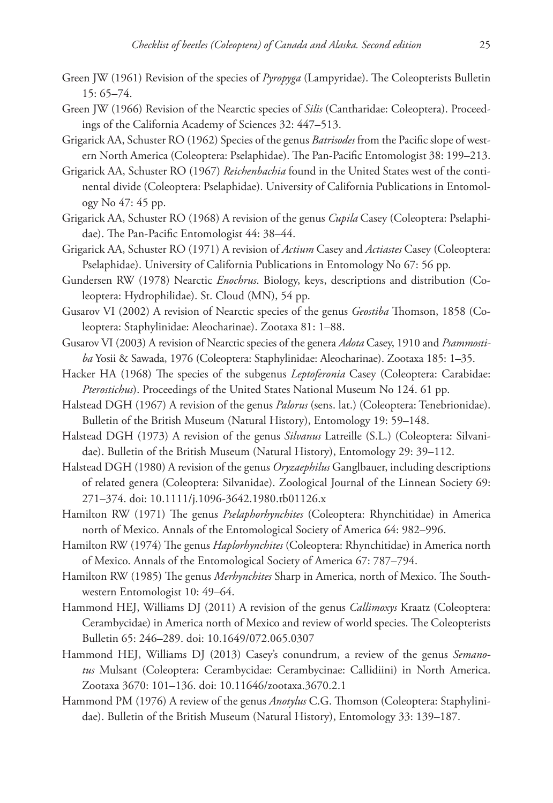- Green JW (1961) Revision of the species of *Pyropyga* (Lampyridae). The Coleopterists Bulletin 15: 65–74.
- Green JW (1966) Revision of the Nearctic species of *Silis* (Cantharidae: Coleoptera). Proceedings of the California Academy of Sciences 32: 447–513.
- Grigarick AA, Schuster RO (1962) Species of the genus *Batrisodes* from the Pacific slope of western North America (Coleoptera: Pselaphidae). The Pan-Pacific Entomologist 38: 199–213.
- Grigarick AA, Schuster RO (1967) *Reichenbachia* found in the United States west of the continental divide (Coleoptera: Pselaphidae). University of California Publications in Entomology No 47: 45 pp.
- Grigarick AA, Schuster RO (1968) A revision of the genus *Cupila* Casey (Coleoptera: Pselaphidae). The Pan-Pacific Entomologist 44: 38–44.
- Grigarick AA, Schuster RO (1971) A revision of *Actium* Casey and *Actiastes* Casey (Coleoptera: Pselaphidae). University of California Publications in Entomology No 67: 56 pp.
- Gundersen RW (1978) Nearctic *Enochrus*. Biology, keys, descriptions and distribution (Coleoptera: Hydrophilidae). St. Cloud (MN), 54 pp.
- Gusarov VI (2002) A revision of Nearctic species of the genus *Geostiba* Thomson, 1858 (Coleoptera: Staphylinidae: Aleocharinae). Zootaxa 81: 1–88.
- Gusarov VI (2003) A revision of Nearctic species of the genera *Adota* Casey, 1910 and *Psammostiba* Yosii & Sawada, 1976 (Coleoptera: Staphylinidae: Aleocharinae). Zootaxa 185: 1–35.
- Hacker HA (1968) The species of the subgenus *Leptoferonia* Casey (Coleoptera: Carabidae: *Pterostichus*). Proceedings of the United States National Museum No 124. 61 pp.
- Halstead DGH (1967) A revision of the genus *Palorus* (sens. lat.) (Coleoptera: Tenebrionidae). Bulletin of the British Museum (Natural History), Entomology 19: 59–148.
- Halstead DGH (1973) A revision of the genus *Silvanus* Latreille (S.L.) (Coleoptera: Silvanidae). Bulletin of the British Museum (Natural History), Entomology 29: 39–112.
- Halstead DGH (1980) A revision of the genus *Oryzaephilus* Ganglbauer, including descriptions of related genera (Coleoptera: Silvanidae). Zoological Journal of the Linnean Society 69: 271–374. [doi: 10.1111/j.1096-3642.1980.tb01126.x](http://dx.doi.org/10.1111/j.1096-3642.1980.tb01126.x)
- Hamilton RW (1971) The genus *Pselaphorhynchites* (Coleoptera: Rhynchitidae) in America north of Mexico. Annals of the Entomological Society of America 64: 982–996.
- Hamilton RW (1974) The genus *Haplorhynchites* (Coleoptera: Rhynchitidae) in America north of Mexico. Annals of the Entomological Society of America 67: 787–794.
- Hamilton RW (1985) The genus *Merhynchites* Sharp in America, north of Mexico. The Southwestern Entomologist 10: 49–64.
- Hammond HEJ, Williams DJ (2011) A revision of the genus *Callimoxys* Kraatz (Coleoptera: Cerambycidae) in America north of Mexico and review of world species. The Coleopterists Bulletin 65: 246–289. [doi: 10.1649/072.065.0307](http://dx.doi.org/10.1649/072.065.0307)
- Hammond HEJ, Williams DJ (2013) Casey's conundrum, a review of the genus *Semanotus* Mulsant (Coleoptera: Cerambycidae: Cerambycinae: Callidiini) in North America. Zootaxa 3670: 101–136. [doi: 10.11646/zootaxa.3670.2.1](http://dx.doi.org/10.11646/zootaxa.3670.2.1)
- Hammond PM (1976) A review of the genus *Anotylus* C.G. Thomson (Coleoptera: Staphylinidae). Bulletin of the British Museum (Natural History), Entomology 33: 139–187.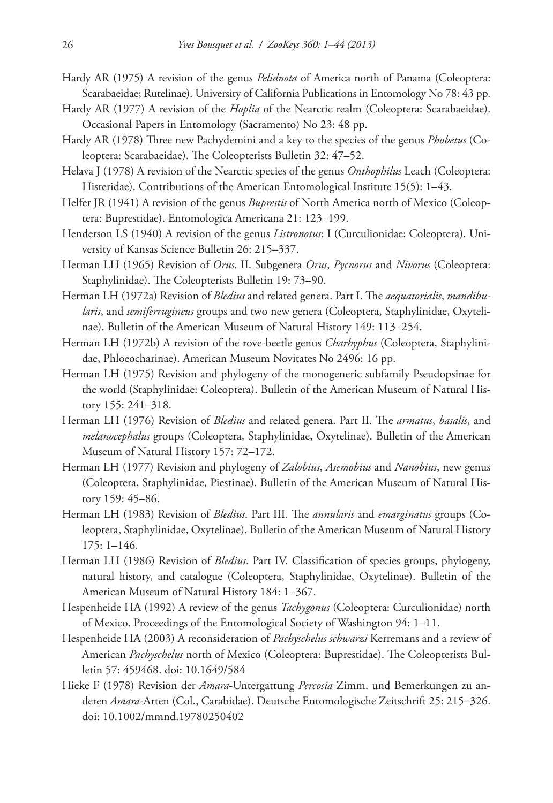- Hardy AR (1975) A revision of the genus *Pelidnota* of America north of Panama (Coleoptera: Scarabaeidae; Rutelinae). University of California Publications in Entomology No 78: 43 pp.
- Hardy AR (1977) A revision of the *Hoplia* of the Nearctic realm (Coleoptera: Scarabaeidae). Occasional Papers in Entomology (Sacramento) No 23: 48 pp.
- Hardy AR (1978) Three new Pachydemini and a key to the species of the genus *Phobetus* (Coleoptera: Scarabaeidae). The Coleopterists Bulletin 32: 47–52.
- Helava J (1978) A revision of the Nearctic species of the genus *Onthophilus* Leach (Coleoptera: Histeridae). Contributions of the American Entomological Institute 15(5): 1–43.
- Helfer JR (1941) A revision of the genus *Buprestis* of North America north of Mexico (Coleoptera: Buprestidae). Entomologica Americana 21: 123–199.
- Henderson LS (1940) A revision of the genus *Listronotus*: I (Curculionidae: Coleoptera). University of Kansas Science Bulletin 26: 215–337.
- Herman LH (1965) Revision of *Orus*. II. Subgenera *Orus*, *Pycnorus* and *Nivorus* (Coleoptera: Staphylinidae). The Coleopterists Bulletin 19: 73–90.
- Herman LH (1972a) Revision of *Bledius* and related genera. Part I. The *aequatorialis*, *mandibularis*, and *semiferrugineus* groups and two new genera (Coleoptera, Staphylinidae, Oxytelinae). Bulletin of the American Museum of Natural History 149: 113–254.
- Herman LH (1972b) A revision of the rove-beetle genus *Charhyphus* (Coleoptera, Staphylinidae, Phloeocharinae). American Museum Novitates No 2496: 16 pp.
- Herman LH (1975) Revision and phylogeny of the monogeneric subfamily Pseudopsinae for the world (Staphylinidae: Coleoptera). Bulletin of the American Museum of Natural History 155: 241–318.
- Herman LH (1976) Revision of *Bledius* and related genera. Part II. The *armatus*, *basalis*, and *melanocephalus* groups (Coleoptera, Staphylinidae, Oxytelinae). Bulletin of the American Museum of Natural History 157: 72–172.
- Herman LH (1977) Revision and phylogeny of *Zalobius*, *Asemobius* and *Nanobius*, new genus (Coleoptera, Staphylinidae, Piestinae). Bulletin of the American Museum of Natural History 159: 45–86.
- Herman LH (1983) Revision of *Bledius*. Part III. The *annularis* and *emarginatus* groups (Coleoptera, Staphylinidae, Oxytelinae). Bulletin of the American Museum of Natural History 175: 1–146.
- Herman LH (1986) Revision of *Bledius*. Part IV. Classification of species groups, phylogeny, natural history, and catalogue (Coleoptera, Staphylinidae, Oxytelinae). Bulletin of the American Museum of Natural History 184: 1–367.
- Hespenheide HA (1992) A review of the genus *Tachygonus* (Coleoptera: Curculionidae) north of Mexico. Proceedings of the Entomological Society of Washington 94: 1–11.
- Hespenheide HA (2003) A reconsideration of *Pachyschelus schwarzi* Kerremans and a review of American *Pachyschelus* north of Mexico (Coleoptera: Buprestidae). The Coleopterists Bulletin 57: 459468. [doi: 10.1649/584](http://dx.doi.org/10.1649/584)
- Hieke F (1978) Revision der *Amara*-Untergattung *Percosia* Zimm. und Bemerkungen zu anderen *Amara*-Arten (Col., Carabidae). Deutsche Entomologische Zeitschrift 25: 215–326. [doi: 10.1002/mmnd.19780250402](http://dx.doi.org/10.1002/mmnd.19780250402)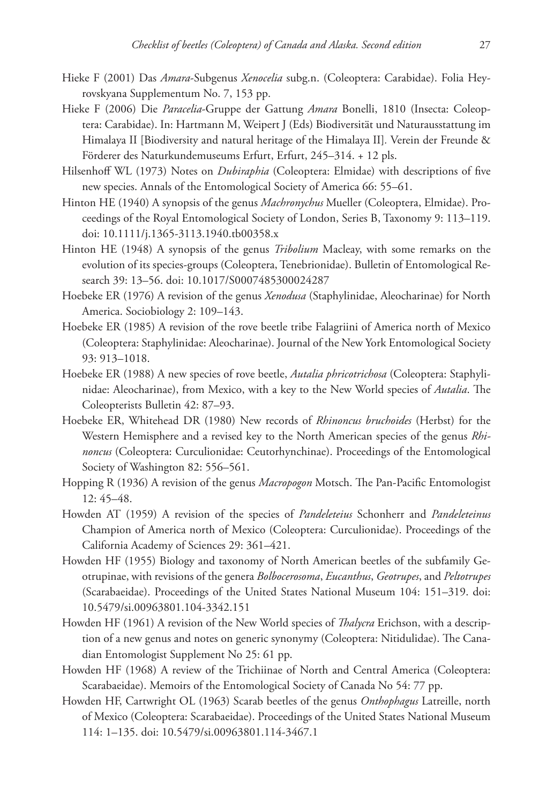- Hieke F (2001) Das *Amara*-Subgenus *Xenocelia* subg.n. (Coleoptera: Carabidae). Folia Heyrovskyana Supplementum No. 7, 153 pp.
- Hieke F (2006) Die *Paracelia*-Gruppe der Gattung *Amara* Bonelli, 1810 (Insecta: Coleoptera: Carabidae). In: Hartmann M, Weipert J (Eds) Biodiversität und Naturausstattung im Himalaya II [Biodiversity and natural heritage of the Himalaya II]*.* Verein der Freunde & Förderer des Naturkundemuseums Erfurt, Erfurt, 245–314. + 12 pls.
- Hilsenhoff WL (1973) Notes on *Dubiraphia* (Coleoptera: Elmidae) with descriptions of five new species. Annals of the Entomological Society of America 66: 55–61.
- Hinton HE (1940) A synopsis of the genus *Machronychus* Mueller (Coleoptera, Elmidae). Proceedings of the Royal Entomological Society of London, Series B, Taxonomy 9: 113–119. [doi: 10.1111/j.1365-3113.1940.tb00358.x](http://dx.doi.org/10.1111/j.1365-3113.1940.tb00358.x)
- Hinton HE (1948) A synopsis of the genus *Tribolium* Macleay, with some remarks on the evolution of its species-groups (Coleoptera, Tenebrionidae). Bulletin of Entomological Research 39: 13–56. [doi: 10.1017/S0007485300024287](http://dx.doi.org/10.1017/S0007485300024287)
- Hoebeke ER (1976) A revision of the genus *Xenodusa* (Staphylinidae, Aleocharinae) for North America. Sociobiology 2: 109–143.
- Hoebeke ER (1985) A revision of the rove beetle tribe Falagriini of America north of Mexico (Coleoptera: Staphylinidae: Aleocharinae). Journal of the New York Entomological Society 93: 913–1018.
- Hoebeke ER (1988) A new species of rove beetle, *Autalia phricotrichosa* (Coleoptera: Staphylinidae: Aleocharinae), from Mexico, with a key to the New World species of *Autalia*. The Coleopterists Bulletin 42: 87–93.
- Hoebeke ER, Whitehead DR (1980) New records of *Rhinoncus bruchoides* (Herbst) for the Western Hemisphere and a revised key to the North American species of the genus *Rhinoncus* (Coleoptera: Curculionidae: Ceutorhynchinae). Proceedings of the Entomological Society of Washington 82: 556–561.
- Hopping R (1936) A revision of the genus *Macropogon* Motsch. The Pan-Pacific Entomologist 12: 45–48.
- Howden AT (1959) A revision of the species of *Pandeleteius* Schonherr and *Pandeleteinus* Champion of America north of Mexico (Coleoptera: Curculionidae). Proceedings of the California Academy of Sciences 29: 361–421.
- Howden HF (1955) Biology and taxonomy of North American beetles of the subfamily Geotrupinae, with revisions of the genera *Bolbocerosoma*, *Eucanthus*, *Geotrupes*, and *Peltotrupes* (Scarabaeidae). Proceedings of the United States National Museum 104: 151–319. [doi:](http://dx.doi.org/10.5479/si.00963801.104-3342.151) [10.5479/si.00963801.104-3342.151](http://dx.doi.org/10.5479/si.00963801.104-3342.151)
- Howden HF (1961) A revision of the New World species of *Thalycra* Erichson, with a description of a new genus and notes on generic synonymy (Coleoptera: Nitidulidae). The Canadian Entomologist Supplement No 25: 61 pp.
- Howden HF (1968) A review of the Trichiinae of North and Central America (Coleoptera: Scarabaeidae). Memoirs of the Entomological Society of Canada No 54: 77 pp.
- Howden HF, Cartwright OL (1963) Scarab beetles of the genus *Onthophagus* Latreille, north of Mexico (Coleoptera: Scarabaeidae). Proceedings of the United States National Museum 114: 1–135. [doi: 10.5479/si.00963801.114-3467.1](http://dx.doi.org/10.5479/si.00963801.114-3467.1)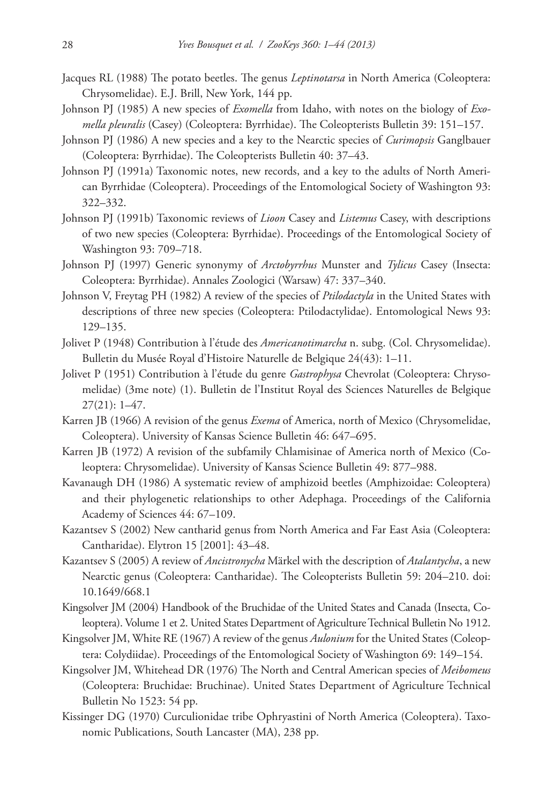- Jacques RL (1988) The potato beetles. The genus *Leptinotarsa* in North America (Coleoptera: Chrysomelidae). E.J. Brill, New York, 144 pp.
- Johnson PJ (1985) A new species of *Exomella* from Idaho, with notes on the biology of *Exomella pleuralis* (Casey) (Coleoptera: Byrrhidae). The Coleopterists Bulletin 39: 151–157.
- Johnson PJ (1986) A new species and a key to the Nearctic species of *Curimopsis* Ganglbauer (Coleoptera: Byrrhidae). The Coleopterists Bulletin 40: 37–43.
- Johnson PJ (1991a) Taxonomic notes, new records, and a key to the adults of North American Byrrhidae (Coleoptera). Proceedings of the Entomological Society of Washington 93: 322–332.
- Johnson PJ (1991b) Taxonomic reviews of *Lioon* Casey and *Listemus* Casey, with descriptions of two new species (Coleoptera: Byrrhidae). Proceedings of the Entomological Society of Washington 93: 709–718.
- Johnson PJ (1997) Generic synonymy of *Arctobyrrhus* Munster and *Tylicus* Casey (Insecta: Coleoptera: Byrrhidae). Annales Zoologici (Warsaw) 47: 337–340.
- Johnson V, Freytag PH (1982) A review of the species of *Ptilodactyla* in the United States with descriptions of three new species (Coleoptera: Ptilodactylidae). Entomological News 93: 129–135.
- Jolivet P (1948) Contribution à l'étude des *Americanotimarcha* n. subg. (Col. Chrysomelidae). Bulletin du Musée Royal d'Histoire Naturelle de Belgique 24(43): 1–11.
- Jolivet P (1951) Contribution à l'étude du genre *Gastrophysa* Chevrolat (Coleoptera: Chrysomelidae) (3me note) (1). Bulletin de l'Institut Royal des Sciences Naturelles de Belgique 27(21): 1–47.
- Karren JB (1966) A revision of the genus *Exema* of America, north of Mexico (Chrysomelidae, Coleoptera). University of Kansas Science Bulletin 46: 647–695.
- Karren JB (1972) A revision of the subfamily Chlamisinae of America north of Mexico (Coleoptera: Chrysomelidae). University of Kansas Science Bulletin 49: 877–988.
- Kavanaugh DH (1986) A systematic review of amphizoid beetles (Amphizoidae: Coleoptera) and their phylogenetic relationships to other Adephaga. Proceedings of the California Academy of Sciences 44: 67–109.
- Kazantsev S (2002) New cantharid genus from North America and Far East Asia (Coleoptera: Cantharidae). Elytron 15 [2001]: 43–48.
- Kazantsev S (2005) A review of *Ancistronycha* Märkel with the description of *Atalantycha*, a new Nearctic genus (Coleoptera: Cantharidae). The Coleopterists Bulletin 59: 204–210. [doi:](http://dx.doi.org/10.1649/668.1) [10.1649/668.1](http://dx.doi.org/10.1649/668.1)
- Kingsolver JM (2004) Handbook of the Bruchidae of the United States and Canada (Insecta, Coleoptera). Volume 1 et 2. United States Department of Agriculture Technical Bulletin No 1912.
- Kingsolver JM, White RE (1967) A review of the genus *Aulonium* for the United States (Coleoptera: Colydiidae). Proceedings of the Entomological Society of Washington 69: 149–154.
- Kingsolver JM, Whitehead DR (1976) The North and Central American species of *Meibomeus* (Coleoptera: Bruchidae: Bruchinae). United States Department of Agriculture Technical Bulletin No 1523: 54 pp.
- Kissinger DG (1970) Curculionidae tribe Ophryastini of North America (Coleoptera). Taxonomic Publications, South Lancaster (MA), 238 pp.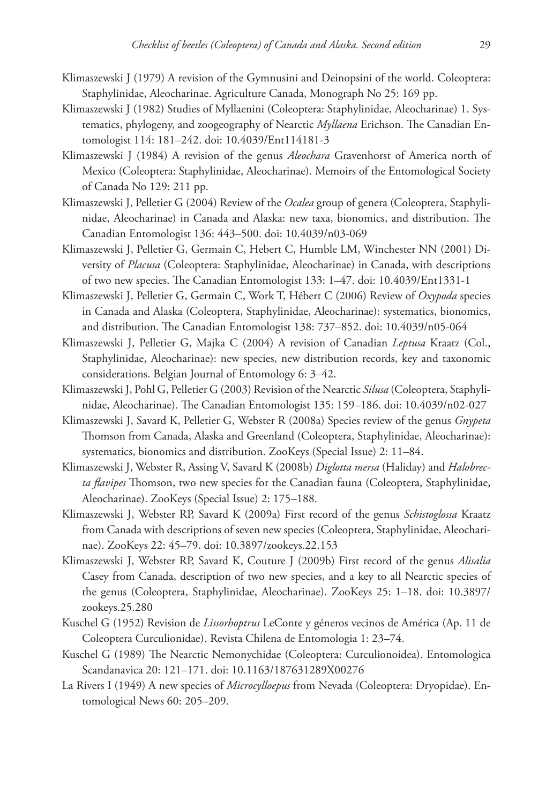- Klimaszewski J (1979) A revision of the Gymnusini and Deinopsini of the world. Coleoptera: Staphylinidae, Aleocharinae. Agriculture Canada, Monograph No 25: 169 pp.
- Klimaszewski J (1982) Studies of Myllaenini (Coleoptera: Staphylinidae, Aleocharinae) 1. Systematics, phylogeny, and zoogeography of Nearctic *Myllaena* Erichson. The Canadian Entomologist 114: 181–242. [doi: 10.4039/Ent114181-3](http://dx.doi.org/10.4039/Ent114181-3)
- Klimaszewski J (1984) A revision of the genus *Aleochara* Gravenhorst of America north of Mexico (Coleoptera: Staphylinidae, Aleocharinae). Memoirs of the Entomological Society of Canada No 129: 211 pp.
- Klimaszewski J, Pelletier G (2004) Review of the *Ocalea* group of genera (Coleoptera, Staphylinidae, Aleocharinae) in Canada and Alaska: new taxa, bionomics, and distribution. The Canadian Entomologist 136: 443–500. [doi: 10.4039/n03-069](http://dx.doi.org/10.4039/n03-069)
- Klimaszewski J, Pelletier G, Germain C, Hebert C, Humble LM, Winchester NN (2001) Diversity of *Placusa* (Coleoptera: Staphylinidae, Aleocharinae) in Canada, with descriptions of two new species. The Canadian Entomologist 133: 1–47. [doi: 10.4039/Ent1331-1](http://dx.doi.org/10.4039/Ent1331-1)
- Klimaszewski J, Pelletier G, Germain C, Work T, Hébert C (2006) Review of *Oxypoda* species in Canada and Alaska (Coleoptera, Staphylinidae, Aleocharinae): systematics, bionomics, and distribution. The Canadian Entomologist 138: 737–852. [doi: 10.4039/n05-064](http://dx.doi.org/10.4039/n05-064)
- Klimaszewski J, Pelletier G, Majka C (2004) A revision of Canadian *Leptusa* Kraatz (Col., Staphylinidae, Aleocharinae): new species, new distribution records, key and taxonomic considerations. Belgian Journal of Entomology 6: 3–42.
- Klimaszewski J, Pohl G, Pelletier G (2003) Revision of the Nearctic *Silusa* (Coleoptera, Staphylinidae, Aleocharinae). The Canadian Entomologist 135: 159–186. [doi: 10.4039/n02-027](http://dx.doi.org/10.4039/n02-027)
- Klimaszewski J, Savard K, Pelletier G, Webster R (2008a) Species review of the genus *Gnypeta* Thomson from Canada, Alaska and Greenland (Coleoptera, Staphylinidae, Aleocharinae): systematics, bionomics and distribution. ZooKeys (Special Issue) 2: 11–84.
- Klimaszewski J, Webster R, Assing V, Savard K (2008b) *Diglotta mersa* (Haliday) and *Halobrecta flavipes* Thomson, two new species for the Canadian fauna (Coleoptera, Staphylinidae, Aleocharinae). ZooKeys (Special Issue) 2: 175–188.
- Klimaszewski J, Webster RP, Savard K (2009a) First record of the genus *Schistoglossa* Kraatz from Canada with descriptions of seven new species (Coleoptera, Staphylinidae, Aleocharinae). ZooKeys 22: 45–79. [doi: 10.3897/zookeys.22.153](http://dx.doi.org/10.3897/zookeys.22.153)
- Klimaszewski J, Webster RP, Savard K, Couture J (2009b) First record of the genus *Alisalia* Casey from Canada, description of two new species, and a key to all Nearctic species of the genus (Coleoptera, Staphylinidae, Aleocharinae). ZooKeys 25: 1–18. [doi: 10.3897/](http://dx.doi.org/10.3897/zookeys.25.280) [zookeys.25.280](http://dx.doi.org/10.3897/zookeys.25.280)
- Kuschel G (1952) Revision de *Lissorhoptrus* LeConte y géneros vecinos de América (Ap. 11 de Coleoptera Curculionidae). Revista Chilena de Entomologia 1: 23–74.
- Kuschel G (1989) The Nearctic Nemonychidae (Coleoptera: Curculionoidea). Entomologica Scandanavica 20: 121–171. [doi: 10.1163/187631289X00276](http://dx.doi.org/10.1163/187631289X00276)
- La Rivers I (1949) A new species of *Microcylloepus* from Nevada (Coleoptera: Dryopidae). Entomological News 60: 205–209.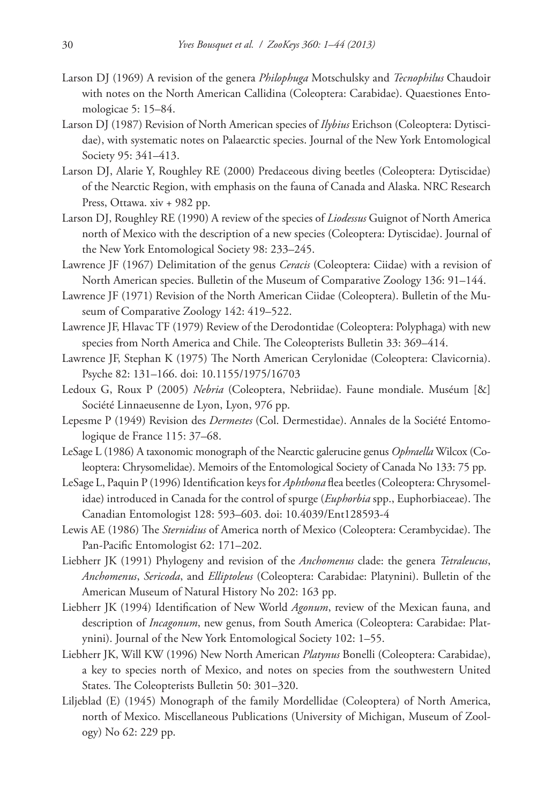- Larson DJ (1969) A revision of the genera *Philophuga* Motschulsky and *Tecnophilus* Chaudoir with notes on the North American Callidina (Coleoptera: Carabidae). Quaestiones Entomologicae 5: 15–84.
- Larson DJ (1987) Revision of North American species of *Ilybius* Erichson (Coleoptera: Dytiscidae), with systematic notes on Palaearctic species. Journal of the New York Entomological Society 95: 341–413.
- Larson DJ, Alarie Y, Roughley RE (2000) Predaceous diving beetles (Coleoptera: Dytiscidae) of the Nearctic Region, with emphasis on the fauna of Canada and Alaska. NRC Research Press, Ottawa. xiv + 982 pp.
- Larson DJ, Roughley RE (1990) A review of the species of *Liodessus* Guignot of North America north of Mexico with the description of a new species (Coleoptera: Dytiscidae). Journal of the New York Entomological Society 98: 233–245.
- Lawrence JF (1967) Delimitation of the genus *Ceracis* (Coleoptera: Ciidae) with a revision of North American species. Bulletin of the Museum of Comparative Zoology 136: 91–144.
- Lawrence JF (1971) Revision of the North American Ciidae (Coleoptera). Bulletin of the Museum of Comparative Zoology 142: 419–522.
- Lawrence JF, Hlavac TF (1979) Review of the Derodontidae (Coleoptera: Polyphaga) with new species from North America and Chile. The Coleopterists Bulletin 33: 369–414.
- Lawrence JF, Stephan K (1975) The North American Cerylonidae (Coleoptera: Clavicornia). Psyche 82: 131–166. [doi: 10.1155/1975/16703](http://dx.doi.org/10.1155/1975/16703)
- Ledoux G, Roux P (2005) *Nebria* (Coleoptera, Nebriidae). Faune mondiale. Muséum [&] Société Linnaeusenne de Lyon, Lyon, 976 pp.
- Lepesme P (1949) Revision des *Dermestes* (Col. Dermestidae). Annales de la Société Entomologique de France 115: 37–68.
- LeSage L (1986) A taxonomic monograph of the Nearctic galerucine genus *Ophraella* Wilcox (Coleoptera: Chrysomelidae). Memoirs of the Entomological Society of Canada No 133: 75 pp.
- LeSage L, Paquin P (1996) Identification keys for *Aphthona* flea beetles (Coleoptera: Chrysomelidae) introduced in Canada for the control of spurge (*Euphorbia* spp., Euphorbiaceae). The Canadian Entomologist 128: 593–603. [doi: 10.4039/Ent128593-4](http://dx.doi.org/10.4039/Ent128593-4)
- Lewis AE (1986) The *Sternidius* of America north of Mexico (Coleoptera: Cerambycidae). The Pan-Pacific Entomologist 62: 171–202.
- Liebherr JK (1991) Phylogeny and revision of the *Anchomenus* clade: the genera *Tetraleucus*, *Anchomenus*, *Sericoda*, and *Elliptoleus* (Coleoptera: Carabidae: Platynini). Bulletin of the American Museum of Natural History No 202: 163 pp.
- Liebherr JK (1994) Identification of New World *Agonum*, review of the Mexican fauna, and description of *Incagonum*, new genus, from South America (Coleoptera: Carabidae: Platynini). Journal of the New York Entomological Society 102: 1–55.
- Liebherr JK, Will KW (1996) New North American *Platynus* Bonelli (Coleoptera: Carabidae), a key to species north of Mexico, and notes on species from the southwestern United States. The Coleopterists Bulletin 50: 301–320.
- Liljeblad (E) (1945) Monograph of the family Mordellidae (Coleoptera) of North America, north of Mexico. Miscellaneous Publications (University of Michigan, Museum of Zoology) No 62: 229 pp.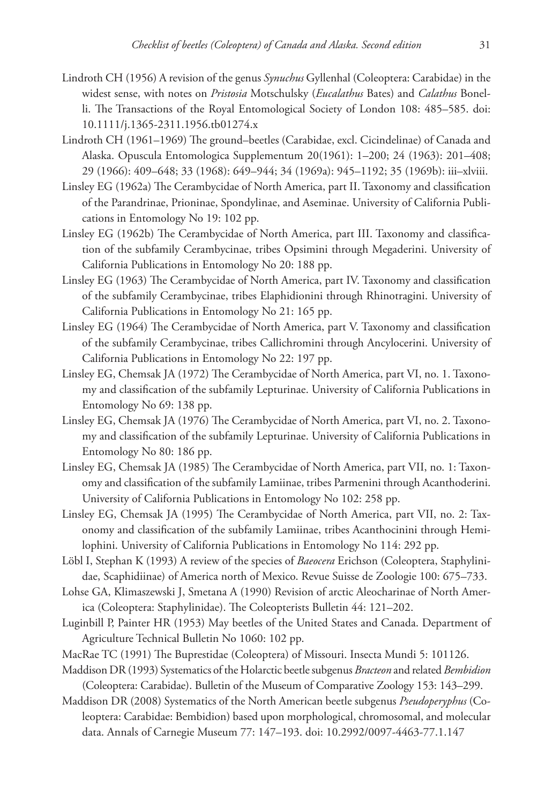- Lindroth CH (1956) A revision of the genus *Synuchus* Gyllenhal (Coleoptera: Carabidae) in the widest sense, with notes on *Pristosia* Motschulsky (*Eucalathus* Bates) and *Calathus* Bonelli. The Transactions of the Royal Entomological Society of London 108: 485–585. [doi:](http://dx.doi.org/10.1111/j.1365-2311.1956.tb01274.x) [10.1111/j.1365-2311.1956.tb01274.x](http://dx.doi.org/10.1111/j.1365-2311.1956.tb01274.x)
- Lindroth CH (1961–1969) The ground–beetles (Carabidae, excl. Cicindelinae) of Canada and Alaska. Opuscula Entomologica Supplementum 20(1961): 1–200; 24 (1963): 201–408; 29 (1966): 409–648; 33 (1968): 649–944; 34 (1969a): 945–1192; 35 (1969b): iii–xlviii.
- Linsley EG (1962a) The Cerambycidae of North America, part II. Taxonomy and classification of the Parandrinae, Prioninae, Spondylinae, and Aseminae. University of California Publications in Entomology No 19: 102 pp.
- Linsley EG (1962b) The Cerambycidae of North America, part III. Taxonomy and classification of the subfamily Cerambycinae, tribes Opsimini through Megaderini. University of California Publications in Entomology No 20: 188 pp.
- Linsley EG (1963) The Cerambycidae of North America, part IV. Taxonomy and classification of the subfamily Cerambycinae, tribes Elaphidionini through Rhinotragini. University of California Publications in Entomology No 21: 165 pp.
- Linsley EG (1964) The Cerambycidae of North America, part V. Taxonomy and classification of the subfamily Cerambycinae, tribes Callichromini through Ancylocerini. University of California Publications in Entomology No 22: 197 pp.
- Linsley EG, Chemsak JA (1972) The Cerambycidae of North America, part VI, no. 1. Taxonomy and classification of the subfamily Lepturinae. University of California Publications in Entomology No 69: 138 pp.
- Linsley EG, Chemsak JA (1976) The Cerambycidae of North America, part VI, no. 2. Taxonomy and classification of the subfamily Lepturinae. University of California Publications in Entomology No 80: 186 pp.
- Linsley EG, Chemsak JA (1985) The Cerambycidae of North America, part VII, no. 1: Taxonomy and classification of the subfamily Lamiinae, tribes Parmenini through Acanthoderini. University of California Publications in Entomology No 102: 258 pp.
- Linsley EG, Chemsak JA (1995) The Cerambycidae of North America, part VII, no. 2: Taxonomy and classification of the subfamily Lamiinae, tribes Acanthocinini through Hemilophini. University of California Publications in Entomology No 114: 292 pp.
- Löbl I, Stephan K (1993) A review of the species of *Baeocera* Erichson (Coleoptera, Staphylinidae, Scaphidiinae) of America north of Mexico. Revue Suisse de Zoologie 100: 675–733.
- Lohse GA, Klimaszewski J, Smetana A (1990) Revision of arctic Aleocharinae of North America (Coleoptera: Staphylinidae). The Coleopterists Bulletin 44: 121–202.
- Luginbill P, Painter HR (1953) May beetles of the United States and Canada. Department of Agriculture Technical Bulletin No 1060: 102 pp.
- MacRae TC (1991) The Buprestidae (Coleoptera) of Missouri. Insecta Mundi 5: 101126.
- Maddison DR (1993) Systematics of the Holarctic beetle subgenus *Bracteon* and related *Bembidion* (Coleoptera: Carabidae). Bulletin of the Museum of Comparative Zoology 153: 143–299.
- Maddison DR (2008) Systematics of the North American beetle subgenus *Pseudoperyphus* (Coleoptera: Carabidae: Bembidion) based upon morphological, chromosomal, and molecular data. Annals of Carnegie Museum 77: 147–193. [doi: 10.2992/0097-4463-77.1.147](http://dx.doi.org/10.2992/0097-4463-77.1.147)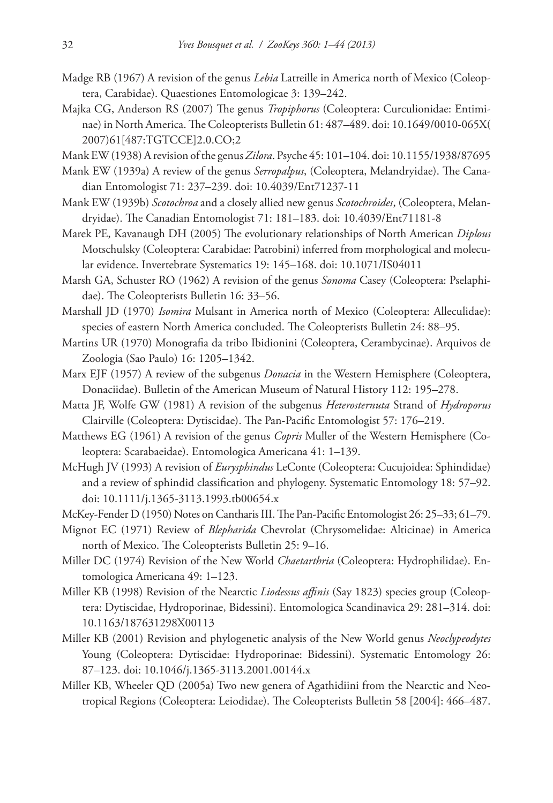- Madge RB (1967) A revision of the genus *Lebia* Latreille in America north of Mexico (Coleoptera, Carabidae). Quaestiones Entomologicae 3: 139–242.
- Majka CG, Anderson RS (2007) The genus *Tropiphorus* (Coleoptera: Curculionidae: Entiminae) in North America. The Coleopterists Bulletin 61: 487–489. [doi: 10.1649/0010-065X\(](http://dx.doi.org/10.1649/0010-065X(2007)61[487:TGTCCE]2.0.CO;2) [2007\)61\[487:TGTCCE\]2.0.CO;2](http://dx.doi.org/10.1649/0010-065X(2007)61[487:TGTCCE]2.0.CO;2)

Mank EW (1938) A revision of the genus *Zilora*. Psyche 45: 101–104. [doi: 10.1155/1938/87695](http://dx.doi.org/10.1155/1938/87695)

- Mank EW (1939a) A review of the genus *Serropalpus*, (Coleoptera, Melandryidae). The Canadian Entomologist 71: 237–239. [doi: 10.4039/Ent71237-11](http://dx.doi.org/10.4039/Ent71237-11)
- Mank EW (1939b) *Scotochroa* and a closely allied new genus *Scotochroides*, (Coleoptera, Melandryidae). The Canadian Entomologist 71: 181–183. [doi: 10.4039/Ent71181-8](http://dx.doi.org/10.4039/Ent71181-8)
- Marek PE, Kavanaugh DH (2005) The evolutionary relationships of North American *Diplous* Motschulsky (Coleoptera: Carabidae: Patrobini) inferred from morphological and molecular evidence. Invertebrate Systematics 19: 145–168. [doi: 10.1071/IS04011](http://dx.doi.org/10.1071/IS04011)
- Marsh GA, Schuster RO (1962) A revision of the genus *Sonoma* Casey (Coleoptera: Pselaphidae). The Coleopterists Bulletin 16: 33–56.
- Marshall JD (1970) *Isomira* Mulsant in America north of Mexico (Coleoptera: Alleculidae): species of eastern North America concluded. The Coleopterists Bulletin 24: 88–95.
- Martins UR (1970) Monografia da tribo Ibidionini (Coleoptera, Cerambycinae). Arquivos de Zoologia (Sao Paulo) 16: 1205–1342.
- Marx EJF (1957) A review of the subgenus *Donacia* in the Western Hemisphere (Coleoptera, Donaciidae). Bulletin of the American Museum of Natural History 112: 195–278.
- Matta JF, Wolfe GW (1981) A revision of the subgenus *Heterosternuta* Strand of *Hydroporus* Clairville (Coleoptera: Dytiscidae). The Pan-Pacific Entomologist 57: 176–219.
- Matthews EG (1961) A revision of the genus *Copris* Muller of the Western Hemisphere (Coleoptera: Scarabaeidae). Entomologica Americana 41: 1–139.
- McHugh JV (1993) A revision of *Eurysphindus* LeConte (Coleoptera: Cucujoidea: Sphindidae) and a review of sphindid classification and phylogeny. Systematic Entomology 18: 57–92. [doi: 10.1111/j.1365-3113.1993.tb00654.x](http://dx.doi.org/10.1111/j.1365-3113.1993.tb00654.x)
- McKey-Fender D (1950) Notes on Cantharis III. The Pan-Pacific Entomologist 26: 25–33; 61–79.
- Mignot EC (1971) Review of *Blepharida* Chevrolat (Chrysomelidae: Alticinae) in America north of Mexico. The Coleopterists Bulletin 25: 9–16.
- Miller DC (1974) Revision of the New World *Chaetarthria* (Coleoptera: Hydrophilidae). Entomologica Americana 49: 1–123.
- Miller KB (1998) Revision of the Nearctic *Liodessus affinis* (Say 1823) species group (Coleoptera: Dytiscidae, Hydroporinae, Bidessini). Entomologica Scandinavica 29: 281–314. [doi:](http://dx.doi.org/10.1163/187631298X00113) [10.1163/187631298X00113](http://dx.doi.org/10.1163/187631298X00113)
- Miller KB (2001) Revision and phylogenetic analysis of the New World genus *Neoclypeodytes* Young (Coleoptera: Dytiscidae: Hydroporinae: Bidessini). Systematic Entomology 26: 87–123. [doi: 10.1046/j.1365-3113.2001.00144.x](http://dx.doi.org/10.1046/j.1365-3113.2001.00144.x)
- Miller KB, Wheeler QD (2005a) Two new genera of Agathidiini from the Nearctic and Neotropical Regions (Coleoptera: Leiodidae). The Coleopterists Bulletin 58 [2004]: 466–487.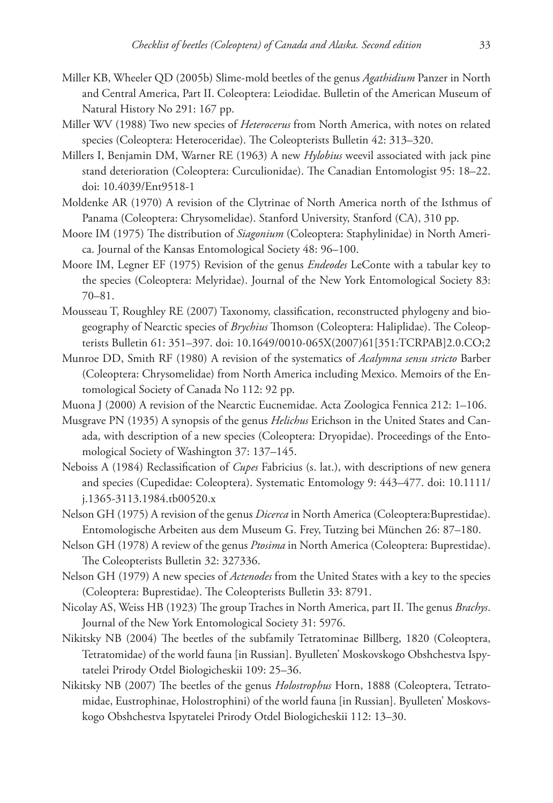- Miller KB, Wheeler QD (2005b) Slime-mold beetles of the genus *Agathidium* Panzer in North and Central America, Part II. Coleoptera: Leiodidae. Bulletin of the American Museum of Natural History No 291: 167 pp.
- Miller WV (1988) Two new species of *Heterocerus* from North America, with notes on related species (Coleoptera: Heteroceridae). The Coleopterists Bulletin 42: 313–320.
- Millers I, Benjamin DM, Warner RE (1963) A new *Hylobius* weevil associated with jack pine stand deterioration (Coleoptera: Curculionidae). The Canadian Entomologist 95: 18–22. [doi: 10.4039/Ent9518-1](http://dx.doi.org/10.4039/Ent9518-1)
- Moldenke AR (1970) A revision of the Clytrinae of North America north of the Isthmus of Panama (Coleoptera: Chrysomelidae). Stanford University, Stanford (CA), 310 pp.
- Moore IM (1975) The distribution of *Siagonium* (Coleoptera: Staphylinidae) in North America. Journal of the Kansas Entomological Society 48: 96–100.
- Moore IM, Legner EF (1975) Revision of the genus *Endeodes* LeConte with a tabular key to the species (Coleoptera: Melyridae). Journal of the New York Entomological Society 83: 70–81.
- Mousseau T, Roughley RE (2007) Taxonomy, classification, reconstructed phylogeny and biogeography of Nearctic species of *Brychius* Thomson (Coleoptera: Haliplidae). The Coleopterists Bulletin 61: 351–397. [doi: 10.1649/0010-065X\(2007\)61\[351:TCRPAB\]2.0.CO;2](http://dx.doi.org/10.1649/0010-065X(2007)61[351:TCRPAB]2.0.CO;2)
- Munroe DD, Smith RF (1980) A revision of the systematics of *Acalymna sensu stricto* Barber (Coleoptera: Chrysomelidae) from North America including Mexico. Memoirs of the Entomological Society of Canada No 112: 92 pp.
- Muona J (2000) A revision of the Nearctic Eucnemidae. Acta Zoologica Fennica 212: 1–106.
- Musgrave PN (1935) A synopsis of the genus *Helichus* Erichson in the United States and Canada, with description of a new species (Coleoptera: Dryopidae). Proceedings of the Entomological Society of Washington 37: 137–145.
- Neboiss A (1984) Reclassification of *Cupes* Fabricius (s. lat.), with descriptions of new genera and species (Cupedidae: Coleoptera). Systematic Entomology 9: 443–477. [doi: 10.1111/](http://dx.doi.org/10.1111/j.1365-3113.1984.tb00520.x) [j.1365-3113.1984.tb00520.x](http://dx.doi.org/10.1111/j.1365-3113.1984.tb00520.x)
- Nelson GH (1975) A revision of the genus *Dicerca* in North America (Coleoptera:Buprestidae). Entomologische Arbeiten aus dem Museum G. Frey, Tutzing bei München 26: 87–180.
- Nelson GH (1978) A review of the genus *Ptosima* in North America (Coleoptera: Buprestidae). The Coleopterists Bulletin 32: 327336.
- Nelson GH (1979) A new species of *Actenodes* from the United States with a key to the species (Coleoptera: Buprestidae). The Coleopterists Bulletin 33: 8791.
- Nicolay AS, Weiss HB (1923) The group Traches in North America, part II. The genus *Brachys*. Journal of the New York Entomological Society 31: 5976.
- Nikitsky NB (2004) The beetles of the subfamily Tetratominae Billberg, 1820 (Coleoptera, Tetratomidae) of the world fauna [in Russian]. Byulleten' Moskovskogo Obshchestva Ispytatelei Prirody Otdel Biologicheskii 109: 25–36.
- Nikitsky NB (2007) The beetles of the genus *Holostrophus* Horn, 1888 (Coleoptera, Tetratomidae, Eustrophinae, Holostrophini) of the world fauna [in Russian]. Byulleten' Moskovskogo Obshchestva Ispytatelei Prirody Otdel Biologicheskii 112: 13–30.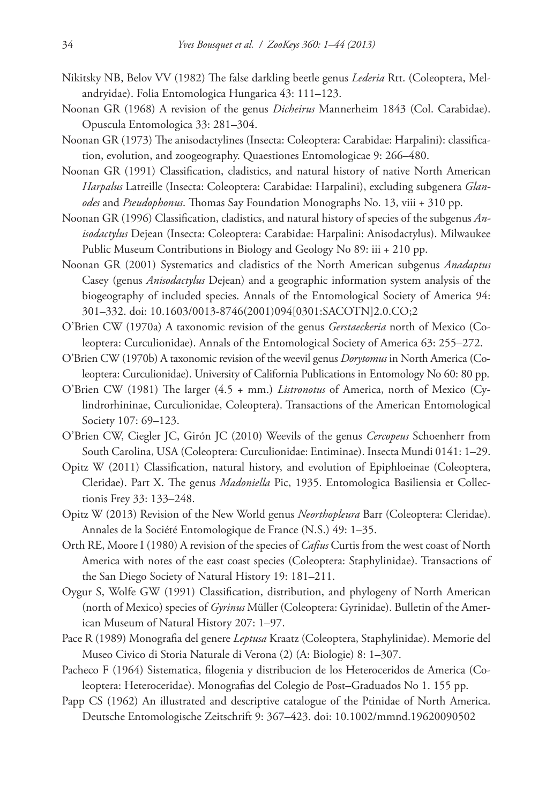- Nikitsky NB, Belov VV (1982) The false darkling beetle genus *Lederia* Rtt. (Coleoptera, Melandryidae). Folia Entomologica Hungarica 43: 111–123.
- Noonan GR (1968) A revision of the genus *Dicheirus* Mannerheim 1843 (Col. Carabidae). Opuscula Entomologica 33: 281–304.
- Noonan GR (1973) The anisodactylines (Insecta: Coleoptera: Carabidae: Harpalini): classification, evolution, and zoogeography. Quaestiones Entomologicae 9: 266–480.
- Noonan GR (1991) Classification, cladistics, and natural history of native North American *Harpalus* Latreille (Insecta: Coleoptera: Carabidae: Harpalini), excluding subgenera *Glanodes* and *Pseudophonus*. Thomas Say Foundation Monographs No. 13, viii + 310 pp.
- Noonan GR (1996) Classification, cladistics, and natural history of species of the subgenus *Anisodactylus* Dejean (Insecta: Coleoptera: Carabidae: Harpalini: Anisodactylus). Milwaukee Public Museum Contributions in Biology and Geology No 89: iii + 210 pp.
- Noonan GR (2001) Systematics and cladistics of the North American subgenus *Anadaptus* Casey (genus *Anisodactylus* Dejean) and a geographic information system analysis of the biogeography of included species. Annals of the Entomological Society of America 94: 301–332. [doi: 10.1603/0013-8746\(2001\)094\[0301:SACOTN\]2.0.CO;2](http://dx.doi.org/10.1603/0013-8746(2001)094[0301:SACOTN]2.0.CO;2)
- O'Brien CW (1970a) A taxonomic revision of the genus *Gerstaeckeria* north of Mexico (Coleoptera: Curculionidae). Annals of the Entomological Society of America 63: 255–272.
- O'Brien CW (1970b) A taxonomic revision of the weevil genus *Dorytomus* in North America (Coleoptera: Curculionidae). University of California Publications in Entomology No 60: 80 pp.
- O'Brien CW (1981) The larger (4.5 + mm.) *Listronotus* of America, north of Mexico (Cylindrorhininae, Curculionidae, Coleoptera). Transactions of the American Entomological Society 107: 69–123.
- O'Brien CW, Ciegler JC, Girón JC (2010) Weevils of the genus *Cercopeus* Schoenherr from South Carolina, USA (Coleoptera: Curculionidae: Entiminae). Insecta Mundi 0141: 1–29.
- Opitz W (2011) Classification, natural history, and evolution of Epiphloeinae (Coleoptera, Cleridae). Part X. The genus *Madoniella* Pic, 1935. Entomologica Basiliensia et Collectionis Frey 33: 133–248.
- Opitz W (2013) Revision of the New World genus *Neorthopleura* Barr (Coleoptera: Cleridae). Annales de la Société Entomologique de France (N.S.) 49: 1–35.
- Orth RE, Moore I (1980) A revision of the species of *Cafius* Curtis from the west coast of North America with notes of the east coast species (Coleoptera: Staphylinidae). Transactions of the San Diego Society of Natural History 19: 181–211.
- Oygur S, Wolfe GW (1991) Classification, distribution, and phylogeny of North American (north of Mexico) species of *Gyrinus* Müller (Coleoptera: Gyrinidae). Bulletin of the American Museum of Natural History 207: 1–97.
- Pace R (1989) Monografia del genere *Leptusa* Kraatz (Coleoptera, Staphylinidae). Memorie del Museo Civico di Storia Naturale di Verona (2) (A: Biologie) 8: 1–307.
- Pacheco F (1964) Sistematica, filogenia y distribucion de los Heteroceridos de America (Coleoptera: Heteroceridae). Monografias del Colegio de Post–Graduados No 1. 155 pp.
- Papp CS (1962) An illustrated and descriptive catalogue of the Ptinidae of North America. Deutsche Entomologische Zeitschrift 9: 367–423. [doi: 10.1002/mmnd.19620090502](http://dx.doi.org/10.1002/mmnd.19620090502)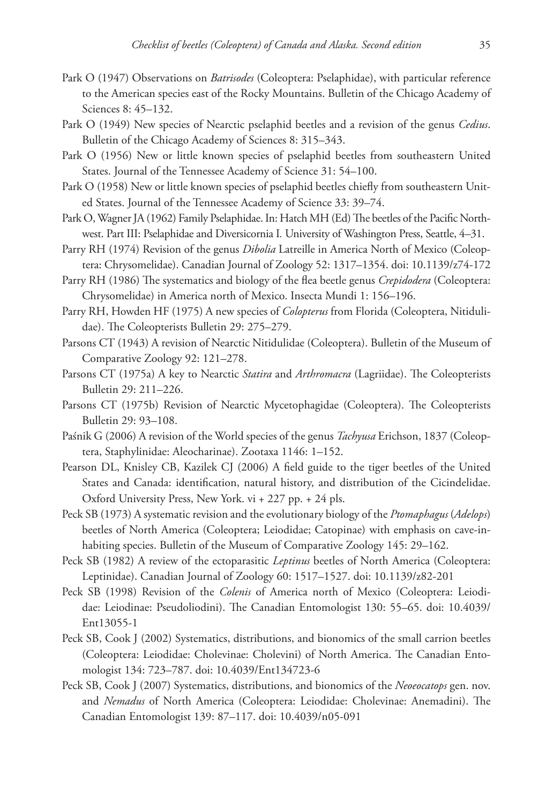- Park O (1947) Observations on *Batrisodes* (Coleoptera: Pselaphidae), with particular reference to the American species east of the Rocky Mountains. Bulletin of the Chicago Academy of Sciences 8: 45–132.
- Park O (1949) New species of Nearctic pselaphid beetles and a revision of the genus *Cedius*. Bulletin of the Chicago Academy of Sciences 8: 315–343.
- Park O (1956) New or little known species of pselaphid beetles from southeastern United States. Journal of the Tennessee Academy of Science 31: 54–100.
- Park O (1958) New or little known species of pselaphid beetles chiefly from southeastern United States. Journal of the Tennessee Academy of Science 33: 39–74.
- Park O, Wagner JA (1962) Family Pselaphidae. In: Hatch MH (Ed) The beetles of the Pacific Northwest. Part III: Pselaphidae and Diversicornia I*.* University of Washington Press, Seattle, 4–31.
- Parry RH (1974) Revision of the genus *Dibolia* Latreille in America North of Mexico (Coleoptera: Chrysomelidae). Canadian Journal of Zoology 52: 1317–1354. [doi: 10.1139/z74-172](http://dx.doi.org/10.1139/z74-172)
- Parry RH (1986) The systematics and biology of the flea beetle genus *Crepidodera* (Coleoptera: Chrysomelidae) in America north of Mexico. Insecta Mundi 1: 156–196.
- Parry RH, Howden HF (1975) A new species of *Colopterus* from Florida (Coleoptera, Nitidulidae). The Coleopterists Bulletin 29: 275–279.
- Parsons CT (1943) A revision of Nearctic Nitidulidae (Coleoptera). Bulletin of the Museum of Comparative Zoology 92: 121–278.
- Parsons CT (1975a) A key to Nearctic *Statira* and *Arthromacra* (Lagriidae). The Coleopterists Bulletin 29: 211–226.
- Parsons CT (1975b) Revision of Nearctic Mycetophagidae (Coleoptera). The Coleopterists Bulletin 29: 93–108.
- Paśnik G (2006) A revision of the World species of the genus *Tachyusa* Erichson, 1837 (Coleoptera, Staphylinidae: Aleocharinae). Zootaxa 1146: 1–152.
- Pearson DL, Knisley CB, Kazilek CJ (2006) A field guide to the tiger beetles of the United States and Canada: identification, natural history, and distribution of the Cicindelidae. Oxford University Press, New York. vi + 227 pp. + 24 pls.
- Peck SB (1973) A systematic revision and the evolutionary biology of the *Ptomaphagus* (*Adelops*) beetles of North America (Coleoptera; Leiodidae; Catopinae) with emphasis on cave-inhabiting species. Bulletin of the Museum of Comparative Zoology 145: 29–162.
- Peck SB (1982) A review of the ectoparasitic *Leptinus* beetles of North America (Coleoptera: Leptinidae). Canadian Journal of Zoology 60: 1517–1527. [doi: 10.1139/z82-201](http://dx.doi.org/10.1139/z82-201)
- Peck SB (1998) Revision of the *Colenis* of America north of Mexico (Coleoptera: Leiodidae: Leiodinae: Pseudoliodini). The Canadian Entomologist 130: 55–65. [doi: 10.4039/](http://dx.doi.org/10.4039/Ent13055-1) [Ent13055-1](http://dx.doi.org/10.4039/Ent13055-1)
- Peck SB, Cook J (2002) Systematics, distributions, and bionomics of the small carrion beetles (Coleoptera: Leiodidae: Cholevinae: Cholevini) of North America. The Canadian Entomologist 134: 723–787. [doi: 10.4039/Ent134723-6](http://dx.doi.org/10.4039/Ent134723-6)
- Peck SB, Cook J (2007) Systematics, distributions, and bionomics of the *Neoeocatops* gen. nov. and *Nemadus* of North America (Coleoptera: Leiodidae: Cholevinae: Anemadini). The Canadian Entomologist 139: 87–117. [doi: 10.4039/n05-091](http://dx.doi.org/10.4039/n05-091)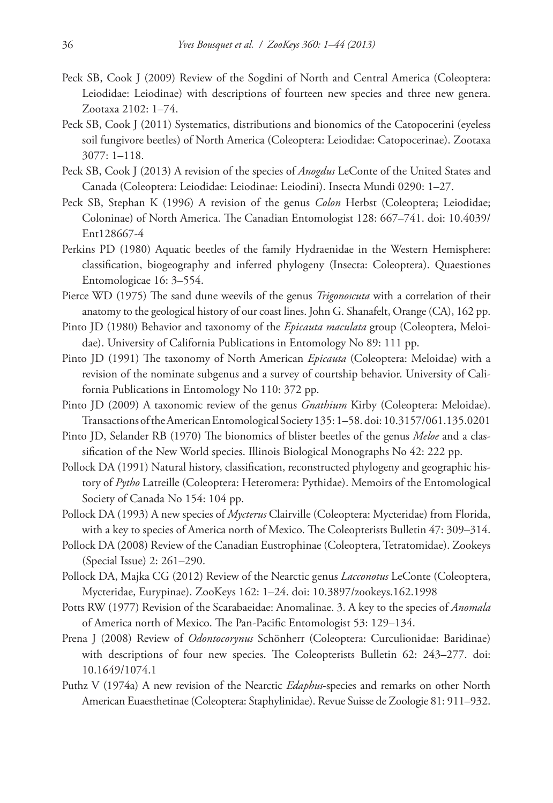- Peck SB, Cook J (2009) Review of the Sogdini of North and Central America (Coleoptera: Leiodidae: Leiodinae) with descriptions of fourteen new species and three new genera. Zootaxa 2102: 1–74.
- Peck SB, Cook J (2011) Systematics, distributions and bionomics of the Catopocerini (eyeless soil fungivore beetles) of North America (Coleoptera: Leiodidae: Catopocerinae). Zootaxa 3077: 1–118.
- Peck SB, Cook J (2013) A revision of the species of *Anogdus* LeConte of the United States and Canada (Coleoptera: Leiodidae: Leiodinae: Leiodini). Insecta Mundi 0290: 1–27.
- Peck SB, Stephan K (1996) A revision of the genus *Colon* Herbst (Coleoptera; Leiodidae; Coloninae) of North America. The Canadian Entomologist 128: 667–741. [doi: 10.4039/](http://dx.doi.org/10.4039/Ent128667-4) [Ent128667-4](http://dx.doi.org/10.4039/Ent128667-4)
- Perkins PD (1980) Aquatic beetles of the family Hydraenidae in the Western Hemisphere: classification, biogeography and inferred phylogeny (Insecta: Coleoptera). Quaestiones Entomologicae 16: 3–554.
- Pierce WD (1975) The sand dune weevils of the genus *Trigonoscuta* with a correlation of their anatomy to the geological history of our coast lines. John G. Shanafelt, Orange (CA), 162 pp.
- Pinto JD (1980) Behavior and taxonomy of the *Epicauta maculata* group (Coleoptera, Meloidae). University of California Publications in Entomology No 89: 111 pp.
- Pinto JD (1991) The taxonomy of North American *Epicauta* (Coleoptera: Meloidae) with a revision of the nominate subgenus and a survey of courtship behavior. University of California Publications in Entomology No 110: 372 pp.
- Pinto JD (2009) A taxonomic review of the genus *Gnathium* Kirby (Coleoptera: Meloidae). Transactions of the American Entomological Society 135: 1–58. [doi: 10.3157/061.135.0201](http://dx.doi.org/10.3157/061.135.0201)
- Pinto JD, Selander RB (1970) The bionomics of blister beetles of the genus *Meloe* and a classification of the New World species. Illinois Biological Monographs No 42: 222 pp.
- Pollock DA (1991) Natural history, classification, reconstructed phylogeny and geographic history of *Pytho* Latreille (Coleoptera: Heteromera: Pythidae). Memoirs of the Entomological Society of Canada No 154: 104 pp.
- Pollock DA (1993) A new species of *Mycterus* Clairville (Coleoptera: Mycteridae) from Florida, with a key to species of America north of Mexico. The Coleopterists Bulletin 47: 309–314.
- Pollock DA (2008) Review of the Canadian Eustrophinae (Coleoptera, Tetratomidae). Zookeys (Special Issue) 2: 261–290.
- Pollock DA, Majka CG (2012) Review of the Nearctic genus *Lacconotus* LeConte (Coleoptera, Mycteridae, Eurypinae). ZooKeys 162: 1–24. [doi: 10.3897/zookeys.162.1998](http://dx.doi.org/10.3897/zookeys.162.1998)
- Potts RW (1977) Revision of the Scarabaeidae: Anomalinae. 3. A key to the species of *Anomala* of America north of Mexico. The Pan-Pacific Entomologist 53: 129–134.
- Prena J (2008) Review of *Odontocorynus* Schönherr (Coleoptera: Curculionidae: Baridinae) with descriptions of four new species. The Coleopterists Bulletin 62: 243–277. [doi:](http://dx.doi.org/10.1649/1074.1) [10.1649/1074.1](http://dx.doi.org/10.1649/1074.1)
- Puthz V (1974a) A new revision of the Nearctic *Edaphus*-species and remarks on other North American Euaesthetinae (Coleoptera: Staphylinidae). Revue Suisse de Zoologie 81: 911–932.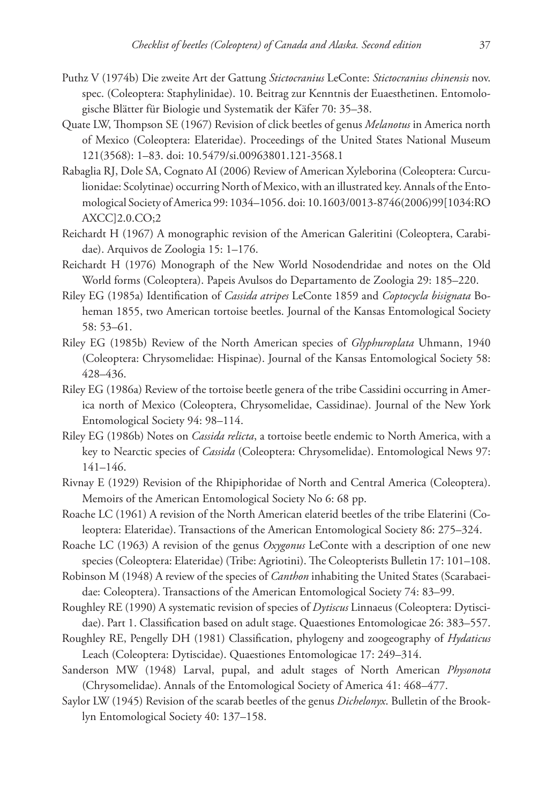- Puthz V (1974b) Die zweite Art der Gattung *Stictocranius* LeConte: *Stictocranius chinensis* nov. spec. (Coleoptera: Staphylinidae). 10. Beitrag zur Kenntnis der Euaesthetinen. Entomologische Blätter für Biologie und Systematik der Käfer 70: 35–38.
- Quate LW, Thompson SE (1967) Revision of click beetles of genus *Melanotus* in America north of Mexico (Coleoptera: Elateridae). Proceedings of the United States National Museum 121(3568): 1–83. [doi: 10.5479/si.00963801.121-3568.1](http://dx.doi.org/10.5479/si.00963801.121-3568.1)
- Rabaglia RJ, Dole SA, Cognato AI (2006) Review of American Xyleborina (Coleoptera: Curculionidae: Scolytinae) occurring North of Mexico, with an illustrated key. Annals of the Entomological Society of America 99: 1034–1056. [doi: 10.1603/0013-8746\(2006\)99\[1034:RO](http://dx.doi.org/10.1603/0013-8746(2006)99[1034:ROAXCC]2.0.CO;2) [AXCC\]2.0.CO;2](http://dx.doi.org/10.1603/0013-8746(2006)99[1034:ROAXCC]2.0.CO;2)
- Reichardt H (1967) A monographic revision of the American Galeritini (Coleoptera, Carabidae). Arquivos de Zoologia 15: 1–176.
- Reichardt H (1976) Monograph of the New World Nosodendridae and notes on the Old World forms (Coleoptera). Papeis Avulsos do Departamento de Zoologia 29: 185–220.
- Riley EG (1985a) Identification of *Cassida atripes* LeConte 1859 and *Coptocycla bisignata* Boheman 1855, two American tortoise beetles. Journal of the Kansas Entomological Society 58: 53–61.
- Riley EG (1985b) Review of the North American species of *Glyphuroplata* Uhmann, 1940 (Coleoptera: Chrysomelidae: Hispinae). Journal of the Kansas Entomological Society 58: 428–436.
- Riley EG (1986a) Review of the tortoise beetle genera of the tribe Cassidini occurring in America north of Mexico (Coleoptera, Chrysomelidae, Cassidinae). Journal of the New York Entomological Society 94: 98–114.
- Riley EG (1986b) Notes on *Cassida relicta*, a tortoise beetle endemic to North America, with a key to Nearctic species of *Cassida* (Coleoptera: Chrysomelidae). Entomological News 97: 141–146.
- Rivnay E (1929) Revision of the Rhipiphoridae of North and Central America (Coleoptera). Memoirs of the American Entomological Society No 6: 68 pp.
- Roache LC (1961) A revision of the North American elaterid beetles of the tribe Elaterini (Coleoptera: Elateridae). Transactions of the American Entomological Society 86: 275–324.
- Roache LC (1963) A revision of the genus *Oxygonus* LeConte with a description of one new species (Coleoptera: Elateridae) (Tribe: Agriotini). The Coleopterists Bulletin 17: 101–108.
- Robinson M (1948) A review of the species of *Canthon* inhabiting the United States (Scarabaeidae: Coleoptera). Transactions of the American Entomological Society 74: 83–99.
- Roughley RE (1990) A systematic revision of species of *Dytiscus* Linnaeus (Coleoptera: Dytiscidae). Part 1. Classification based on adult stage. Quaestiones Entomologicae 26: 383–557.
- Roughley RE, Pengelly DH (1981) Classification, phylogeny and zoogeography of *Hydaticus* Leach (Coleoptera: Dytiscidae). Quaestiones Entomologicae 17: 249–314.
- Sanderson MW (1948) Larval, pupal, and adult stages of North American *Physonota* (Chrysomelidae). Annals of the Entomological Society of America 41: 468–477.
- Saylor LW (1945) Revision of the scarab beetles of the genus *Dichelonyx*. Bulletin of the Brooklyn Entomological Society 40: 137–158.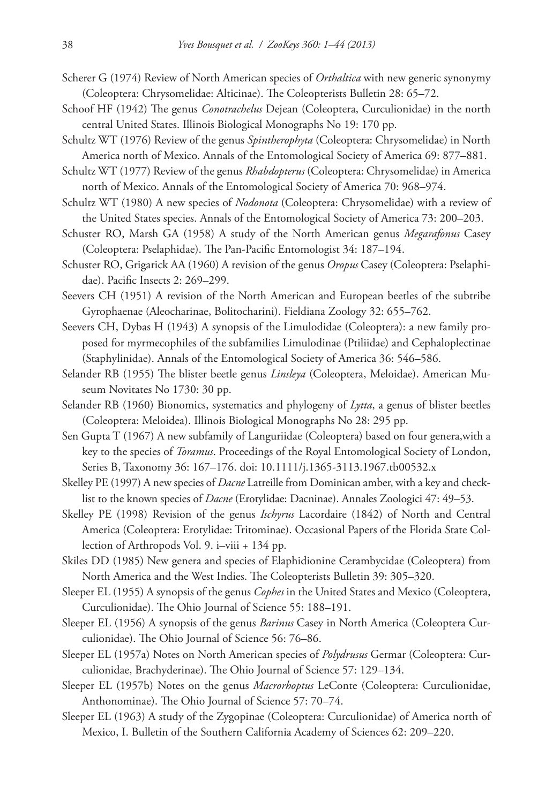- Scherer G (1974) Review of North American species of *Orthaltica* with new generic synonymy (Coleoptera: Chrysomelidae: Alticinae). The Coleopterists Bulletin 28: 65–72.
- Schoof HF (1942) The genus *Conotrachelus* Dejean (Coleoptera, Curculionidae) in the north central United States. Illinois Biological Monographs No 19: 170 pp.
- Schultz WT (1976) Review of the genus *Spintherophyta* (Coleoptera: Chrysomelidae) in North America north of Mexico. Annals of the Entomological Society of America 69: 877–881.
- Schultz WT (1977) Review of the genus *Rhabdopterus* (Coleoptera: Chrysomelidae) in America north of Mexico. Annals of the Entomological Society of America 70: 968–974.
- Schultz WT (1980) A new species of *Nodonota* (Coleoptera: Chrysomelidae) with a review of the United States species. Annals of the Entomological Society of America 73: 200–203.
- Schuster RO, Marsh GA (1958) A study of the North American genus *Megarafonus* Casey (Coleoptera: Pselaphidae). The Pan-Pacific Entomologist 34: 187–194.
- Schuster RO, Grigarick AA (1960) A revision of the genus *Oropus* Casey (Coleoptera: Pselaphidae). Pacific Insects 2: 269–299.
- Seevers CH (1951) A revision of the North American and European beetles of the subtribe Gyrophaenae (Aleocharinae, Bolitocharini). Fieldiana Zoology 32: 655–762.
- Seevers CH, Dybas H (1943) A synopsis of the Limulodidae (Coleoptera): a new family proposed for myrmecophiles of the subfamilies Limulodinae (Ptiliidae) and Cephaloplectinae (Staphylinidae). Annals of the Entomological Society of America 36: 546–586.
- Selander RB (1955) The blister beetle genus *Linsleya* (Coleoptera, Meloidae). American Museum Novitates No 1730: 30 pp.
- Selander RB (1960) Bionomics, systematics and phylogeny of *Lytta*, a genus of blister beetles (Coleoptera: Meloidea). Illinois Biological Monographs No 28: 295 pp.
- Sen Gupta T (1967) A new subfamily of Languriidae (Coleoptera) based on four genera,with a key to the species of *Toramus*. Proceedings of the Royal Entomological Society of London, Series B, Taxonomy 36: 167–176. [doi: 10.1111/j.1365-3113.1967.tb00532.x](http://dx.doi.org/10.1111/j.1365-3113.1967.tb00532.x)
- Skelley PE (1997) A new species of *Dacne* Latreille from Dominican amber, with a key and checklist to the known species of *Dacne* (Erotylidae: Dacninae). Annales Zoologici 47: 49–53.
- Skelley PE (1998) Revision of the genus *Ischyrus* Lacordaire (1842) of North and Central America (Coleoptera: Erotylidae: Tritominae). Occasional Papers of the Florida State Collection of Arthropods Vol. 9. i–viii + 134 pp.
- Skiles DD (1985) New genera and species of Elaphidionine Cerambycidae (Coleoptera) from North America and the West Indies. The Coleopterists Bulletin 39: 305–320.
- Sleeper EL (1955) A synopsis of the genus *Cophes* in the United States and Mexico (Coleoptera, Curculionidae). The Ohio Journal of Science 55: 188–191.
- Sleeper EL (1956) A synopsis of the genus *Barinus* Casey in North America (Coleoptera Curculionidae). The Ohio Journal of Science 56: 76–86.
- Sleeper EL (1957a) Notes on North American species of *Polydrusus* Germar (Coleoptera: Curculionidae, Brachyderinae). The Ohio Journal of Science 57: 129–134.
- Sleeper EL (1957b) Notes on the genus *Macrorhoptus* LeConte (Coleoptera: Curculionidae, Anthonominae). The Ohio Journal of Science 57: 70–74.
- Sleeper EL (1963) A study of the Zygopinae (Coleoptera: Curculionidae) of America north of Mexico, I. Bulletin of the Southern California Academy of Sciences 62: 209–220.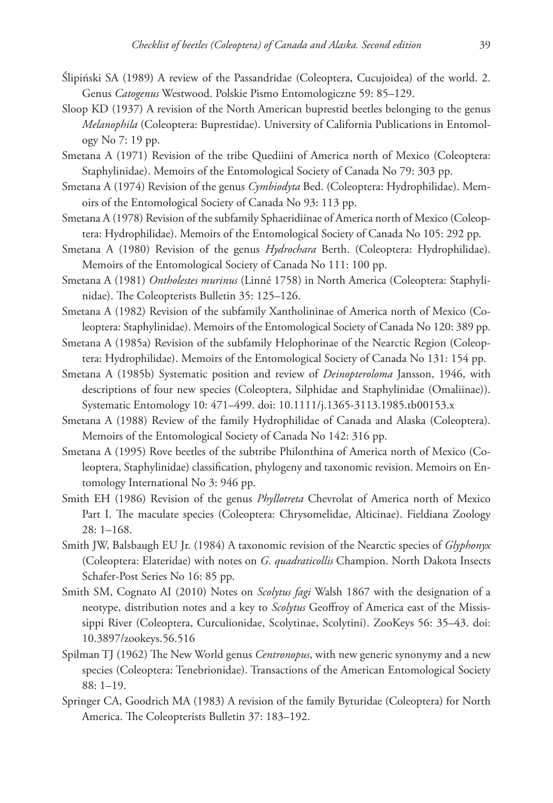- Ślipiński SA (1989) A review of the Passandridae (Coleoptera, Cucujoidea) of the world. 2. Genus *Catogenus* Westwood. Polskie Pismo Entomologiczne 59: 85–129.
- Sloop KD (1937) A revision of the North American buprestid beetles belonging to the genus *Melanophila* (Coleoptera: Buprestidae). University of California Publications in Entomology No 7: 19 pp.
- Smetana A (1971) Revision of the tribe Quediini of America north of Mexico (Coleoptera: Staphylinidae). Memoirs of the Entomological Society of Canada No 79: 303 pp.
- Smetana A (1974) Revision of the genus *Cymbiodyta* Bed. (Coleoptera: Hydrophilidae). Memoirs of the Entomological Society of Canada No 93: 113 pp.
- Smetana A (1978) Revision of the subfamily Sphaeridiinae of America north of Mexico (Coleoptera: Hydrophilidae). Memoirs of the Entomological Society of Canada No 105: 292 pp.
- Smetana A (1980) Revision of the genus *Hydrochara* Berth. (Coleoptera: Hydrophilidae). Memoirs of the Entomological Society of Canada No 111: 100 pp.
- Smetana A (1981) *Ontholestes murinus* (Linné 1758) in North America (Coleoptera: Staphylinidae). The Coleopterists Bulletin 35: 125–126.
- Smetana A (1982) Revision of the subfamily Xantholininae of America north of Mexico (Coleoptera: Staphylinidae). Memoirs of the Entomological Society of Canada No 120: 389 pp.
- Smetana A (1985a) Revision of the subfamily Helophorinae of the Nearctic Region (Coleoptera: Hydrophilidae). Memoirs of the Entomological Society of Canada No 131: 154 pp.
- Smetana A (1985b) Systematic position and review of *Deinopteroloma* Jansson, 1946, with descriptions of four new species (Coleoptera, Silphidae and Staphylinidae (Omaliinae)). Systematic Entomology 10: 471–499. [doi: 10.1111/j.1365-3113.1985.tb00153.x](http://dx.doi.org/10.1111/j.1365-3113.1985.tb00153.x)
- Smetana A (1988) Review of the family Hydrophilidae of Canada and Alaska (Coleoptera). Memoirs of the Entomological Society of Canada No 142: 316 pp.
- Smetana A (1995) Rove beetles of the subtribe Philonthina of America north of Mexico (Coleoptera, Staphylinidae) classification, phylogeny and taxonomic revision. Memoirs on Entomology International No 3: 946 pp.
- Smith EH (1986) Revision of the genus *Phyllotreta* Chevrolat of America north of Mexico Part I. The maculate species (Coleoptera: Chrysomelidae, Alticinae). Fieldiana Zoology 28: 1–168.
- Smith JW, Balsbaugh EU Jr. (1984) A taxonomic revision of the Nearctic species of *Glyphonyx* (Coleoptera: Elateridae) with notes on *G. quadraticollis* Champion. North Dakota Insects Schafer-Post Series No 16: 85 pp.
- Smith SM, Cognato AI (2010) Notes on *Scolytus fagi* Walsh 1867 with the designation of a neotype, distribution notes and a key to *Scolytus* Geoffroy of America east of the Mississippi River (Coleoptera, Curculionidae, Scolytinae, Scolytini). ZooKeys 56: 35–43. [doi:](http://dx.doi.org/10.3897/zookeys.56.516) [10.3897/zookeys.56.516](http://dx.doi.org/10.3897/zookeys.56.516)
- Spilman TJ (1962) The New World genus *Centronopus*, with new generic synonymy and a new species (Coleoptera: Tenebrionidae). Transactions of the American Entomological Society 88: 1–19.
- Springer CA, Goodrich MA (1983) A revision of the family Byturidae (Coleoptera) for North America. The Coleopterists Bulletin 37: 183–192.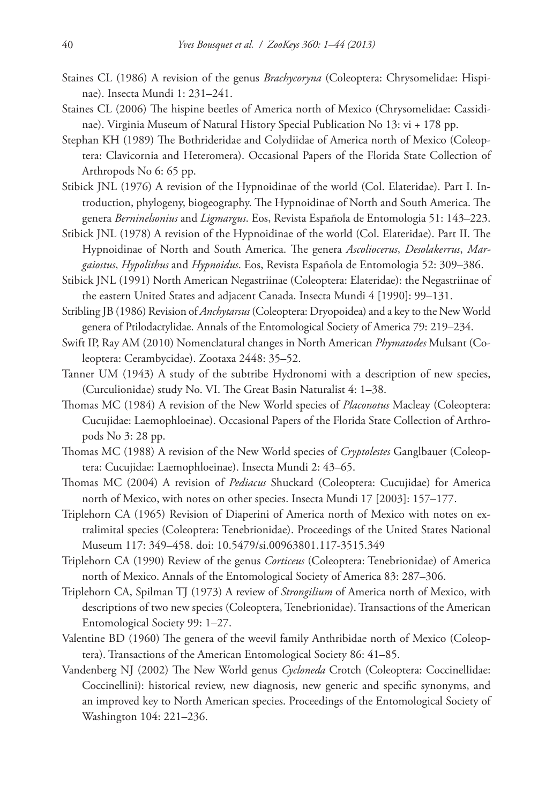- Staines CL (1986) A revision of the genus *Brachycoryna* (Coleoptera: Chrysomelidae: Hispinae). Insecta Mundi 1: 231–241.
- Staines CL (2006) The hispine beetles of America north of Mexico (Chrysomelidae: Cassidinae). Virginia Museum of Natural History Special Publication No 13: vi + 178 pp.
- Stephan KH (1989) The Bothrideridae and Colydiidae of America north of Mexico (Coleoptera: Clavicornia and Heteromera). Occasional Papers of the Florida State Collection of Arthropods No 6: 65 pp.
- Stibick JNL (1976) A revision of the Hypnoidinae of the world (Col. Elateridae). Part I. Introduction, phylogeny, biogeography. The Hypnoidinae of North and South America. The genera *Berninelsonius* and *Ligmargus*. Eos, Revista Española de Entomologia 51: 143–223.
- Stibick JNL (1978) A revision of the Hypnoidinae of the world (Col. Elateridae). Part II. The Hypnoidinae of North and South America. The genera *Ascoliocerus*, *Desolakerrus*, *Margaiostus*, *Hypolithus* and *Hypnoidus*. Eos, Revista Española de Entomologia 52: 309–386.
- Stibick JNL (1991) North American Negastriinae (Coleoptera: Elateridae): the Negastriinae of the eastern United States and adjacent Canada. Insecta Mundi 4 [1990]: 99–131.
- Stribling JB (1986) Revision of *Anchytarsus* (Coleoptera: Dryopoidea) and a key to the New World genera of Ptilodactylidae. Annals of the Entomological Society of America 79: 219–234.
- Swift IP, Ray AM (2010) Nomenclatural changes in North American *Phymatodes* Mulsant (Coleoptera: Cerambycidae). Zootaxa 2448: 35–52.
- Tanner UM (1943) A study of the subtribe Hydronomi with a description of new species, (Curculionidae) study No. VI. The Great Basin Naturalist 4: 1–38.
- Thomas MC (1984) A revision of the New World species of *Placonotus* Macleay (Coleoptera: Cucujidae: Laemophloeinae). Occasional Papers of the Florida State Collection of Arthropods No 3: 28 pp.
- Thomas MC (1988) A revision of the New World species of *Cryptolestes* Ganglbauer (Coleoptera: Cucujidae: Laemophloeinae). Insecta Mundi 2: 43–65.
- Thomas MC (2004) A revision of *Pediacus* Shuckard (Coleoptera: Cucujidae) for America north of Mexico, with notes on other species. Insecta Mundi 17 [2003]: 157–177.
- Triplehorn CA (1965) Revision of Diaperini of America north of Mexico with notes on extralimital species (Coleoptera: Tenebrionidae). Proceedings of the United States National Museum 117: 349–458. [doi: 10.5479/si.00963801.117-3515.349](http://dx.doi.org/10.5479/si.00963801.117-3515.349)
- Triplehorn CA (1990) Review of the genus *Corticeus* (Coleoptera: Tenebrionidae) of America north of Mexico. Annals of the Entomological Society of America 83: 287–306.
- Triplehorn CA, Spilman TJ (1973) A review of *Strongilium* of America north of Mexico, with descriptions of two new species (Coleoptera, Tenebrionidae). Transactions of the American Entomological Society 99: 1–27.
- Valentine BD (1960) The genera of the weevil family Anthribidae north of Mexico (Coleoptera). Transactions of the American Entomological Society 86: 41–85.
- Vandenberg NJ (2002) The New World genus *Cycloneda* Crotch (Coleoptera: Coccinellidae: Coccinellini): historical review, new diagnosis, new generic and specific synonyms, and an improved key to North American species. Proceedings of the Entomological Society of Washington 104: 221–236.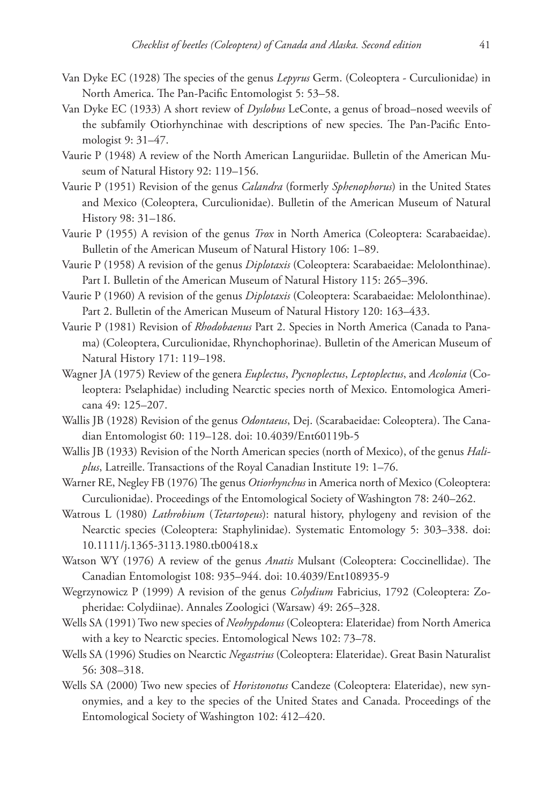- Van Dyke EC (1928) The species of the genus *Lepyrus* Germ. (Coleoptera Curculionidae) in North America. The Pan-Pacific Entomologist 5: 53–58.
- Van Dyke EC (1933) A short review of *Dyslobus* LeConte, a genus of broad–nosed weevils of the subfamily Otiorhynchinae with descriptions of new species. The Pan-Pacific Entomologist 9: 31–47.
- Vaurie P (1948) A review of the North American Languriidae. Bulletin of the American Museum of Natural History 92: 119–156.
- Vaurie P (1951) Revision of the genus *Calandra* (formerly *Sphenophorus*) in the United States and Mexico (Coleoptera, Curculionidae). Bulletin of the American Museum of Natural History 98: 31–186.
- Vaurie P (1955) A revision of the genus *Trox* in North America (Coleoptera: Scarabaeidae). Bulletin of the American Museum of Natural History 106: 1–89.
- Vaurie P (1958) A revision of the genus *Diplotaxis* (Coleoptera: Scarabaeidae: Melolonthinae). Part I. Bulletin of the American Museum of Natural History 115: 265–396.
- Vaurie P (1960) A revision of the genus *Diplotaxis* (Coleoptera: Scarabaeidae: Melolonthinae). Part 2. Bulletin of the American Museum of Natural History 120: 163–433.
- Vaurie P (1981) Revision of *Rhodobaenus* Part 2. Species in North America (Canada to Panama) (Coleoptera, Curculionidae, Rhynchophorinae). Bulletin of the American Museum of Natural History 171: 119–198.
- Wagner JA (1975) Review of the genera *Euplectus*, *Pycnoplectus*, *Leptoplectus*, and *Acolonia* (Coleoptera: Pselaphidae) including Nearctic species north of Mexico. Entomologica Americana 49: 125–207.
- Wallis JB (1928) Revision of the genus *Odontaeus*, Dej. (Scarabaeidae: Coleoptera). The Canadian Entomologist 60: 119–128. [doi: 10.4039/Ent60119b-5](http://dx.doi.org/10.4039/Ent60119b-5)
- Wallis JB (1933) Revision of the North American species (north of Mexico), of the genus *Haliplus*, Latreille. Transactions of the Royal Canadian Institute 19: 1–76.
- Warner RE, Negley FB (1976) The genus *Otiorhynchus* in America north of Mexico (Coleoptera: Curculionidae). Proceedings of the Entomological Society of Washington 78: 240–262.
- Watrous L (1980) *Lathrobium* (*Tetartopeus*): natural history, phylogeny and revision of the Nearctic species (Coleoptera: Staphylinidae). Systematic Entomology 5: 303–338. [doi:](http://dx.doi.org/10.1111/j.1365-3113.1980.tb00418.x) [10.1111/j.1365-3113.1980.tb00418.x](http://dx.doi.org/10.1111/j.1365-3113.1980.tb00418.x)
- Watson WY (1976) A review of the genus *Anatis* Mulsant (Coleoptera: Coccinellidae). The Canadian Entomologist 108: 935–944. [doi: 10.4039/Ent108935-9](http://dx.doi.org/10.4039/Ent108935-9)
- Wegrzynowicz P (1999) A revision of the genus *Colydium* Fabricius, 1792 (Coleoptera: Zopheridae: Colydiinae). Annales Zoologici (Warsaw) 49: 265–328.
- Wells SA (1991) Two new species of *Neohypdonus* (Coleoptera: Elateridae) from North America with a key to Nearctic species. Entomological News 102: 73–78.
- Wells SA (1996) Studies on Nearctic *Negastrius* (Coleoptera: Elateridae). Great Basin Naturalist 56: 308–318.
- Wells SA (2000) Two new species of *Horistonotus* Candeze (Coleoptera: Elateridae), new synonymies, and a key to the species of the United States and Canada. Proceedings of the Entomological Society of Washington 102: 412–420.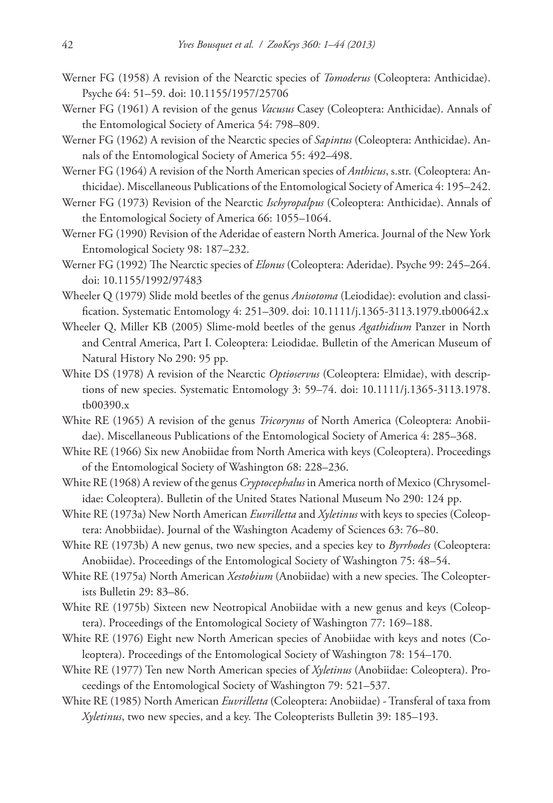- Werner FG (1958) A revision of the Nearctic species of *Tomoderus* (Coleoptera: Anthicidae). Psyche 64: 51–59. [doi: 10.1155/1957/25706](http://dx.doi.org/10.1155/1957/25706)
- Werner FG (1961) A revision of the genus *Vacusus* Casey (Coleoptera: Anthicidae). Annals of the Entomological Society of America 54: 798–809.
- Werner FG (1962) A revision of the Nearctic species of *Sapintus* (Coleoptera: Anthicidae). Annals of the Entomological Society of America 55: 492–498.
- Werner FG (1964) A revision of the North American species of *Anthicus*, s.str. (Coleoptera: Anthicidae). Miscellaneous Publications of the Entomological Society of America 4: 195–242.
- Werner FG (1973) Revision of the Nearctic *Ischyropalpus* (Coleoptera: Anthicidae). Annals of the Entomological Society of America 66: 1055–1064.
- Werner FG (1990) Revision of the Aderidae of eastern North America. Journal of the New York Entomological Society 98: 187–232.
- Werner FG (1992) The Nearctic species of *Elonus* (Coleoptera: Aderidae). Psyche 99: 245–264. [doi: 10.1155/1992/97483](http://dx.doi.org/10.1155/1992/97483)
- Wheeler Q (1979) Slide mold beetles of the genus *Anisotoma* (Leiodidae): evolution and classification. Systematic Entomology 4: 251–309. [doi: 10.1111/j.1365-3113.1979.tb00642.x](http://dx.doi.org/10.1111/j.1365-3113.1979.tb00642.x)
- Wheeler Q, Miller KB (2005) Slime-mold beetles of the genus *Agathidium* Panzer in North and Central America, Part I. Coleoptera: Leiodidae. Bulletin of the American Museum of Natural History No 290: 95 pp.
- White DS (1978) A revision of the Nearctic *Optioservus* (Coleoptera: Elmidae), with descriptions of new species. Systematic Entomology 3: 59–74. [doi: 10.1111/j.1365-3113.1978.](http://dx.doi.org/10.1111/j.1365-3113.1978.tb00390.x) [tb00390.x](http://dx.doi.org/10.1111/j.1365-3113.1978.tb00390.x)
- White RE (1965) A revision of the genus *Tricorynus* of North America (Coleoptera: Anobiidae). Miscellaneous Publications of the Entomological Society of America 4: 285–368.
- White RE (1966) Six new Anobiidae from North America with keys (Coleoptera). Proceedings of the Entomological Society of Washington 68: 228–236.
- White RE (1968) A review of the genus *Cryptocephalus* in America north of Mexico (Chrysomelidae: Coleoptera). Bulletin of the United States National Museum No 290: 124 pp.
- White RE (1973a) New North American *Euvrilletta* and *Xyletinus* with keys to species (Coleoptera: Anobbiidae). Journal of the Washington Academy of Sciences 63: 76–80.
- White RE (1973b) A new genus, two new species, and a species key to *Byrrhodes* (Coleoptera: Anobiidae). Proceedings of the Entomological Society of Washington 75: 48–54.
- White RE (1975a) North American *Xestobium* (Anobiidae) with a new species. The Coleopterists Bulletin 29: 83–86.
- White RE (1975b) Sixteen new Neotropical Anobiidae with a new genus and keys (Coleoptera). Proceedings of the Entomological Society of Washington 77: 169–188.
- White RE (1976) Eight new North American species of Anobiidae with keys and notes (Coleoptera). Proceedings of the Entomological Society of Washington 78: 154–170.
- White RE (1977) Ten new North American species of *Xyletinus* (Anobiidae: Coleoptera). Proceedings of the Entomological Society of Washington 79: 521–537.
- White RE (1985) North American *Euvrilletta* (Coleoptera: Anobiidae) Transferal of taxa from *Xyletinus*, two new species, and a key. The Coleopterists Bulletin 39: 185–193.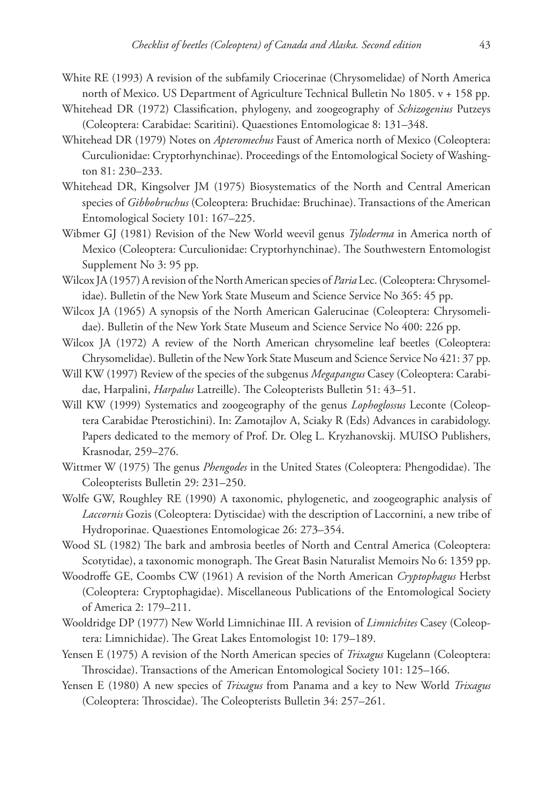- White RE (1993) A revision of the subfamily Criocerinae (Chrysomelidae) of North America north of Mexico. US Department of Agriculture Technical Bulletin No 1805. v + 158 pp.
- Whitehead DR (1972) Classification, phylogeny, and zoogeography of *Schizogenius* Putzeys (Coleoptera: Carabidae: Scaritini). Quaestiones Entomologicae 8: 131–348.
- Whitehead DR (1979) Notes on *Apteromechus* Faust of America north of Mexico (Coleoptera: Curculionidae: Cryptorhynchinae). Proceedings of the Entomological Society of Washington 81: 230–233.
- Whitehead DR, Kingsolver JM (1975) Biosystematics of the North and Central American species of *Gibbobruchus* (Coleoptera: Bruchidae: Bruchinae). Transactions of the American Entomological Society 101: 167–225.
- Wibmer GJ (1981) Revision of the New World weevil genus *Tyloderma* in America north of Mexico (Coleoptera: Curculionidae: Cryptorhynchinae). The Southwestern Entomologist Supplement No 3: 95 pp.
- Wilcox JA (1957) A revision of the North American species of *Paria* Lec. (Coleoptera: Chrysomelidae). Bulletin of the New York State Museum and Science Service No 365: 45 pp.
- Wilcox JA (1965) A synopsis of the North American Galerucinae (Coleoptera: Chrysomelidae). Bulletin of the New York State Museum and Science Service No 400: 226 pp.
- Wilcox JA (1972) A review of the North American chrysomeline leaf beetles (Coleoptera: Chrysomelidae). Bulletin of the New York State Museum and Science Service No 421: 37 pp.
- Will KW (1997) Review of the species of the subgenus *Megapangus* Casey (Coleoptera: Carabidae, Harpalini, *Harpalus* Latreille). The Coleopterists Bulletin 51: 43–51.
- Will KW (1999) Systematics and zoogeography of the genus *Lophoglossus* Leconte (Coleoptera Carabidae Pterostichini). In: Zamotajlov A, Sciaky R (Eds) Advances in carabidology. Papers dedicated to the memory of Prof. Dr. Oleg L. Kryzhanovskij. MUISO Publishers, Krasnodar, 259–276.
- Wittmer W (1975) The genus *Phengodes* in the United States (Coleoptera: Phengodidae). The Coleopterists Bulletin 29: 231–250.
- Wolfe GW, Roughley RE (1990) A taxonomic, phylogenetic, and zoogeographic analysis of *Laccornis* Gozis (Coleoptera: Dytiscidae) with the description of Laccornini, a new tribe of Hydroporinae. Quaestiones Entomologicae 26: 273–354.
- Wood SL (1982) The bark and ambrosia beetles of North and Central America (Coleoptera: Scotytidae), a taxonomic monograph. The Great Basin Naturalist Memoirs No 6: 1359 pp.
- Woodroffe GE, Coombs CW (1961) A revision of the North American *Cryptophagus* Herbst (Coleoptera: Cryptophagidae). Miscellaneous Publications of the Entomological Society of America 2: 179–211.
- Wooldridge DP (1977) New World Limnichinae III. A revision of *Limnichites* Casey (Coleoptera: Limnichidae). The Great Lakes Entomologist 10: 179–189.
- Yensen E (1975) A revision of the North American species of *Trixagus* Kugelann (Coleoptera: Throscidae). Transactions of the American Entomological Society 101: 125–166.
- Yensen E (1980) A new species of *Trixagus* from Panama and a key to New World *Trixagus* (Coleoptera: Throscidae). The Coleopterists Bulletin 34: 257–261.